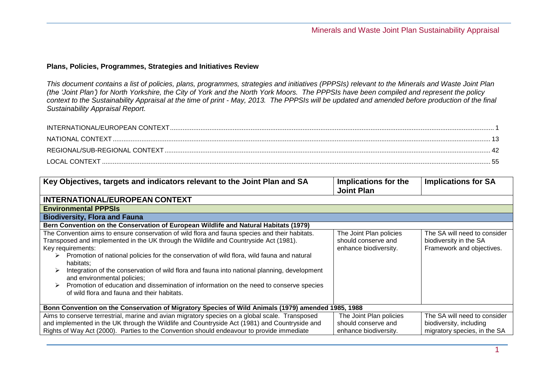## **Plans, Policies, Programmes, Strategies and Initiatives Review**

*This document contains a list of policies, plans, programmes, strategies and initiatives (PPPSIs) relevant to the Minerals and Waste Joint Plan (the 'Joint Plan') for North Yorkshire, the City of York and the North York Moors. The PPPSIs have been compiled and represent the policy context to the Sustainability Appraisal at the time of print - May, 2013. The PPPSIs will be updated and amended before production of the final Sustainability Appraisal Report.* 

| NATIONAL CONTEXT |  |
|------------------|--|
|                  |  |
| LOCAL CONTEXT    |  |

<span id="page-0-0"></span>

| Key Objectives, targets and indicators relevant to the Joint Plan and SA                                                                                                                                                                                                                                                                                                                                                                                                                                                                                                                       | Implications for the<br><b>Joint Plan</b>                               | <b>Implications for SA</b>                                                              |
|------------------------------------------------------------------------------------------------------------------------------------------------------------------------------------------------------------------------------------------------------------------------------------------------------------------------------------------------------------------------------------------------------------------------------------------------------------------------------------------------------------------------------------------------------------------------------------------------|-------------------------------------------------------------------------|-----------------------------------------------------------------------------------------|
| <b>INTERNATIONAL/EUROPEAN CONTEXT</b>                                                                                                                                                                                                                                                                                                                                                                                                                                                                                                                                                          |                                                                         |                                                                                         |
| <b>Environmental PPPSIs</b>                                                                                                                                                                                                                                                                                                                                                                                                                                                                                                                                                                    |                                                                         |                                                                                         |
| <b>Biodiversity, Flora and Fauna</b>                                                                                                                                                                                                                                                                                                                                                                                                                                                                                                                                                           |                                                                         |                                                                                         |
| Bern Convention on the Conservation of European Wildlife and Natural Habitats (1979)                                                                                                                                                                                                                                                                                                                                                                                                                                                                                                           |                                                                         |                                                                                         |
| The Convention aims to ensure conservation of wild flora and fauna species and their habitats.<br>Transposed and implemented in the UK through the Wildlife and Countryside Act (1981).<br>Key requirements:<br>Promotion of national policies for the conservation of wild flora, wild fauna and natural<br>habitats;<br>Integration of the conservation of wild flora and fauna into national planning, development<br>and environmental policies;<br>Promotion of education and dissemination of information on the need to conserve species<br>of wild flora and fauna and their habitats. | The Joint Plan policies<br>should conserve and<br>enhance biodiversity. | The SA will need to consider<br>biodiversity in the SA<br>Framework and objectives.     |
| Bonn Convention on the Conservation of Migratory Species of Wild Animals (1979) amended 1985, 1988                                                                                                                                                                                                                                                                                                                                                                                                                                                                                             |                                                                         |                                                                                         |
| Aims to conserve terrestrial, marine and avian migratory species on a global scale. Transposed<br>and implemented in the UK through the Wildlife and Countryside Act (1981) and Countryside and<br>Rights of Way Act (2000). Parties to the Convention should endeavour to provide immediate                                                                                                                                                                                                                                                                                                   | The Joint Plan policies<br>should conserve and<br>enhance biodiversity. | The SA will need to consider<br>biodiversity, including<br>migratory species, in the SA |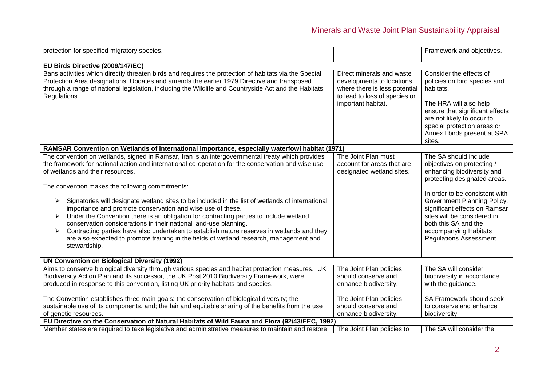| protection for specified migratory species.                                                                                                                                                                                                                                                                                                                                                                                                                                                                                                                                                                                                                                                                                                                                                                                                           |                                                                                                                                                | Framework and objectives.                                                                                                                                                                                                                                                                                                      |
|-------------------------------------------------------------------------------------------------------------------------------------------------------------------------------------------------------------------------------------------------------------------------------------------------------------------------------------------------------------------------------------------------------------------------------------------------------------------------------------------------------------------------------------------------------------------------------------------------------------------------------------------------------------------------------------------------------------------------------------------------------------------------------------------------------------------------------------------------------|------------------------------------------------------------------------------------------------------------------------------------------------|--------------------------------------------------------------------------------------------------------------------------------------------------------------------------------------------------------------------------------------------------------------------------------------------------------------------------------|
| EU Birds Directive (2009/147/EC)                                                                                                                                                                                                                                                                                                                                                                                                                                                                                                                                                                                                                                                                                                                                                                                                                      |                                                                                                                                                |                                                                                                                                                                                                                                                                                                                                |
| Bans activities which directly threaten birds and requires the protection of habitats via the Special<br>Protection Area designations. Updates and amends the earlier 1979 Directive and transposed<br>through a range of national legislation, including the Wildlife and Countryside Act and the Habitats<br>Regulations.                                                                                                                                                                                                                                                                                                                                                                                                                                                                                                                           | Direct minerals and waste<br>developments to locations<br>where there is less potential<br>to lead to loss of species or<br>important habitat. | Consider the effects of<br>policies on bird species and<br>habitats.<br>The HRA will also help<br>ensure that significant effects<br>are not likely to occur to<br>special protection areas or<br>Annex I birds present at SPA<br>sites.                                                                                       |
| RAMSAR Convention on Wetlands of International Importance, especially waterfowl habitat (1971)                                                                                                                                                                                                                                                                                                                                                                                                                                                                                                                                                                                                                                                                                                                                                        |                                                                                                                                                |                                                                                                                                                                                                                                                                                                                                |
| The convention on wetlands, signed in Ramsar, Iran is an intergovernmental treaty which provides<br>the framework for national action and international co-operation for the conservation and wise use<br>of wetlands and their resources.<br>The convention makes the following commitments:<br>Signatories will designate wetland sites to be included in the list of wetlands of international<br>➤<br>importance and promote conservation and wise use of these.<br>Under the Convention there is an obligation for contracting parties to include wetland<br>➤<br>conservation considerations in their national land-use planning.<br>Contracting parties have also undertaken to establish nature reserves in wetlands and they<br>➤<br>are also expected to promote training in the fields of wetland research, management and<br>stewardship. | The Joint Plan must<br>account for areas that are<br>designated wetland sites.                                                                 | The SA should include<br>objectives on protecting /<br>enhancing biodiversity and<br>protecting designated areas.<br>In order to be consistent with<br>Government Planning Policy,<br>significant effects on Ramsar<br>sites will be considered in<br>both this SA and the<br>accompanying Habitats<br>Regulations Assessment. |
| <b>UN Convention on Biological Diversity (1992)</b>                                                                                                                                                                                                                                                                                                                                                                                                                                                                                                                                                                                                                                                                                                                                                                                                   |                                                                                                                                                |                                                                                                                                                                                                                                                                                                                                |
| Aims to conserve biological diversity through various species and habitat protection measures. UK<br>Biodiversity Action Plan and its successor, the UK Post 2010 Biodiversity Framework, were<br>produced in response to this convention, listing UK priority habitats and species.                                                                                                                                                                                                                                                                                                                                                                                                                                                                                                                                                                  | The Joint Plan policies<br>should conserve and<br>enhance biodiversity.                                                                        | The SA will consider<br>biodiversity in accordance<br>with the guidance.                                                                                                                                                                                                                                                       |
| The Convention establishes three main goals: the conservation of biological diversity; the<br>sustainable use of its components, and; the fair and equitable sharing of the benefits from the use<br>of genetic resources.                                                                                                                                                                                                                                                                                                                                                                                                                                                                                                                                                                                                                            | The Joint Plan policies<br>should conserve and<br>enhance biodiversity.                                                                        | SA Framework should seek<br>to conserve and enhance<br>biodiversity.                                                                                                                                                                                                                                                           |
| EU Directive on the Conservation of Natural Habitats of Wild Fauna and Flora (92/43/EEC, 1992)                                                                                                                                                                                                                                                                                                                                                                                                                                                                                                                                                                                                                                                                                                                                                        |                                                                                                                                                |                                                                                                                                                                                                                                                                                                                                |
| Member states are required to take legislative and administrative measures to maintain and restore                                                                                                                                                                                                                                                                                                                                                                                                                                                                                                                                                                                                                                                                                                                                                    | The Joint Plan policies to                                                                                                                     | The SA will consider the                                                                                                                                                                                                                                                                                                       |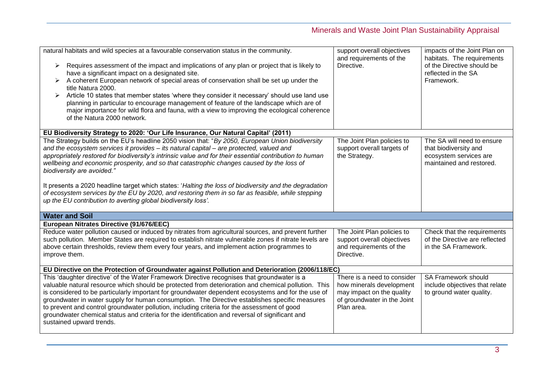| natural habitats and wild species at a favourable conservation status in the community.<br>Requires assessment of the impact and implications of any plan or project that is likely to<br>➤<br>have a significant impact on a designated site.<br>A coherent European network of special areas of conservation shall be set up under the<br>➤<br>title Natura 2000.<br>Article 10 states that member states 'where they consider it necessary' should use land use<br>➤<br>planning in particular to encourage management of feature of the landscape which are of<br>major importance for wild flora and fauna, with a view to improving the ecological coherence<br>of the Natura 2000 network. | support overall objectives<br>and requirements of the<br>Directive.                                                               | impacts of the Joint Plan on<br>habitats. The requirements<br>of the Directive should be<br>reflected in the SA<br>Framework. |
|---------------------------------------------------------------------------------------------------------------------------------------------------------------------------------------------------------------------------------------------------------------------------------------------------------------------------------------------------------------------------------------------------------------------------------------------------------------------------------------------------------------------------------------------------------------------------------------------------------------------------------------------------------------------------------------------------|-----------------------------------------------------------------------------------------------------------------------------------|-------------------------------------------------------------------------------------------------------------------------------|
| EU Biodiversity Strategy to 2020: 'Our Life Insurance, Our Natural Capital' (2011)                                                                                                                                                                                                                                                                                                                                                                                                                                                                                                                                                                                                                |                                                                                                                                   |                                                                                                                               |
| The Strategy builds on the EU's headline 2050 vision that: "By 2050, European Union biodiversity<br>and the ecosystem services it provides - its natural capital - are protected, valued and<br>appropriately restored for biodiversity's intrinsic value and for their essential contribution to human<br>wellbeing and economic prosperity, and so that catastrophic changes caused by the loss of<br>biodiversity are avoided."                                                                                                                                                                                                                                                                | The Joint Plan policies to<br>support overall targets of<br>the Strategy.                                                         | The SA will need to ensure<br>that biodiversity and<br>ecosystem services are<br>maintained and restored.                     |
| It presents a 2020 headline target which states: 'Halting the loss of biodiversity and the degradation<br>of ecosystem services by the EU by 2020, and restoring them in so far as feasible, while stepping<br>up the EU contribution to averting global biodiversity loss'.                                                                                                                                                                                                                                                                                                                                                                                                                      |                                                                                                                                   |                                                                                                                               |
| <b>Water and Soil</b>                                                                                                                                                                                                                                                                                                                                                                                                                                                                                                                                                                                                                                                                             |                                                                                                                                   |                                                                                                                               |
| European Nitrates Directive (91/676/EEC)                                                                                                                                                                                                                                                                                                                                                                                                                                                                                                                                                                                                                                                          |                                                                                                                                   |                                                                                                                               |
| Reduce water pollution caused or induced by nitrates from agricultural sources, and prevent further<br>such pollution. Member States are required to establish nitrate vulnerable zones if nitrate levels are<br>above certain thresholds, review them every four years, and implement action programmes to<br>improve them.                                                                                                                                                                                                                                                                                                                                                                      | The Joint Plan policies to<br>support overall objectives<br>and requirements of the<br>Directive.                                 | Check that the requirements<br>of the Directive are reflected<br>in the SA Framework.                                         |
| EU Directive on the Protection of Groundwater against Pollution and Deterioration (2006/118/EC)                                                                                                                                                                                                                                                                                                                                                                                                                                                                                                                                                                                                   |                                                                                                                                   |                                                                                                                               |
| This 'daughter directive' of the Water Framework Directive recognises that groundwater is a<br>valuable natural resource which should be protected from deterioration and chemical pollution. This<br>is considered to be particularly important for groundwater dependent ecosystems and for the use of<br>groundwater in water supply for human consumption. The Directive establishes specific measures<br>to prevent and control groundwater pollution, including criteria for the assessment of good<br>groundwater chemical status and criteria for the identification and reversal of significant and<br>sustained upward trends.                                                          | There is a need to consider<br>how minerals development<br>may impact on the quality<br>of groundwater in the Joint<br>Plan area. | SA Framework should<br>include objectives that relate<br>to ground water quality.                                             |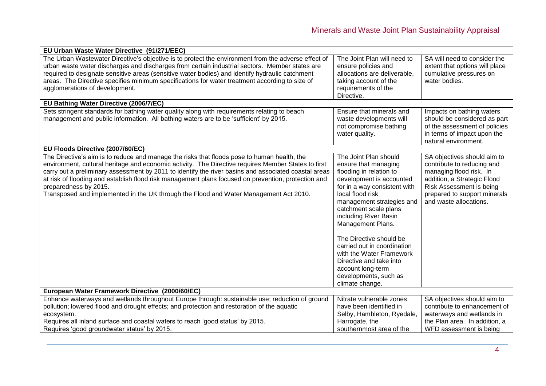| EU Urban Waste Water Directive (91/271/EEC)                                                          |                              |                                |
|------------------------------------------------------------------------------------------------------|------------------------------|--------------------------------|
| The Urban Wastewater Directive's objective is to protect the environment from the adverse effect of  | The Joint Plan will need to  | SA will need to consider the   |
| urban waste water discharges and discharges from certain industrial sectors. Member states are       | ensure policies and          | extent that options will place |
| required to designate sensitive areas (sensitive water bodies) and identify hydraulic catchment      | allocations are deliverable, | cumulative pressures on        |
| areas. The Directive specifies minimum specifications for water treatment according to size of       | taking account of the        | water bodies.                  |
| agglomerations of development.                                                                       | requirements of the          |                                |
|                                                                                                      | Directive.                   |                                |
| EU Bathing Water Directive (2006/7/EC)                                                               |                              |                                |
| Sets stringent standards for bathing water quality along with requirements relating to beach         | Ensure that minerals and     | Impacts on bathing waters      |
| management and public information. All bathing waters are to be 'sufficient' by 2015.                | waste developments will      | should be considered as part   |
|                                                                                                      | not compromise bathing       | of the assessment of policies  |
|                                                                                                      | water quality.               | in terms of impact upon the    |
|                                                                                                      |                              | natural environment.           |
| EU Floods Directive (2007/60/EC)                                                                     |                              |                                |
| The Directive's aim is to reduce and manage the risks that floods pose to human health, the          | The Joint Plan should        | SA objectives should aim to    |
| environment, cultural heritage and economic activity. The Directive requires Member States to first  | ensure that managing         | contribute to reducing and     |
| carry out a preliminary assessment by 2011 to identify the river basins and associated coastal areas | flooding in relation to      | managing flood risk. In        |
| at risk of flooding and establish flood risk management plans focused on prevention, protection and  | development is accounted     | addition, a Strategic Flood    |
| preparedness by 2015.                                                                                | for in a way consistent with | Risk Assessment is being       |
| Transposed and implemented in the UK through the Flood and Water Management Act 2010.                | local flood risk             | prepared to support minerals   |
|                                                                                                      | management strategies and    | and waste allocations.         |
|                                                                                                      | catchment scale plans        |                                |
|                                                                                                      | including River Basin        |                                |
|                                                                                                      | Management Plans.            |                                |
|                                                                                                      |                              |                                |
|                                                                                                      | The Directive should be      |                                |
|                                                                                                      | carried out in coordination  |                                |
|                                                                                                      | with the Water Framework     |                                |
|                                                                                                      | Directive and take into      |                                |
|                                                                                                      | account long-term            |                                |
|                                                                                                      | developments, such as        |                                |
|                                                                                                      | climate change.              |                                |
| European Water Framework Directive (2000/60/EC)                                                      |                              |                                |
| Enhance waterways and wetlands throughout Europe through: sustainable use; reduction of ground       | Nitrate vulnerable zones     | SA objectives should aim to    |
| pollution; lowered flood and drought effects; and protection and restoration of the aquatic          | have been identified in      | contribute to enhancement of   |
| ecosystem.                                                                                           | Selby, Hambleton, Ryedale,   | waterways and wetlands in      |
| Requires all inland surface and coastal waters to reach 'good status' by 2015.                       | Harrogate, the               | the Plan area. In addition, a  |
| Requires 'good groundwater status' by 2015.                                                          | southernmost area of the     | WFD assessment is being        |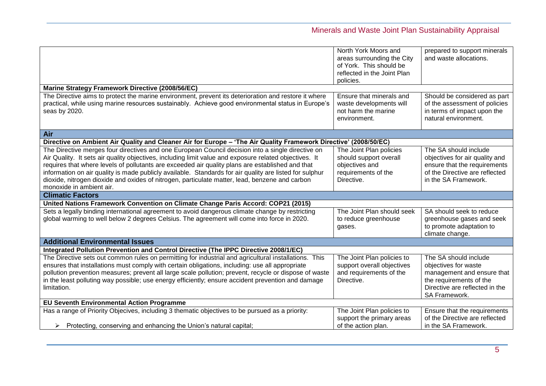|                                                                                                                                                                                                                                                                                                                                                                                                                                                                                                                                                          | North York Moors and<br>areas surrounding the City<br>of York. This should be<br>reflected in the Joint Plan<br>policies. | prepared to support minerals<br>and waste allocations.                                                                                                    |
|----------------------------------------------------------------------------------------------------------------------------------------------------------------------------------------------------------------------------------------------------------------------------------------------------------------------------------------------------------------------------------------------------------------------------------------------------------------------------------------------------------------------------------------------------------|---------------------------------------------------------------------------------------------------------------------------|-----------------------------------------------------------------------------------------------------------------------------------------------------------|
| Marine Strategy Framework Directive (2008/56/EC)                                                                                                                                                                                                                                                                                                                                                                                                                                                                                                         |                                                                                                                           |                                                                                                                                                           |
| The Directive aims to protect the marine environment, prevent its deterioration and restore it where<br>practical, while using marine resources sustainably. Achieve good environmental status in Europe's<br>seas by 2020.                                                                                                                                                                                                                                                                                                                              | Ensure that minerals and<br>waste developments will<br>not harm the marine<br>environment.                                | Should be considered as part<br>of the assessment of policies<br>in terms of impact upon the<br>natural environment.                                      |
| Air                                                                                                                                                                                                                                                                                                                                                                                                                                                                                                                                                      |                                                                                                                           |                                                                                                                                                           |
| Directive on Ambient Air Quality and Cleaner Air for Europe - 'The Air Quality Framework Directive' (2008/50/EC)                                                                                                                                                                                                                                                                                                                                                                                                                                         |                                                                                                                           |                                                                                                                                                           |
| The Directive merges four directives and one European Council decision into a single directive on<br>Air Quality. It sets air quality objectives, including limit value and exposure related objectives. It<br>requires that where levels of pollutants are exceeded air quality plans are established and that<br>information on air quality is made publicly available. Standards for air quality are listed for sulphur<br>dioxide, nitrogen dioxide and oxides of nitrogen, particulate matter, lead, benzene and carbon<br>monoxide in ambient air. | The Joint Plan policies<br>should support overall<br>objectives and<br>requirements of the<br>Directive.                  | The SA should include<br>objectives for air quality and<br>ensure that the requirements<br>of the Directive are reflected<br>in the SA Framework.         |
| <b>Climatic Factors</b>                                                                                                                                                                                                                                                                                                                                                                                                                                                                                                                                  |                                                                                                                           |                                                                                                                                                           |
| United Nations Framework Convention on Climate Change Paris Accord: COP21 (2015)                                                                                                                                                                                                                                                                                                                                                                                                                                                                         |                                                                                                                           |                                                                                                                                                           |
| Sets a legally binding international agreement to avoid dangerous climate change by restricting<br>global warming to well below 2 degrees Celsius. The agreement will come into force in 2020.                                                                                                                                                                                                                                                                                                                                                           | The Joint Plan should seek<br>to reduce greenhouse<br>gases.                                                              | SA should seek to reduce<br>greenhouse gases and seek<br>to promote adaptation to<br>climate change.                                                      |
| <b>Additional Environmental Issues</b>                                                                                                                                                                                                                                                                                                                                                                                                                                                                                                                   |                                                                                                                           |                                                                                                                                                           |
| Integrated Pollution Prevention and Control Directive (The IPPC Directive 2008/1/EC)                                                                                                                                                                                                                                                                                                                                                                                                                                                                     |                                                                                                                           |                                                                                                                                                           |
| The Directive sets out common rules on permitting for industrial and agricultural installations. This<br>ensures that installations must comply with certain obligations, including: use all appropriate<br>pollution prevention measures; prevent all large scale pollution; prevent, recycle or dispose of waste<br>in the least polluting way possible; use energy efficiently; ensure accident prevention and damage<br>limitation.                                                                                                                  | The Joint Plan policies to<br>support overall objectives<br>and requirements of the<br>Directive.                         | The SA should include<br>objectives for waste<br>management and ensure that<br>the requirements of the<br>Directive are reflected in the<br>SA Framework. |
| <b>EU Seventh Environmental Action Programme</b>                                                                                                                                                                                                                                                                                                                                                                                                                                                                                                         |                                                                                                                           |                                                                                                                                                           |
| Has a range of Priority Objecives, including 3 thematic objectives to be pursued as a priority:<br>Protecting, conserving and enhancing the Union's natural capital;<br>➤                                                                                                                                                                                                                                                                                                                                                                                | The Joint Plan policies to<br>support the primary areas<br>of the action plan.                                            | Ensure that the requirements<br>of the Directive are reflected<br>in the SA Framework.                                                                    |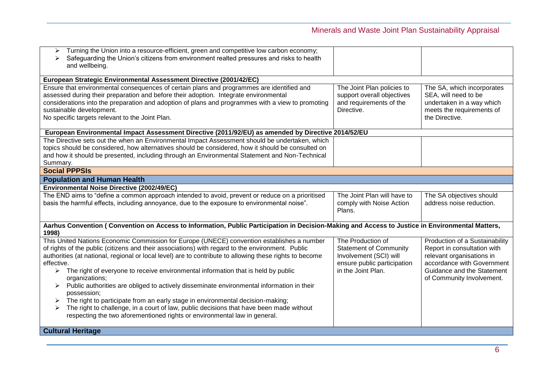| Turning the Union into a resource-efficient, green and competitive low carbon economy;<br>➤<br>Safeguarding the Union's citizens from environment realted pressures and risks to health<br>⋗<br>and wellbeing.                                                                                                                                                                                                                                                                                                                                                                                                                                                                                                                                                                                                                                    |                                                                                                                                   |                                                                                                                                                                                     |
|---------------------------------------------------------------------------------------------------------------------------------------------------------------------------------------------------------------------------------------------------------------------------------------------------------------------------------------------------------------------------------------------------------------------------------------------------------------------------------------------------------------------------------------------------------------------------------------------------------------------------------------------------------------------------------------------------------------------------------------------------------------------------------------------------------------------------------------------------|-----------------------------------------------------------------------------------------------------------------------------------|-------------------------------------------------------------------------------------------------------------------------------------------------------------------------------------|
| European Strategic Environmental Assessment Directive (2001/42/EC)                                                                                                                                                                                                                                                                                                                                                                                                                                                                                                                                                                                                                                                                                                                                                                                |                                                                                                                                   |                                                                                                                                                                                     |
| Ensure that environmental consequences of certain plans and programmes are identified and<br>assessed during their preparation and before their adoption. Integrate environmental<br>considerations into the preparation and adoption of plans and programmes with a view to promoting<br>sustainable development.<br>No specific targets relevant to the Joint Plan.                                                                                                                                                                                                                                                                                                                                                                                                                                                                             | The Joint Plan policies to<br>support overall objectives<br>and requirements of the<br>Directive.                                 | The SA, which incorporates<br>SEA, will need to be<br>undertaken in a way which<br>meets the requirements of<br>the Directive.                                                      |
| European Environmental Impact Assessment Directive (2011/92/EU) as amended by Directive 2014/52/EU                                                                                                                                                                                                                                                                                                                                                                                                                                                                                                                                                                                                                                                                                                                                                |                                                                                                                                   |                                                                                                                                                                                     |
| The Directive sets out the when an Environmental Impact Assessment should be undertaken, which<br>topics should be considered, how alternatives should be considered, how it should be consulted on<br>and how it should be presented, including through an Environmental Statement and Non-Technical<br>Summary.                                                                                                                                                                                                                                                                                                                                                                                                                                                                                                                                 |                                                                                                                                   |                                                                                                                                                                                     |
| <b>Social PPPSIs</b>                                                                                                                                                                                                                                                                                                                                                                                                                                                                                                                                                                                                                                                                                                                                                                                                                              |                                                                                                                                   |                                                                                                                                                                                     |
| <b>Population and Human Health</b>                                                                                                                                                                                                                                                                                                                                                                                                                                                                                                                                                                                                                                                                                                                                                                                                                |                                                                                                                                   |                                                                                                                                                                                     |
| Environmental Noise Directive (2002/49/EC)                                                                                                                                                                                                                                                                                                                                                                                                                                                                                                                                                                                                                                                                                                                                                                                                        |                                                                                                                                   |                                                                                                                                                                                     |
| The END aims to "define a common approach intended to avoid, prevent or reduce on a prioritised<br>basis the harmful effects, including annoyance, due to the exposure to environmental noise".                                                                                                                                                                                                                                                                                                                                                                                                                                                                                                                                                                                                                                                   | The Joint Plan will have to<br>comply with Noise Action<br>Plans.                                                                 | The SA objectives should<br>address noise reduction.                                                                                                                                |
| Aarhus Convention (Convention on Access to Information, Public Participation in Decision-Making and Access to Justice in Environmental Matters,<br>1998)                                                                                                                                                                                                                                                                                                                                                                                                                                                                                                                                                                                                                                                                                          |                                                                                                                                   |                                                                                                                                                                                     |
| This United Nations Economic Commission for Europe (UNECE) convention establishes a number<br>of rights of the public (citizens and their associations) with regard to the environment. Public<br>authorities (at national, regional or local level) are to contribute to allowing these rights to become<br>effective.<br>$\triangleright$ The right of everyone to receive environmental information that is held by public<br>organizations;<br>Public authorities are obliged to actively disseminate environmental information in their<br>possession;<br>The right to participate from an early stage in environmental decision-making;<br>The right to challenge, in a court of law, public decisions that have been made without<br>respecting the two aforementioned rights or environmental law in general.<br><b>Cultural Heritage</b> | The Production of<br><b>Statement of Community</b><br>Involvement (SCI) will<br>ensure public participation<br>in the Joint Plan. | Production of a Sustainability<br>Report in consultation with<br>relevant organisations in<br>accordance with Government<br>Guidance and the Statement<br>of Community Involvement. |
|                                                                                                                                                                                                                                                                                                                                                                                                                                                                                                                                                                                                                                                                                                                                                                                                                                                   |                                                                                                                                   |                                                                                                                                                                                     |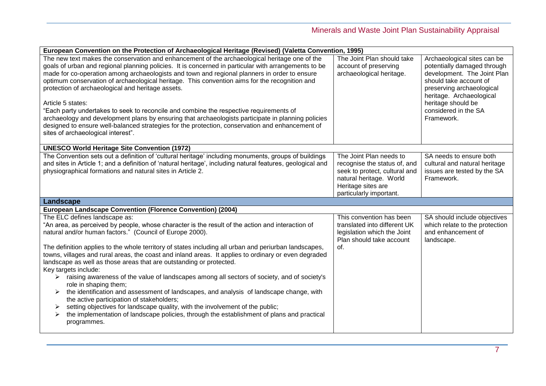| European Convention on the Protection of Archaeological Heritage (Revised) (Valetta Convention, 1995)                                                                                                                                                                                                                                                                                                                                                                                                                                                                                                                                                                                                                                                                                                                     |                                                                                                                                                                      |                                                                                                                                                                                                                                          |
|---------------------------------------------------------------------------------------------------------------------------------------------------------------------------------------------------------------------------------------------------------------------------------------------------------------------------------------------------------------------------------------------------------------------------------------------------------------------------------------------------------------------------------------------------------------------------------------------------------------------------------------------------------------------------------------------------------------------------------------------------------------------------------------------------------------------------|----------------------------------------------------------------------------------------------------------------------------------------------------------------------|------------------------------------------------------------------------------------------------------------------------------------------------------------------------------------------------------------------------------------------|
| The new text makes the conservation and enhancement of the archaeological heritage one of the<br>goals of urban and regional planning policies. It is concerned in particular with arrangements to be<br>made for co-operation among archaeologists and town and regional planners in order to ensure<br>optimum conservation of archaeological heritage. This convention aims for the recognition and<br>protection of archaeological and heritage assets.<br>Article 5 states:<br>"Each party undertakes to seek to reconcile and combine the respective requirements of<br>archaeology and development plans by ensuring that archaeologists participate in planning policies<br>designed to ensure well-balanced strategies for the protection, conservation and enhancement of<br>sites of archaeological interest". | The Joint Plan should take<br>account of preserving<br>archaeological heritage.                                                                                      | Archaeological sites can be<br>potentially damaged through<br>development. The Joint Plan<br>should take account of<br>preserving archaeological<br>heritage. Archaeological<br>heritage should be<br>considered in the SA<br>Framework. |
| <b>UNESCO World Heritage Site Convention (1972)</b>                                                                                                                                                                                                                                                                                                                                                                                                                                                                                                                                                                                                                                                                                                                                                                       |                                                                                                                                                                      |                                                                                                                                                                                                                                          |
| The Convention sets out a definition of 'cultural heritage' including monuments, groups of buildings<br>and sites in Article 1; and a definition of 'natural heritage', including natural features, geological and<br>physiographical formations and natural sites in Article 2.                                                                                                                                                                                                                                                                                                                                                                                                                                                                                                                                          | The Joint Plan needs to<br>recognise the status of, and<br>seek to protect, cultural and<br>natural heritage. World<br>Heritage sites are<br>particularly important. | SA needs to ensure both<br>cultural and natural heritage<br>issues are tested by the SA<br>Framework.                                                                                                                                    |
| Landscape                                                                                                                                                                                                                                                                                                                                                                                                                                                                                                                                                                                                                                                                                                                                                                                                                 |                                                                                                                                                                      |                                                                                                                                                                                                                                          |
| European Landscape Convention (Florence Convention) (2004)                                                                                                                                                                                                                                                                                                                                                                                                                                                                                                                                                                                                                                                                                                                                                                |                                                                                                                                                                      |                                                                                                                                                                                                                                          |
| The ELC defines landscape as:<br>"An area, as perceived by people, whose character is the result of the action and interaction of<br>natural and/or human factors." (Council of Europe 2000).<br>The definition applies to the whole territory of states including all urban and periurban landscapes,                                                                                                                                                                                                                                                                                                                                                                                                                                                                                                                    | This convention has been<br>translated into different UK<br>legislation which the Joint<br>Plan should take account<br>of.                                           | SA should include objectives<br>which relate to the protection<br>and enhancement of<br>landscape.                                                                                                                                       |
| towns, villages and rural areas, the coast and inland areas. It applies to ordinary or even degraded<br>landscape as well as those areas that are outstanding or protected.<br>Key targets include:<br>raising awareness of the value of landscapes among all sectors of society, and of society's                                                                                                                                                                                                                                                                                                                                                                                                                                                                                                                        |                                                                                                                                                                      |                                                                                                                                                                                                                                          |
| role in shaping them;<br>the identification and assessment of landscapes, and analysis of landscape change, with<br>the active participation of stakeholders;                                                                                                                                                                                                                                                                                                                                                                                                                                                                                                                                                                                                                                                             |                                                                                                                                                                      |                                                                                                                                                                                                                                          |
| setting objectives for landscape quality, with the involvement of the public;<br>➤<br>the implementation of landscape policies, through the establishment of plans and practical<br>➤<br>programmes.                                                                                                                                                                                                                                                                                                                                                                                                                                                                                                                                                                                                                      |                                                                                                                                                                      |                                                                                                                                                                                                                                          |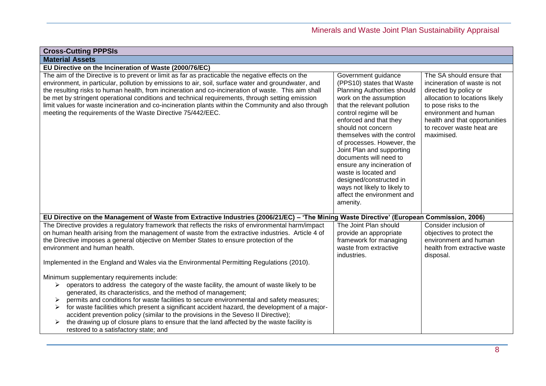| <b>Cross-Cutting PPPSIs</b>                                                                                                                                                                                                                                                                                                                                                                                                                                                                                                                                                                                                                            |                                                                                                                                                                                                                                                                                                                                                                                                                                                                                                   |                                                                                                                                                                                                                                                   |
|--------------------------------------------------------------------------------------------------------------------------------------------------------------------------------------------------------------------------------------------------------------------------------------------------------------------------------------------------------------------------------------------------------------------------------------------------------------------------------------------------------------------------------------------------------------------------------------------------------------------------------------------------------|---------------------------------------------------------------------------------------------------------------------------------------------------------------------------------------------------------------------------------------------------------------------------------------------------------------------------------------------------------------------------------------------------------------------------------------------------------------------------------------------------|---------------------------------------------------------------------------------------------------------------------------------------------------------------------------------------------------------------------------------------------------|
| <b>Material Assets</b>                                                                                                                                                                                                                                                                                                                                                                                                                                                                                                                                                                                                                                 |                                                                                                                                                                                                                                                                                                                                                                                                                                                                                                   |                                                                                                                                                                                                                                                   |
| EU Directive on the Incineration of Waste (2000/76/EC)                                                                                                                                                                                                                                                                                                                                                                                                                                                                                                                                                                                                 |                                                                                                                                                                                                                                                                                                                                                                                                                                                                                                   |                                                                                                                                                                                                                                                   |
| The aim of the Directive is to prevent or limit as far as practicable the negative effects on the<br>environment, in particular, pollution by emissions to air, soil, surface water and groundwater, and<br>the resulting risks to human health, from incineration and co-incineration of waste. This aim shall<br>be met by stringent operational conditions and technical requirements, through setting emission<br>limit values for waste incineration and co-incineration plants within the Community and also through<br>meeting the requirements of the Waste Directive 75/442/EEC.                                                              | Government guidance<br>(PPS10) states that Waste<br>Planning Authorities should<br>work on the assumption<br>that the relevant pollution<br>control regime will be<br>enforced and that they<br>should not concern<br>themselves with the control<br>of processes. However, the<br>Joint Plan and supporting<br>documents will need to<br>ensure any incineration of<br>waste is located and<br>designed/constructed in<br>ways not likely to likely to<br>affect the environment and<br>amenity. | The SA should ensure that<br>incineration of waste is not<br>directed by policy or<br>allocation to locations likely<br>to pose risks to the<br>environment and human<br>health and that opportunities<br>to recover waste heat are<br>maximised. |
| EU Directive on the Management of Waste from Extractive Industries (2006/21/EC) - 'The Mining Waste Directive' (European Commission, 2006)                                                                                                                                                                                                                                                                                                                                                                                                                                                                                                             |                                                                                                                                                                                                                                                                                                                                                                                                                                                                                                   |                                                                                                                                                                                                                                                   |
| The Directive provides a regulatory framework that reflects the risks of environmental harm/impact<br>on human health arising from the management of waste from the extractive industries. Article 4 of<br>the Directive imposes a general objective on Member States to ensure protection of the<br>environment and human health.                                                                                                                                                                                                                                                                                                                     | The Joint Plan should<br>provide an appropriate<br>framework for managing<br>waste from extractive<br>industries.                                                                                                                                                                                                                                                                                                                                                                                 | Consider inclusion of<br>objectives to protect the<br>environment and human<br>health from extractive waste<br>disposal.                                                                                                                          |
| Implemented in the England and Wales via the Environmental Permitting Regulations (2010).                                                                                                                                                                                                                                                                                                                                                                                                                                                                                                                                                              |                                                                                                                                                                                                                                                                                                                                                                                                                                                                                                   |                                                                                                                                                                                                                                                   |
| Minimum supplementary requirements include:<br>operators to address the category of the waste facility, the amount of waste likely to be<br>➤<br>generated, its characteristics, and the method of management;<br>permits and conditions for waste facilities to secure environmental and safety measures;<br>⋗<br>for waste facilities which present a significant accident hazard, the development of a major-<br>➤<br>accident prevention policy (similar to the provisions in the Seveso II Directive);<br>the drawing up of closure plans to ensure that the land affected by the waste facility is<br>➤<br>restored to a satisfactory state; and |                                                                                                                                                                                                                                                                                                                                                                                                                                                                                                   |                                                                                                                                                                                                                                                   |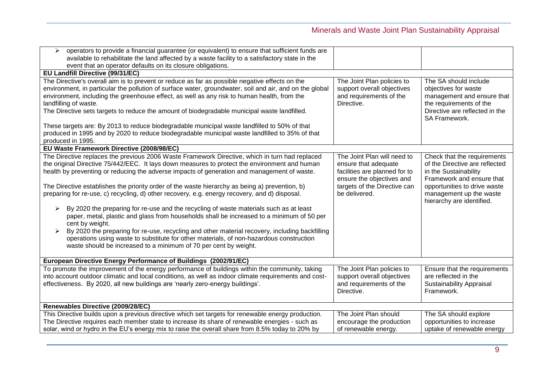| $\triangleright$ operators to provide a financial guarantee (or equivalent) to ensure that sufficient funds are<br>available to rehabilitate the land affected by a waste facility to a satisfactory state in the<br>event that an operator defaults on its closure obligations.                                                                                                                                                                                                                                                                                                                                                                                                                                                                                                                                                                                                                                                                                                  |                                                                                                                                                                    |                                                                                                                                                                                                             |
|-----------------------------------------------------------------------------------------------------------------------------------------------------------------------------------------------------------------------------------------------------------------------------------------------------------------------------------------------------------------------------------------------------------------------------------------------------------------------------------------------------------------------------------------------------------------------------------------------------------------------------------------------------------------------------------------------------------------------------------------------------------------------------------------------------------------------------------------------------------------------------------------------------------------------------------------------------------------------------------|--------------------------------------------------------------------------------------------------------------------------------------------------------------------|-------------------------------------------------------------------------------------------------------------------------------------------------------------------------------------------------------------|
| EU Landfill Directive (99/31/EC)                                                                                                                                                                                                                                                                                                                                                                                                                                                                                                                                                                                                                                                                                                                                                                                                                                                                                                                                                  |                                                                                                                                                                    |                                                                                                                                                                                                             |
| The Directive's overall aim is to prevent or reduce as far as possible negative effects on the<br>environment, in particular the pollution of surface water, groundwater, soil and air, and on the global<br>environment, including the greenhouse effect, as well as any risk to human health, from the<br>landfilling of waste.<br>The Directive sets targets to reduce the amount of biodegradable municipal waste landfilled.<br>These targets are: By 2013 to reduce biodegradable municipal waste landfilled to 50% of that<br>produced in 1995 and by 2020 to reduce biodegradable municipal waste landfilled to 35% of that<br>produced in 1995.                                                                                                                                                                                                                                                                                                                          | The Joint Plan policies to<br>support overall objectives<br>and requirements of the<br>Directive.                                                                  | The SA should include<br>objectives for waste<br>management and ensure that<br>the requirements of the<br>Directive are reflected in the<br>SA Framework.                                                   |
| EU Waste Framework Directive (2008/98/EC)                                                                                                                                                                                                                                                                                                                                                                                                                                                                                                                                                                                                                                                                                                                                                                                                                                                                                                                                         |                                                                                                                                                                    |                                                                                                                                                                                                             |
| The Directive replaces the previous 2006 Waste Framework Directive, which in turn had replaced<br>the original Directive 75/442/EEC. It lays down measures to protect the environment and human<br>health by preventing or reducing the adverse impacts of generation and management of waste.<br>The Directive establishes the priority order of the waste hierarchy as being a) prevention, b)<br>preparing for re-use, c) recycling, d) other recovery, e.g. energy recovery, and d) disposal.<br>By 2020 the preparing for re-use and the recycling of waste materials such as at least<br>➤<br>paper, metal, plastic and glass from households shall be increased to a minimum of 50 per<br>cent by weight.<br>By 2020 the preparing for re-use, recycling and other material recovery, including backfilling<br>operations using waste to substitute for other materials, of non-hazardous construction<br>waste should be increased to a minimum of 70 per cent by weight. | The Joint Plan will need to<br>ensure that adequate<br>facilities are planned for to<br>ensure the objectives and<br>targets of the Directive can<br>be delivered. | Check that the requirements<br>of the Directive are reflected<br>in the Sustainability<br>Framework and ensure that<br>opportunities to drive waste<br>management up the waste<br>hierarchy are identified. |
| European Directive Energy Performance of Buildings (2002/91/EC)                                                                                                                                                                                                                                                                                                                                                                                                                                                                                                                                                                                                                                                                                                                                                                                                                                                                                                                   |                                                                                                                                                                    |                                                                                                                                                                                                             |
| To promote the improvement of the energy performance of buildings within the community, taking<br>into account outdoor climatic and local conditions, as well as indoor climate requirements and cost-<br>effectiveness. By 2020, all new buildings are 'nearly zero-energy buildings'.                                                                                                                                                                                                                                                                                                                                                                                                                                                                                                                                                                                                                                                                                           | The Joint Plan policies to<br>support overall objectives<br>and requirements of the<br>Directive.                                                                  | Ensure that the requirements<br>are reflected in the<br><b>Sustainability Appraisal</b><br>Framework.                                                                                                       |
| Renewables Directive (2009/28/EC)                                                                                                                                                                                                                                                                                                                                                                                                                                                                                                                                                                                                                                                                                                                                                                                                                                                                                                                                                 |                                                                                                                                                                    |                                                                                                                                                                                                             |
| This Directive builds upon a previous directive which set targets for renewable energy production.                                                                                                                                                                                                                                                                                                                                                                                                                                                                                                                                                                                                                                                                                                                                                                                                                                                                                | The Joint Plan should                                                                                                                                              | The SA should explore                                                                                                                                                                                       |
| The Directive requires each member state to increase its share of renewable energies - such as                                                                                                                                                                                                                                                                                                                                                                                                                                                                                                                                                                                                                                                                                                                                                                                                                                                                                    | encourage the production                                                                                                                                           | opportunities to increase                                                                                                                                                                                   |
| solar, wind or hydro in the EU's energy mix to raise the overall share from 8.5% today to 20% by                                                                                                                                                                                                                                                                                                                                                                                                                                                                                                                                                                                                                                                                                                                                                                                                                                                                                  | of renewable energy.                                                                                                                                               | uptake of renewable energy                                                                                                                                                                                  |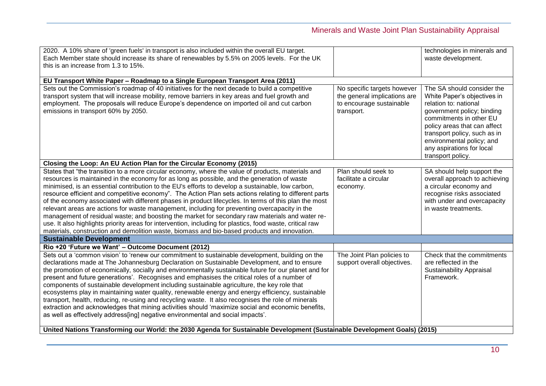| 2020. A 10% share of 'green fuels' in transport is also included within the overall EU target.<br>Each Member state should increase its share of renewables by 5.5% on 2005 levels. For the UK<br>this is an increase from 1.3 to 15%.                                                                                                                                                                                                                                                                                                                                                                                                                                                                                                                                                                                                                                                                                                    |                                                                                                       | technologies in minerals and<br>waste development.                                                                                                                                                                                                                                         |
|-------------------------------------------------------------------------------------------------------------------------------------------------------------------------------------------------------------------------------------------------------------------------------------------------------------------------------------------------------------------------------------------------------------------------------------------------------------------------------------------------------------------------------------------------------------------------------------------------------------------------------------------------------------------------------------------------------------------------------------------------------------------------------------------------------------------------------------------------------------------------------------------------------------------------------------------|-------------------------------------------------------------------------------------------------------|--------------------------------------------------------------------------------------------------------------------------------------------------------------------------------------------------------------------------------------------------------------------------------------------|
|                                                                                                                                                                                                                                                                                                                                                                                                                                                                                                                                                                                                                                                                                                                                                                                                                                                                                                                                           |                                                                                                       |                                                                                                                                                                                                                                                                                            |
| EU Transport White Paper - Roadmap to a Single European Transport Area (2011)                                                                                                                                                                                                                                                                                                                                                                                                                                                                                                                                                                                                                                                                                                                                                                                                                                                             |                                                                                                       |                                                                                                                                                                                                                                                                                            |
| Sets out the Commission's roadmap of 40 initiatives for the next decade to build a competitive<br>transport system that will increase mobility, remove barriers in key areas and fuel growth and<br>employment. The proposals will reduce Europe's dependence on imported oil and cut carbon<br>emissions in transport 60% by 2050.                                                                                                                                                                                                                                                                                                                                                                                                                                                                                                                                                                                                       | No specific targets however<br>the general implications are<br>to encourage sustainable<br>transport. | The SA should consider the<br>White Paper's objectives in<br>relation to: national<br>government policy; binding<br>commitments in other EU<br>policy areas that can affect<br>transport policy, such as in<br>environmental policy; and<br>any aspirations for local<br>transport policy. |
| Closing the Loop: An EU Action Plan for the Circular Economy (2015)                                                                                                                                                                                                                                                                                                                                                                                                                                                                                                                                                                                                                                                                                                                                                                                                                                                                       |                                                                                                       |                                                                                                                                                                                                                                                                                            |
| States that "the transition to a more circular economy, where the value of products, materials and<br>resources is maintained in the economy for as long as possible, and the generation of waste<br>minimised, is an essential contribution to the EU's efforts to develop a sustainable, low carbon,<br>resource efficient and competitive economy". The Action Plan sets actions relating to different parts<br>of the economy associated with different phases in product lifecycles. In terms of this plan the most<br>relevant areas are actions for waste management, including for preventing overcapacity in the<br>management of residual waste; and boosting the market for secondary raw materials and water re-<br>use. It also highlights priority areas for intervention, including for plastics, food waste, critical raw<br>materials, construction and demolition waste, biomass and bio-based products and innovation. | Plan should seek to<br>facilitate a circular<br>economy.                                              | SA should help support the<br>overall approach to achieving<br>a circular economy and<br>recognise risks associated<br>with under and overcapacity<br>in waste treatments.                                                                                                                 |
| <b>Sustainable Development</b>                                                                                                                                                                                                                                                                                                                                                                                                                                                                                                                                                                                                                                                                                                                                                                                                                                                                                                            |                                                                                                       |                                                                                                                                                                                                                                                                                            |
| Rio +20 'Future we Want' - Outcome Document (2012)                                                                                                                                                                                                                                                                                                                                                                                                                                                                                                                                                                                                                                                                                                                                                                                                                                                                                        |                                                                                                       |                                                                                                                                                                                                                                                                                            |
| Sets out a 'common vision' to 'renew our commitment to sustainable development, building on the<br>declarations made at The Johannesburg Declaration on Sustainable Development, and to ensure<br>the promotion of economically, socially and environmentally sustainable future for our planet and for<br>present and future generations'. Recognises and emphasises the critical roles of a number of<br>components of sustainable development including sustainable agriculture, the key role that<br>ecosystems play in maintaining water quality, renewable energy and energy efficiency, sustainable<br>transport, health, reducing, re-using and recycling waste. It also recognises the role of minerals<br>extraction and acknowledges that mining activities should 'maximize social and economic benefits,<br>as well as effectively address[ing] negative environmental and social impacts'.                                  | The Joint Plan policies to<br>support overall objectives.                                             | Check that the commitments<br>are reflected in the<br><b>Sustainability Appraisal</b><br>Framework.                                                                                                                                                                                        |
| United Nations Transforming our World: the 2030 Agenda for Sustainable Development (Sustainable Development Goals) (2015)                                                                                                                                                                                                                                                                                                                                                                                                                                                                                                                                                                                                                                                                                                                                                                                                                 |                                                                                                       |                                                                                                                                                                                                                                                                                            |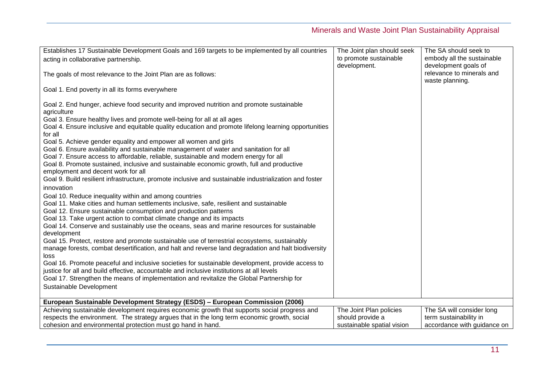| Establishes 17 Sustainable Development Goals and 169 targets to be implemented by all countries                                                                                                                                                                                                                                                                                                                                                                                                                                                                                                                                                                                                                                                                                                                                                                                                                      | The Joint plan should seek                                                | The SA should seek to                                                              |
|----------------------------------------------------------------------------------------------------------------------------------------------------------------------------------------------------------------------------------------------------------------------------------------------------------------------------------------------------------------------------------------------------------------------------------------------------------------------------------------------------------------------------------------------------------------------------------------------------------------------------------------------------------------------------------------------------------------------------------------------------------------------------------------------------------------------------------------------------------------------------------------------------------------------|---------------------------------------------------------------------------|------------------------------------------------------------------------------------|
| acting in collaborative partnership.                                                                                                                                                                                                                                                                                                                                                                                                                                                                                                                                                                                                                                                                                                                                                                                                                                                                                 | to promote sustainable                                                    | embody all the sustainable                                                         |
| The goals of most relevance to the Joint Plan are as follows:                                                                                                                                                                                                                                                                                                                                                                                                                                                                                                                                                                                                                                                                                                                                                                                                                                                        | development.                                                              | development goals of<br>relevance to minerals and<br>waste planning.               |
| Goal 1. End poverty in all its forms everywhere                                                                                                                                                                                                                                                                                                                                                                                                                                                                                                                                                                                                                                                                                                                                                                                                                                                                      |                                                                           |                                                                                    |
| Goal 2. End hunger, achieve food security and improved nutrition and promote sustainable<br>agriculture<br>Goal 3. Ensure healthy lives and promote well-being for all at all ages<br>Goal 4. Ensure inclusive and equitable quality education and promote lifelong learning opportunities<br>for all<br>Goal 5. Achieve gender equality and empower all women and girls<br>Goal 6. Ensure availability and sustainable management of water and sanitation for all<br>Goal 7. Ensure access to affordable, reliable, sustainable and modern energy for all<br>Goal 8. Promote sustained, inclusive and sustainable economic growth, full and productive<br>employment and decent work for all<br>Goal 9. Build resilient infrastructure, promote inclusive and sustainable industrialization and foster                                                                                                              |                                                                           |                                                                                    |
| innovation                                                                                                                                                                                                                                                                                                                                                                                                                                                                                                                                                                                                                                                                                                                                                                                                                                                                                                           |                                                                           |                                                                                    |
| Goal 10. Reduce inequality within and among countries<br>Goal 11. Make cities and human settlements inclusive, safe, resilient and sustainable<br>Goal 12. Ensure sustainable consumption and production patterns<br>Goal 13. Take urgent action to combat climate change and its impacts<br>Goal 14. Conserve and sustainably use the oceans, seas and marine resources for sustainable<br>development<br>Goal 15. Protect, restore and promote sustainable use of terrestrial ecosystems, sustainably<br>manage forests, combat desertification, and halt and reverse land degradation and halt biodiversity<br>loss<br>Goal 16. Promote peaceful and inclusive societies for sustainable development, provide access to<br>justice for all and build effective, accountable and inclusive institutions at all levels<br>Goal 17. Strengthen the means of implementation and revitalize the Global Partnership for |                                                                           |                                                                                    |
| Sustainable Development                                                                                                                                                                                                                                                                                                                                                                                                                                                                                                                                                                                                                                                                                                                                                                                                                                                                                              |                                                                           |                                                                                    |
| European Sustainable Development Strategy (ESDS) - European Commission (2006)                                                                                                                                                                                                                                                                                                                                                                                                                                                                                                                                                                                                                                                                                                                                                                                                                                        |                                                                           |                                                                                    |
| Achieving sustainable development requires economic growth that supports social progress and<br>respects the environment. The strategy argues that in the long term economic growth, social<br>cohesion and environmental protection must go hand in hand.                                                                                                                                                                                                                                                                                                                                                                                                                                                                                                                                                                                                                                                           | The Joint Plan policies<br>should provide a<br>sustainable spatial vision | The SA will consider long<br>term sustainability in<br>accordance with guidance on |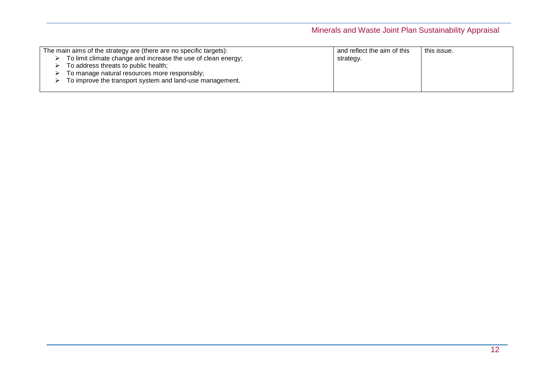| The main aims of the strategy are (there are no specific targets): | and reflect the aim of this | this issue. |
|--------------------------------------------------------------------|-----------------------------|-------------|
| To limit climate change and increase the use of clean energy;      | strategy.                   |             |
| To address threats to public health;                               |                             |             |
| To manage natural resources more responsibly;                      |                             |             |
| To improve the transport system and land-use management.           |                             |             |
|                                                                    |                             |             |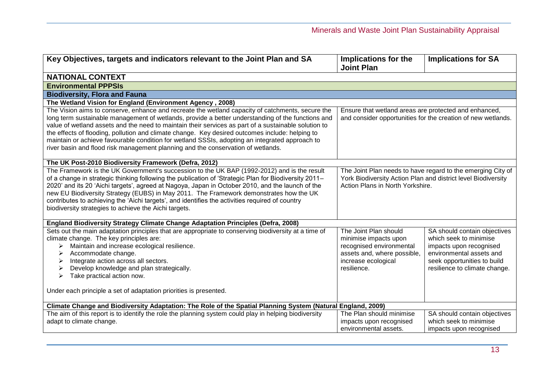<span id="page-12-0"></span>

| Key Objectives, targets and indicators relevant to the Joint Plan and SA                                                                                                                                                                                                                                                                                                                                                                                                                                                                                                                               | Implications for the<br><b>Joint Plan</b>                                                                                                                        | <b>Implications for SA</b>                                                                                                                                                    |
|--------------------------------------------------------------------------------------------------------------------------------------------------------------------------------------------------------------------------------------------------------------------------------------------------------------------------------------------------------------------------------------------------------------------------------------------------------------------------------------------------------------------------------------------------------------------------------------------------------|------------------------------------------------------------------------------------------------------------------------------------------------------------------|-------------------------------------------------------------------------------------------------------------------------------------------------------------------------------|
| <b>NATIONAL CONTEXT</b>                                                                                                                                                                                                                                                                                                                                                                                                                                                                                                                                                                                |                                                                                                                                                                  |                                                                                                                                                                               |
| <b>Environmental PPPSIs</b>                                                                                                                                                                                                                                                                                                                                                                                                                                                                                                                                                                            |                                                                                                                                                                  |                                                                                                                                                                               |
| <b>Biodiversity, Flora and Fauna</b>                                                                                                                                                                                                                                                                                                                                                                                                                                                                                                                                                                   |                                                                                                                                                                  |                                                                                                                                                                               |
| The Wetland Vision for England (Environment Agency, 2008)                                                                                                                                                                                                                                                                                                                                                                                                                                                                                                                                              |                                                                                                                                                                  |                                                                                                                                                                               |
| The Vision aims to conserve, enhance and recreate the wetland capacity of catchments, secure the<br>long term sustainable management of wetlands, provide a better understanding of the functions and<br>value of wetland assets and the need to maintain their services as part of a sustainable solution to<br>the effects of flooding, pollution and climate change. Key desired outcomes include: helping to<br>maintain or achieve favourable condition for wetland SSSIs, adopting an integrated approach to<br>river basin and flood risk management planning and the conservation of wetlands. | Ensure that wetland areas are protected and enhanced,<br>and consider opportunities for the creation of new wetlands.                                            |                                                                                                                                                                               |
| The UK Post-2010 Biodiversity Framework (Defra, 2012)                                                                                                                                                                                                                                                                                                                                                                                                                                                                                                                                                  |                                                                                                                                                                  |                                                                                                                                                                               |
| The Framework is the UK Government's succession to the UK BAP (1992-2012) and is the result<br>of a change in strategic thinking following the publication of 'Strategic Plan for Biodiversity 2011–<br>2020' and its 20 'Aichi targets', agreed at Nagoya, Japan in October 2010, and the launch of the<br>new EU Biodiversity Strategy (EUBS) in May 2011. The Framework demonstrates how the UK<br>contributes to achieving the 'Aichi targets', and identifies the activities required of country<br>biodiversity strategies to achieve the Aichi targets.                                         | The Joint Plan needs to have regard to the emerging City of<br>York Biodiversity Action Plan and district level Biodiversity<br>Action Plans in North Yorkshire. |                                                                                                                                                                               |
| <b>England Biodiversity Strategy Climate Change Adaptation Principles (Defra, 2008)</b>                                                                                                                                                                                                                                                                                                                                                                                                                                                                                                                |                                                                                                                                                                  |                                                                                                                                                                               |
| Sets out the main adaptation principles that are appropriate to conserving biodiversity at a time of<br>climate change. The key principles are:<br>Maintain and increase ecological resilience.<br>⋗<br>Accommodate change.<br>Integrate action across all sectors.<br>➤<br>Develop knowledge and plan strategically.<br>Take practical action now.<br>⋗                                                                                                                                                                                                                                               | The Joint Plan should<br>minimise impacts upon<br>recognised environmental<br>assets and, where possible,<br>increase ecological<br>resilience.                  | SA should contain objectives<br>which seek to minimise<br>impacts upon recognised<br>environmental assets and<br>seek opportunities to build<br>resilience to climate change. |
| Under each principle a set of adaptation priorities is presented.                                                                                                                                                                                                                                                                                                                                                                                                                                                                                                                                      |                                                                                                                                                                  |                                                                                                                                                                               |
| Climate Change and Biodiversity Adaptation: The Role of the Spatial Planning System (Natural England, 2009)                                                                                                                                                                                                                                                                                                                                                                                                                                                                                            |                                                                                                                                                                  |                                                                                                                                                                               |
| The aim of this report is to identify the role the planning system could play in helping biodiversity<br>adapt to climate change.                                                                                                                                                                                                                                                                                                                                                                                                                                                                      | The Plan should minimise<br>impacts upon recognised<br>environmental assets.                                                                                     | SA should contain objectives<br>which seek to minimise<br>impacts upon recognised                                                                                             |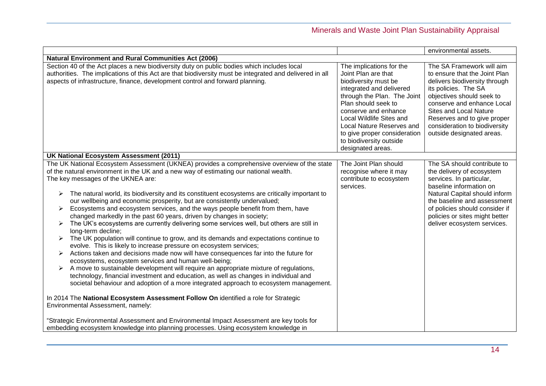|                                                                                                                                                                                                                                                                                                                                                                                                                                                                                                                                                                                                                                                                                                                                                                                                                                                                                                                                                                                                                                                                                                                                                                                                                                                                                                                                                                                          |                                                                                                                                                                                                                                                                                                                            | environmental assets.                                                                                                                                                                                                                                                                                        |
|------------------------------------------------------------------------------------------------------------------------------------------------------------------------------------------------------------------------------------------------------------------------------------------------------------------------------------------------------------------------------------------------------------------------------------------------------------------------------------------------------------------------------------------------------------------------------------------------------------------------------------------------------------------------------------------------------------------------------------------------------------------------------------------------------------------------------------------------------------------------------------------------------------------------------------------------------------------------------------------------------------------------------------------------------------------------------------------------------------------------------------------------------------------------------------------------------------------------------------------------------------------------------------------------------------------------------------------------------------------------------------------|----------------------------------------------------------------------------------------------------------------------------------------------------------------------------------------------------------------------------------------------------------------------------------------------------------------------------|--------------------------------------------------------------------------------------------------------------------------------------------------------------------------------------------------------------------------------------------------------------------------------------------------------------|
| <b>Natural Environment and Rural Communities Act (2006)</b>                                                                                                                                                                                                                                                                                                                                                                                                                                                                                                                                                                                                                                                                                                                                                                                                                                                                                                                                                                                                                                                                                                                                                                                                                                                                                                                              |                                                                                                                                                                                                                                                                                                                            |                                                                                                                                                                                                                                                                                                              |
| Section 40 of the Act places a new biodiversity duty on public bodies which includes local<br>authorities. The implications of this Act are that biodiversity must be integrated and delivered in all<br>aspects of infrastructure, finance, development control and forward planning.                                                                                                                                                                                                                                                                                                                                                                                                                                                                                                                                                                                                                                                                                                                                                                                                                                                                                                                                                                                                                                                                                                   | The implications for the<br>Joint Plan are that<br>biodiversity must be<br>integrated and delivered<br>through the Plan. The Joint<br>Plan should seek to<br>conserve and enhance<br>Local Wildlife Sites and<br>Local Nature Reserves and<br>to give proper consideration<br>to biodiversity outside<br>designated areas. | The SA Framework will aim<br>to ensure that the Joint Plan<br>delivers biodiversity through<br>its policies. The SA<br>objectives should seek to<br>conserve and enhance Local<br><b>Sites and Local Nature</b><br>Reserves and to give proper<br>consideration to biodiversity<br>outside designated areas. |
| UK National Ecosystem Assessment (2011)                                                                                                                                                                                                                                                                                                                                                                                                                                                                                                                                                                                                                                                                                                                                                                                                                                                                                                                                                                                                                                                                                                                                                                                                                                                                                                                                                  |                                                                                                                                                                                                                                                                                                                            |                                                                                                                                                                                                                                                                                                              |
| The UK National Ecosystem Assessment (UKNEA) provides a comprehensive overview of the state<br>of the natural environment in the UK and a new way of estimating our national wealth.<br>The key messages of the UKNEA are:<br>The natural world, its biodiversity and its constituent ecosystems are critically important to<br>➤<br>our wellbeing and economic prosperity, but are consistently undervalued;<br>Ecosystems and ecosystem services, and the ways people benefit from them, have<br>➤<br>changed markedly in the past 60 years, driven by changes in society;<br>The UK's ecosystems are currently delivering some services well, but others are still in<br>➤<br>long-term decline;<br>The UK population will continue to grow, and its demands and expectations continue to<br>evolve. This is likely to increase pressure on ecosystem services;<br>Actions taken and decisions made now will have consequences far into the future for<br>➤<br>ecosystems, ecosystem services and human well-being;<br>A move to sustainable development will require an appropriate mixture of regulations,<br>technology, financial investment and education, as well as changes in individual and<br>societal behaviour and adoption of a more integrated approach to ecosystem management.<br>In 2014 The National Ecosystem Assessment Follow On identified a role for Strategic | The Joint Plan should<br>recognise where it may<br>contribute to ecosystem<br>services.                                                                                                                                                                                                                                    | The SA should contribute to<br>the delivery of ecosystem<br>services. In particular,<br>baseline information on<br>Natural Capital should inform<br>the baseline and assessment<br>of policies should consider if<br>policies or sites might better<br>deliver ecosystem services.                           |
| Environmental Assessment, namely:                                                                                                                                                                                                                                                                                                                                                                                                                                                                                                                                                                                                                                                                                                                                                                                                                                                                                                                                                                                                                                                                                                                                                                                                                                                                                                                                                        |                                                                                                                                                                                                                                                                                                                            |                                                                                                                                                                                                                                                                                                              |
| "Strategic Environmental Assessment and Environmental Impact Assessment are key tools for<br>embedding ecosystem knowledge into planning processes. Using ecosystem knowledge in                                                                                                                                                                                                                                                                                                                                                                                                                                                                                                                                                                                                                                                                                                                                                                                                                                                                                                                                                                                                                                                                                                                                                                                                         |                                                                                                                                                                                                                                                                                                                            |                                                                                                                                                                                                                                                                                                              |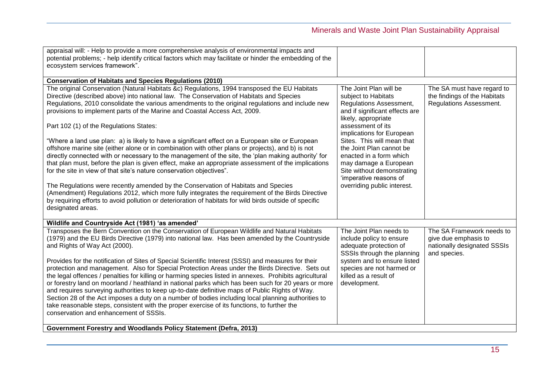| appraisal will: - Help to provide a more comprehensive analysis of environmental impacts and<br>potential problems; - help identify critical factors which may facilitate or hinder the embedding of the<br>ecosystem services framework".                                                                                                                                                                                                                                                                                                                                                                                                                                                                                                                                                                                                                                                                                                                                                                                                                                                                                                                                                                                                  |                                                                                                                                                                                                                                                                                                                                                                                          |                                                                                                  |
|---------------------------------------------------------------------------------------------------------------------------------------------------------------------------------------------------------------------------------------------------------------------------------------------------------------------------------------------------------------------------------------------------------------------------------------------------------------------------------------------------------------------------------------------------------------------------------------------------------------------------------------------------------------------------------------------------------------------------------------------------------------------------------------------------------------------------------------------------------------------------------------------------------------------------------------------------------------------------------------------------------------------------------------------------------------------------------------------------------------------------------------------------------------------------------------------------------------------------------------------|------------------------------------------------------------------------------------------------------------------------------------------------------------------------------------------------------------------------------------------------------------------------------------------------------------------------------------------------------------------------------------------|--------------------------------------------------------------------------------------------------|
| <b>Conservation of Habitats and Species Regulations (2010)</b>                                                                                                                                                                                                                                                                                                                                                                                                                                                                                                                                                                                                                                                                                                                                                                                                                                                                                                                                                                                                                                                                                                                                                                              |                                                                                                                                                                                                                                                                                                                                                                                          |                                                                                                  |
| The original Conservation (Natural Habitats &c) Regulations, 1994 transposed the EU Habitats<br>Directive (described above) into national law. The Conservation of Habitats and Species<br>Regulations, 2010 consolidate the various amendments to the original regulations and include new<br>provisions to implement parts of the Marine and Coastal Access Act, 2009.<br>Part 102 (1) of the Regulations States:<br>"Where a land use plan: a) is likely to have a significant effect on a European site or European<br>offshore marine site (either alone or in combination with other plans or projects), and b) is not<br>directly connected with or necessary to the management of the site, the 'plan making authority' for<br>that plan must, before the plan is given effect, make an appropriate assessment of the implications<br>for the site in view of that site's nature conservation objectives".<br>The Regulations were recently amended by the Conservation of Habitats and Species<br>(Amendment) Regulations 2012, which more fully integrates the requirement of the Birds Directive<br>by requiring efforts to avoid pollution or deterioration of habitats for wild birds outside of specific<br>designated areas. | The Joint Plan will be<br>subject to Habitats<br>Regulations Assessment,<br>and if significant effects are<br>likely, appropriate<br>assessment of its<br>implications for European<br>Sites. This will mean that<br>the Joint Plan cannot be<br>enacted in a form which<br>may damage a European<br>Site without demonstrating<br>'imperative reasons of<br>overriding public interest. | The SA must have regard to<br>the findings of the Habitats<br>Regulations Assessment.            |
| Wildlife and Countryside Act (1981) 'as amended'                                                                                                                                                                                                                                                                                                                                                                                                                                                                                                                                                                                                                                                                                                                                                                                                                                                                                                                                                                                                                                                                                                                                                                                            |                                                                                                                                                                                                                                                                                                                                                                                          |                                                                                                  |
| Transposes the Bern Convention on the Conservation of European Wildlife and Natural Habitats<br>(1979) and the EU Birds Directive (1979) into national law. Has been amended by the Countryside<br>and Rights of Way Act (2000).<br>Provides for the notification of Sites of Special Scientific Interest (SSSI) and measures for their<br>protection and management. Also for Special Protection Areas under the Birds Directive. Sets out<br>the legal offences / penalties for killing or harming species listed in annexes. Prohibits agricultural<br>or forestry land on moorland / heathland in national parks which has been such for 20 years or more<br>and requires surveying authorities to keep up-to-date definitive maps of Public Rights of Way.<br>Section 28 of the Act imposes a duty on a number of bodies including local planning authorities to<br>take reasonable steps, consistent with the proper exercise of its functions, to further the<br>conservation and enhancement of SSSIs.                                                                                                                                                                                                                              | The Joint Plan needs to<br>include policy to ensure<br>adequate protection of<br>SSSIs through the planning<br>system and to ensure listed<br>species are not harmed or<br>killed as a result of<br>development.                                                                                                                                                                         | The SA Framework needs to<br>give due emphasis to<br>nationally designated SSSIs<br>and species. |
| Government Forestry and Woodlands Policy Statement (Defra, 2013)                                                                                                                                                                                                                                                                                                                                                                                                                                                                                                                                                                                                                                                                                                                                                                                                                                                                                                                                                                                                                                                                                                                                                                            |                                                                                                                                                                                                                                                                                                                                                                                          |                                                                                                  |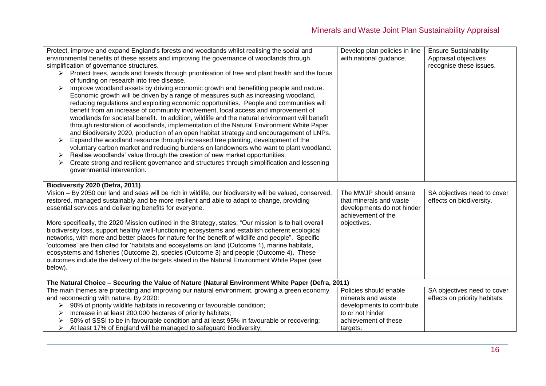| Protect, improve and expand England's forests and woodlands whilst realising the social and                                                                                             | Develop plan policies in line | <b>Ensure Sustainability</b>  |
|-----------------------------------------------------------------------------------------------------------------------------------------------------------------------------------------|-------------------------------|-------------------------------|
| environmental benefits of these assets and improving the governance of woodlands through                                                                                                | with national guidance.       | Appraisal objectives          |
| simplification of governance structures.                                                                                                                                                |                               | recognise these issues.       |
| $\triangleright$ Protect trees, woods and forests through prioritisation of tree and plant health and the focus                                                                         |                               |                               |
| of funding on research into tree disease.                                                                                                                                               |                               |                               |
| Improve woodland assets by driving economic growth and benefitting people and nature.                                                                                                   |                               |                               |
| Economic growth will be driven by a range of measures such as increasing woodland,                                                                                                      |                               |                               |
| reducing regulations and exploiting economic opportunities. People and communities will<br>benefit from an increase of community involvement, local access and improvement of           |                               |                               |
| woodlands for societal benefit. In addition, wildlife and the natural environment will benefit                                                                                          |                               |                               |
| through restoration of woodlands, implementation of the Natural Environment White Paper                                                                                                 |                               |                               |
| and Biodiversity 2020, production of an open habitat strategy and encouragement of LNPs.                                                                                                |                               |                               |
| Expand the woodland resource through increased tree planting, development of the                                                                                                        |                               |                               |
| voluntary carbon market and reducing burdens on landowners who want to plant woodland.                                                                                                  |                               |                               |
| Realise woodlands' value through the creation of new market opportunities.<br>➤                                                                                                         |                               |                               |
| Create strong and resilient governance and structures through simplification and lessening                                                                                              |                               |                               |
| governmental intervention.                                                                                                                                                              |                               |                               |
|                                                                                                                                                                                         |                               |                               |
| Biodiversity 2020 (Defra, 2011)                                                                                                                                                         |                               |                               |
| Vision - By 2050 our land and seas will be rich in wildlife, our biodiversity will be valued, conserved,                                                                                | The MWJP should ensure        | SA objectives need to cover   |
| restored, managed sustainably and be more resilient and able to adapt to change, providing                                                                                              | that minerals and waste       | effects on biodiversity.      |
| essential services and delivering benefits for everyone.                                                                                                                                | developments do not hinder    |                               |
|                                                                                                                                                                                         | achievement of the            |                               |
| More specifically, the 2020 Mission outlined in the Strategy, states: "Our mission is to halt overall                                                                                   | objectives.                   |                               |
| biodiversity loss, support healthy well-functioning ecosystems and establish coherent ecological                                                                                        |                               |                               |
| networks, with more and better places for nature for the benefit of wildlife and people". Specific                                                                                      |                               |                               |
| 'outcomes' are then cited for 'habitats and ecosystems on land (Outcome 1), marine habitats,<br>ecosystems and fisheries (Outcome 2), species (Outcome 3) and people (Outcome 4). These |                               |                               |
| outcomes include the delivery of the targets stated in the Natural Environment White Paper (see                                                                                         |                               |                               |
| below).                                                                                                                                                                                 |                               |                               |
|                                                                                                                                                                                         |                               |                               |
| The Natural Choice - Securing the Value of Nature (Natural Environment White Paper (Defra, 2011)                                                                                        |                               |                               |
| The main themes are protecting and improving our natural environment, growing a green economy                                                                                           | Policies should enable        | SA objectives need to cover   |
| and reconnecting with nature. By 2020:                                                                                                                                                  | minerals and waste            | effects on priority habitats. |
| 90% of priority wildlife habitats in recovering or favourable condition;<br>➤                                                                                                           |                               |                               |
|                                                                                                                                                                                         | developments to contribute    |                               |
| Increase in at least 200,000 hectares of priority habitats;                                                                                                                             | to or not hinder              |                               |
| 50% of SSSI to be in favourable condition and at least 95% in favourable or recovering;<br>At least 17% of England will be managed to safeguard biodiversity;                           | achievement of these          |                               |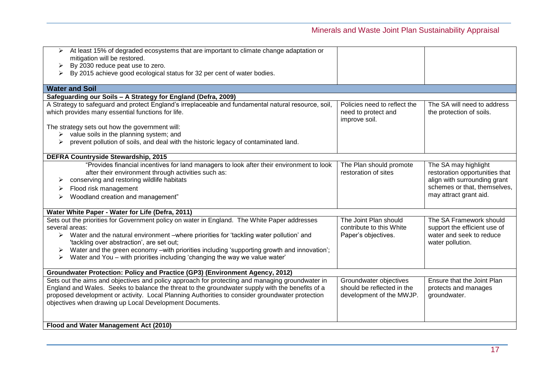| At least 15% of degraded ecosystems that are important to climate change adaptation or<br>➤                                                          |                              |                                |
|------------------------------------------------------------------------------------------------------------------------------------------------------|------------------------------|--------------------------------|
| mitigation will be restored.<br>By 2030 reduce peat use to zero.<br>➤                                                                                |                              |                                |
| By 2015 achieve good ecological status for 32 per cent of water bodies.<br>➤                                                                         |                              |                                |
|                                                                                                                                                      |                              |                                |
| <b>Water and Soil</b>                                                                                                                                |                              |                                |
| Safeguarding our Soils - A Strategy for England (Defra, 2009)                                                                                        |                              |                                |
| A Strategy to safeguard and protect England's irreplaceable and fundamental natural resource, soil,                                                  | Policies need to reflect the | The SA will need to address    |
| which provides many essential functions for life.                                                                                                    | need to protect and          | the protection of soils.       |
|                                                                                                                                                      | improve soil.                |                                |
| The strategy sets out how the government will:                                                                                                       |                              |                                |
| $\triangleright$ value soils in the planning system; and<br>prevent pollution of soils, and deal with the historic legacy of contaminated land.<br>➤ |                              |                                |
|                                                                                                                                                      |                              |                                |
| <b>DEFRA Countryside Stewardship, 2015</b>                                                                                                           |                              |                                |
| "Provides financial incentives for land managers to look after their environment to look                                                             | The Plan should promote      | The SA may highlight           |
| after their environment through activities such as:                                                                                                  | restoration of sites         | restoration opportunities that |
| conserving and restoring wildlife habitats<br>➤                                                                                                      |                              | align with surrounding grant   |
| Flood risk management<br>➤                                                                                                                           |                              | schemes or that, themselves,   |
| Woodland creation and management"                                                                                                                    |                              | may attract grant aid.         |
|                                                                                                                                                      |                              |                                |
| Water White Paper - Water for Life (Defra, 2011)                                                                                                     |                              |                                |
| Sets out the priorities for Government policy on water in England. The White Paper addresses                                                         | The Joint Plan should        | The SA Framework should        |
| several areas:                                                                                                                                       | contribute to this White     | support the efficient use of   |
| $\triangleright$ Water and the natural environment –where priorities for 'tackling water pollution' and                                              | Paper's objectives.          | water and seek to reduce       |
| 'tackling over abstraction', are set out;                                                                                                            |                              | water pollution.               |
| Water and the green economy -with priorities including 'supporting growth and innovation';                                                           |                              |                                |
| Water and You - with priorities including 'changing the way we value water'<br>➤                                                                     |                              |                                |
| Groundwater Protection: Policy and Practice (GP3) (Environment Agency, 2012)                                                                         |                              |                                |
| Sets out the aims and objectives and policy approach for protecting and managing groundwater in                                                      | Groundwater objectives       | Ensure that the Joint Plan     |
| England and Wales. Seeks to balance the threat to the groundwater supply with the benefits of a                                                      | should be reflected in the   | protects and manages           |
| proposed development or activity. Local Planning Authorities to consider groundwater protection                                                      | development of the MWJP.     | groundwater.                   |
| objectives when drawing up Local Development Documents.                                                                                              |                              |                                |
|                                                                                                                                                      |                              |                                |
|                                                                                                                                                      |                              |                                |
| Flood and Water Management Act (2010)                                                                                                                |                              |                                |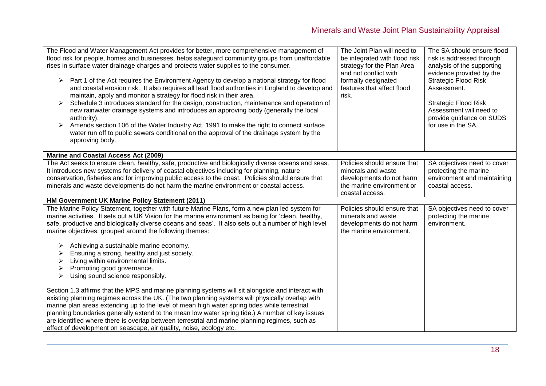| The Flood and Water Management Act provides for better, more comprehensive management of<br>flood risk for people, homes and businesses, helps safeguard community groups from unaffordable<br>rises in surface water drainage charges and protects water supplies to the consumer.<br>Part 1 of the Act requires the Environment Agency to develop a national strategy for flood<br>➤<br>and coastal erosion risk. It also requires all lead flood authorities in England to develop and<br>maintain, apply and monitor a strategy for flood risk in their area.<br>Schedule 3 introduces standard for the design, construction, maintenance and operation of<br>➤<br>new rainwater drainage systems and introduces an approving body (generally the local<br>authority).<br>Amends section 106 of the Water Industry Act, 1991 to make the right to connect surface<br>water run off to public sewers conditional on the approval of the drainage system by the<br>approving body. | The Joint Plan will need to<br>be integrated with flood risk<br>strategy for the Plan Area<br>and not conflict with<br>formally designated<br>features that affect flood<br>risk. | The SA should ensure flood<br>risk is addressed through<br>analysis of the supporting<br>evidence provided by the<br><b>Strategic Flood Risk</b><br>Assessment.<br><b>Strategic Flood Risk</b><br>Assessment will need to<br>provide guidance on SUDS<br>for use in the SA. |
|--------------------------------------------------------------------------------------------------------------------------------------------------------------------------------------------------------------------------------------------------------------------------------------------------------------------------------------------------------------------------------------------------------------------------------------------------------------------------------------------------------------------------------------------------------------------------------------------------------------------------------------------------------------------------------------------------------------------------------------------------------------------------------------------------------------------------------------------------------------------------------------------------------------------------------------------------------------------------------------|-----------------------------------------------------------------------------------------------------------------------------------------------------------------------------------|-----------------------------------------------------------------------------------------------------------------------------------------------------------------------------------------------------------------------------------------------------------------------------|
| <b>Marine and Coastal Access Act (2009)</b>                                                                                                                                                                                                                                                                                                                                                                                                                                                                                                                                                                                                                                                                                                                                                                                                                                                                                                                                          |                                                                                                                                                                                   |                                                                                                                                                                                                                                                                             |
| The Act seeks to ensure clean, healthy, safe, productive and biologically diverse oceans and seas.<br>It introduces new systems for delivery of coastal objectives including for planning, nature<br>conservation, fisheries and for improving public access to the coast. Policies should ensure that<br>minerals and waste developments do not harm the marine environment or coastal access.                                                                                                                                                                                                                                                                                                                                                                                                                                                                                                                                                                                      | Policies should ensure that<br>minerals and waste<br>developments do not harm<br>the marine environment or<br>coastal access.                                                     | SA objectives need to cover<br>protecting the marine<br>environment and maintaining<br>coastal access.                                                                                                                                                                      |
| HM Government UK Marine Policy Statement (2011)                                                                                                                                                                                                                                                                                                                                                                                                                                                                                                                                                                                                                                                                                                                                                                                                                                                                                                                                      |                                                                                                                                                                                   |                                                                                                                                                                                                                                                                             |
| The Marine Policy Statement, together with future Marine Plans, form a new plan led system for<br>marine activities. It sets out a UK Vision for the marine environment as being for 'clean, healthy,<br>safe, productive and biologically diverse oceans and seas'. It also sets out a number of high level<br>marine objectives, grouped around the following themes:                                                                                                                                                                                                                                                                                                                                                                                                                                                                                                                                                                                                              | Policies should ensure that<br>minerals and waste<br>developments do not harm<br>the marine environment.                                                                          | SA objectives need to cover<br>protecting the marine<br>environment.                                                                                                                                                                                                        |
| Achieving a sustainable marine economy.<br>➤<br>Ensuring a strong, healthy and just society.<br>Living within environmental limits.<br>➤<br>Promoting good governance.<br>➤<br>Using sound science responsibly.<br>➤                                                                                                                                                                                                                                                                                                                                                                                                                                                                                                                                                                                                                                                                                                                                                                 |                                                                                                                                                                                   |                                                                                                                                                                                                                                                                             |
| Section 1.3 affirms that the MPS and marine planning systems will sit alongside and interact with<br>existing planning regimes across the UK. (The two planning systems will physically overlap with<br>marine plan areas extending up to the level of mean high water spring tides while terrestrial<br>planning boundaries generally extend to the mean low water spring tide.) A number of key issues<br>are identified where there is overlap between terrestrial and marine planning regimes, such as<br>effect of development on seascape, air quality, noise, ecology etc.                                                                                                                                                                                                                                                                                                                                                                                                    |                                                                                                                                                                                   |                                                                                                                                                                                                                                                                             |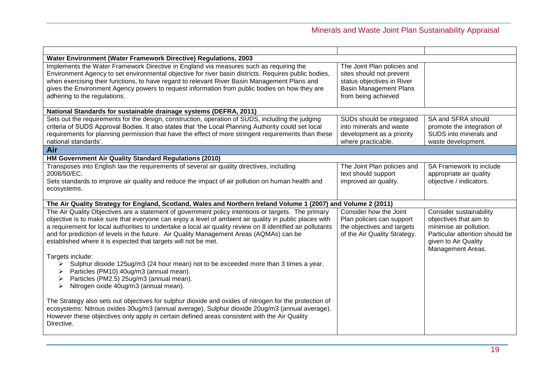| Water Environment (Water Framework Directive) Regulations, 2003                                                                                                                                                                                                                                                                                                                                                                                                                         |                                                                                                                                               |                                                                                                                                                             |
|-----------------------------------------------------------------------------------------------------------------------------------------------------------------------------------------------------------------------------------------------------------------------------------------------------------------------------------------------------------------------------------------------------------------------------------------------------------------------------------------|-----------------------------------------------------------------------------------------------------------------------------------------------|-------------------------------------------------------------------------------------------------------------------------------------------------------------|
| Implements the Water Framework Directive in England via measures such as requiring the<br>Environment Agency to set environmental objective for river basin districts. Requires public bodies,<br>when exercising their functions, to have regard to relevant River Basin Management Plans and<br>gives the Environment Agency powers to request information from public bodies on how they are<br>adhering to the regulations.                                                         | The Joint Plan policies and<br>sites should not prevent<br>status objectives in River<br><b>Basin Management Plans</b><br>from being achieved |                                                                                                                                                             |
| National Standards for sustainable drainage systems (DEFRA, 2011)                                                                                                                                                                                                                                                                                                                                                                                                                       |                                                                                                                                               |                                                                                                                                                             |
| Sets out the requirements for the design, construction, operation of SUDS, including the judging<br>criteria of SUDS Approval Bodies. It also states that 'the Local Planning Authority could set local<br>requirements for planning permission that have the effect of more stringent requirements than these<br>national standards'.                                                                                                                                                  | SUDs should be integrated<br>into minerals and waste<br>development as a priority<br>where practicable.                                       | SA and SFRA should<br>promote the integration of<br>SUDS into minerals and<br>waste development.                                                            |
| Air                                                                                                                                                                                                                                                                                                                                                                                                                                                                                     |                                                                                                                                               |                                                                                                                                                             |
| HM Government Air Quality Standard Regulations (2010)                                                                                                                                                                                                                                                                                                                                                                                                                                   |                                                                                                                                               |                                                                                                                                                             |
| Transposes into English law the requirements of several air quality directives, including<br>2008/50/EC.<br>Sets standards to improve air quality and reduce the impact of air pollution on human health and<br>ecosystems.                                                                                                                                                                                                                                                             | The Joint Plan policies and<br>text should support<br>improved air quality.                                                                   | SA Framework to include<br>appropriate air quality<br>objective / indicators.                                                                               |
| The Air Quality Strategy for England, Scotland, Wales and Northern Ireland Volume 1 (2007) and Volume 2 (2011)                                                                                                                                                                                                                                                                                                                                                                          |                                                                                                                                               |                                                                                                                                                             |
| The Air Quality Objectives are a statement of government policy intentions or targets. The primary<br>objective is to make sure that everyone can enjoy a level of ambient air quality in public places with<br>a requirement for local authorities to undertake a local air quality review on 8 identified air pollutants<br>and for prediction of levels in the future. Air Quality Management Areas (AQMAs) can be<br>established where it is expected that targets will not be met. | Consider how the Joint<br>Plan policies can support<br>the objectives and targets<br>of the Air Quality Strategy.                             | Consider sustainability<br>objectives that aim to<br>minimise air pollution.<br>Particular attention should be<br>given to Air Quality<br>Management Areas. |
| Targets include:<br>Sulphur dioxide 125ug/m3 (24 hour mean) not to be exceeded more than 3 times a year.<br>≻<br>Particles (PM10) 40ug/m3 (annual mean).<br>➤<br>Particles (PM2.5) 25ug/m3 (annual mean).<br>➤<br>➤<br>Nitrogen oxide 40ug/m3 (annual mean).                                                                                                                                                                                                                            |                                                                                                                                               |                                                                                                                                                             |
| The Strategy also sets out objectives for sulphur dioxide and oxides of nitrogen for the protection of<br>ecosystems: Nitrous oxides 30ug/m3 (annual average), Sulphur dioxide 20ug/m3 (annual average).<br>However these objectives only apply in certain defined areas consistent with the Air Quality<br>Directive.                                                                                                                                                                  |                                                                                                                                               |                                                                                                                                                             |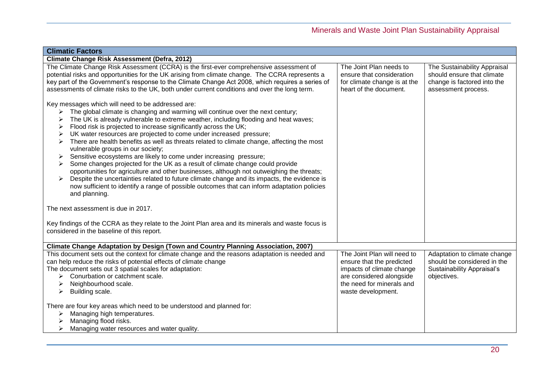| <b>Climatic Factors</b>                                                                                                                                                                                                                                                                                                                                                                                                                                                                                                                                                                                                                                                                                                                                                                                                                                                                                                                                                                    |                                                                                                                                                                      |                                                                                                                  |  |
|--------------------------------------------------------------------------------------------------------------------------------------------------------------------------------------------------------------------------------------------------------------------------------------------------------------------------------------------------------------------------------------------------------------------------------------------------------------------------------------------------------------------------------------------------------------------------------------------------------------------------------------------------------------------------------------------------------------------------------------------------------------------------------------------------------------------------------------------------------------------------------------------------------------------------------------------------------------------------------------------|----------------------------------------------------------------------------------------------------------------------------------------------------------------------|------------------------------------------------------------------------------------------------------------------|--|
| <b>Climate Change Risk Assessment (Defra, 2012)</b>                                                                                                                                                                                                                                                                                                                                                                                                                                                                                                                                                                                                                                                                                                                                                                                                                                                                                                                                        |                                                                                                                                                                      |                                                                                                                  |  |
| The Climate Change Risk Assessment (CCRA) is the first-ever comprehensive assessment of<br>potential risks and opportunities for the UK arising from climate change. The CCRA represents a<br>key part of the Government's response to the Climate Change Act 2008, which requires a series of<br>assessments of climate risks to the UK, both under current conditions and over the long term.                                                                                                                                                                                                                                                                                                                                                                                                                                                                                                                                                                                            | The Joint Plan needs to<br>ensure that consideration<br>for climate change is at the<br>heart of the document.                                                       | The Sustainability Appraisal<br>should ensure that climate<br>change is factored into the<br>assessment process. |  |
| Key messages which will need to be addressed are:<br>The global climate is changing and warming will continue over the next century;<br>➤<br>The UK is already vulnerable to extreme weather, including flooding and heat waves;<br>Flood risk is projected to increase significantly across the UK;<br>UK water resources are projected to come under increased pressure;<br>There are health benefits as well as threats related to climate change, affecting the most<br>vulnerable groups in our society;<br>Sensitive ecosystems are likely to come under increasing pressure;<br>➤<br>Some changes projected for the UK as a result of climate change could provide<br>opportunities for agriculture and other businesses, although not outweighing the threats;<br>Despite the uncertainties related to future climate change and its impacts, the evidence is<br>➤<br>now sufficient to identify a range of possible outcomes that can inform adaptation policies<br>and planning. |                                                                                                                                                                      |                                                                                                                  |  |
| The next assessment is due in 2017.                                                                                                                                                                                                                                                                                                                                                                                                                                                                                                                                                                                                                                                                                                                                                                                                                                                                                                                                                        |                                                                                                                                                                      |                                                                                                                  |  |
| Key findings of the CCRA as they relate to the Joint Plan area and its minerals and waste focus is<br>considered in the baseline of this report.                                                                                                                                                                                                                                                                                                                                                                                                                                                                                                                                                                                                                                                                                                                                                                                                                                           |                                                                                                                                                                      |                                                                                                                  |  |
| Climate Change Adaptation by Design (Town and Country Planning Association, 2007)                                                                                                                                                                                                                                                                                                                                                                                                                                                                                                                                                                                                                                                                                                                                                                                                                                                                                                          |                                                                                                                                                                      |                                                                                                                  |  |
| This document sets out the context for climate change and the reasons adaptation is needed and<br>can help reduce the risks of potential effects of climate change<br>The document sets out 3 spatial scales for adaptation:<br>Conurbation or catchment scale.<br>⋗<br>Neighbourhood scale.<br>Building scale.<br>➤                                                                                                                                                                                                                                                                                                                                                                                                                                                                                                                                                                                                                                                                       | The Joint Plan will need to<br>ensure that the predicted<br>impacts of climate change<br>are considered alongside<br>the need for minerals and<br>waste development. | Adaptation to climate change<br>should be considered in the<br><b>Sustainability Appraisal's</b><br>objectives.  |  |
| There are four key areas which need to be understood and planned for:<br>Managing high temperatures.<br>≻<br>Managing flood risks.<br>Managing water resources and water quality.                                                                                                                                                                                                                                                                                                                                                                                                                                                                                                                                                                                                                                                                                                                                                                                                          |                                                                                                                                                                      |                                                                                                                  |  |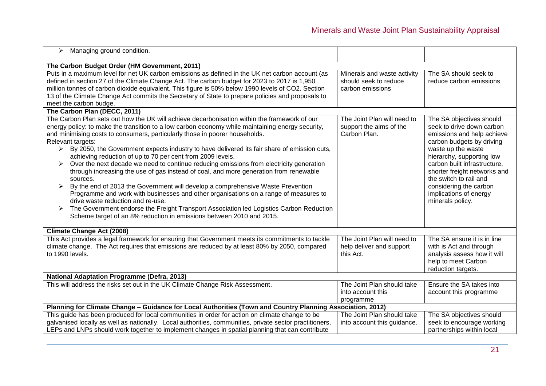| Managing ground condition.<br>≻                                                                                                                                                                                                                                                                                                                                                                                                                                                                                                                                                                                                                                                                                                                                                                                                                                                                                                                                                                                                                                                              |                                                                          |                                                                                                                                                                                                                                                                                                                                       |  |
|----------------------------------------------------------------------------------------------------------------------------------------------------------------------------------------------------------------------------------------------------------------------------------------------------------------------------------------------------------------------------------------------------------------------------------------------------------------------------------------------------------------------------------------------------------------------------------------------------------------------------------------------------------------------------------------------------------------------------------------------------------------------------------------------------------------------------------------------------------------------------------------------------------------------------------------------------------------------------------------------------------------------------------------------------------------------------------------------|--------------------------------------------------------------------------|---------------------------------------------------------------------------------------------------------------------------------------------------------------------------------------------------------------------------------------------------------------------------------------------------------------------------------------|--|
| The Carbon Budget Order (HM Government, 2011)                                                                                                                                                                                                                                                                                                                                                                                                                                                                                                                                                                                                                                                                                                                                                                                                                                                                                                                                                                                                                                                |                                                                          |                                                                                                                                                                                                                                                                                                                                       |  |
| Puts in a maximum level for net UK carbon emissions as defined in the UK net carbon account (as<br>defined in section 27 of the Climate Change Act. The carbon budget for 2023 to 2017 is 1,950<br>million tonnes of carbon dioxide equivalent. This figure is 50% below 1990 levels of CO2. Section<br>13 of the Climate Change Act commits the Secretary of State to prepare policies and proposals to<br>meet the carbon budge.                                                                                                                                                                                                                                                                                                                                                                                                                                                                                                                                                                                                                                                           | Minerals and waste activity<br>should seek to reduce<br>carbon emissions | The SA should seek to<br>reduce carbon emissions                                                                                                                                                                                                                                                                                      |  |
| The Carbon Plan (DECC, 2011)                                                                                                                                                                                                                                                                                                                                                                                                                                                                                                                                                                                                                                                                                                                                                                                                                                                                                                                                                                                                                                                                 |                                                                          |                                                                                                                                                                                                                                                                                                                                       |  |
| The Carbon Plan sets out how the UK will achieve decarbonisation within the framework of our<br>energy policy: to make the transition to a low carbon economy while maintaining energy security,<br>and minimising costs to consumers, particularly those in poorer households.<br>Relevant targets:<br>By 2050, the Government expects industry to have delivered its fair share of emission cuts,<br>$\blacktriangleright$<br>achieving reduction of up to 70 per cent from 2009 levels.<br>Over the next decade we need to continue reducing emissions from electricity generation<br>➤<br>through increasing the use of gas instead of coal, and more generation from renewable<br>sources.<br>By the end of 2013 the Government will develop a comprehensive Waste Prevention<br>➤<br>Programme and work with businesses and other organisations on a range of measures to<br>drive waste reduction and re-use.<br>The Government endorse the Freight Transport Association led Logistics Carbon Reduction<br>➤<br>Scheme target of an 8% reduction in emissions between 2010 and 2015. | The Joint Plan will need to<br>support the aims of the<br>Carbon Plan.   | The SA objectives should<br>seek to drive down carbon<br>emissions and help achieve<br>carbon budgets by driving<br>waste up the waste<br>hierarchy, supporting low<br>carbon built infrastructure,<br>shorter freight networks and<br>the switch to rail and<br>considering the carbon<br>implications of energy<br>minerals policy. |  |
| <b>Climate Change Act (2008)</b>                                                                                                                                                                                                                                                                                                                                                                                                                                                                                                                                                                                                                                                                                                                                                                                                                                                                                                                                                                                                                                                             |                                                                          |                                                                                                                                                                                                                                                                                                                                       |  |
| This Act provides a legal framework for ensuring that Government meets its commitments to tackle<br>climate change. The Act requires that emissions are reduced by at least 80% by 2050, compared<br>to 1990 levels.                                                                                                                                                                                                                                                                                                                                                                                                                                                                                                                                                                                                                                                                                                                                                                                                                                                                         | The Joint Plan will need to<br>help deliver and support<br>this Act.     | The SA ensure it is in line<br>with is Act and through<br>analysis assess how it will<br>help to meet Carbon<br>reduction targets.                                                                                                                                                                                                    |  |
| <b>National Adaptation Programme (Defra, 2013)</b>                                                                                                                                                                                                                                                                                                                                                                                                                                                                                                                                                                                                                                                                                                                                                                                                                                                                                                                                                                                                                                           |                                                                          |                                                                                                                                                                                                                                                                                                                                       |  |
| This will address the risks set out in the UK Climate Change Risk Assessment.                                                                                                                                                                                                                                                                                                                                                                                                                                                                                                                                                                                                                                                                                                                                                                                                                                                                                                                                                                                                                | The Joint Plan should take<br>into account this<br>programme             | Ensure the SA takes into<br>account this programme                                                                                                                                                                                                                                                                                    |  |
| Planning for Climate Change - Guidance for Local Authorities (Town and Country Planning Association, 2012)                                                                                                                                                                                                                                                                                                                                                                                                                                                                                                                                                                                                                                                                                                                                                                                                                                                                                                                                                                                   |                                                                          |                                                                                                                                                                                                                                                                                                                                       |  |
| This guide has been produced for local communities in order for action on climate change to be<br>galvanised locally as well as nationally. Local authorities, communities, private sector practitioners,<br>LEPs and LNPs should work together to implement changes in spatial planning that can contribute                                                                                                                                                                                                                                                                                                                                                                                                                                                                                                                                                                                                                                                                                                                                                                                 | The Joint Plan should take<br>into account this guidance.                | The SA objectives should<br>seek to encourage working<br>partnerships within local                                                                                                                                                                                                                                                    |  |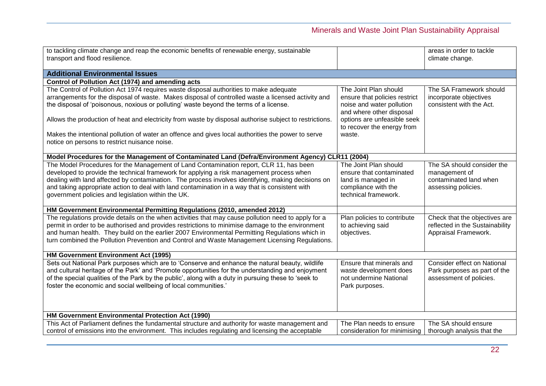| climate change.<br><b>Additional Environmental Issues</b><br>Control of Pollution Act (1974) and amending acts<br>The Control of Pollution Act 1974 requires waste disposal authorities to make adequate<br>The SA Framework should<br>The Joint Plan should<br>arrangements for the disposal of waste. Makes disposal of controlled waste a licensed activity and<br>ensure that policies restrict<br>incorporate objectives<br>the disposal of 'poisonous, noxious or polluting' waste beyond the terms of a license.<br>noise and water pollution<br>consistent with the Act.<br>and where other disposal<br>options are unfeasible seek<br>Allows the production of heat and electricity from waste by disposal authorise subject to restrictions.<br>to recover the energy from<br>Makes the intentional pollution of water an offence and gives local authorities the power to serve<br>waste.<br>notice on persons to restrict nuisance noise.<br>Model Procedures for the Management of Contaminated Land (Defra/Environment Agency) CLR11 (2004)<br>The Model Procedures for the Management of Land Contamination report, CLR 11, has been<br>The Joint Plan should<br>The SA should consider the<br>developed to provide the technical framework for applying a risk management process when<br>ensure that contaminated<br>management of<br>dealing with land affected by contamination. The process involves identifying, making decisions on<br>contaminated land when<br>land is managed in<br>and taking appropriate action to deal with land contamination in a way that is consistent with<br>compliance with the<br>assessing policies.<br>government policies and legislation within the UK.<br>technical framework.<br>HM Government Environmental Permitting Regulations (2010, amended 2012)<br>The regulations provide details on the when activities that may cause pollution need to apply for a<br>Plan policies to contribute<br>Check that the objectives are<br>permit in order to be authorised and provides restrictions to minimise damage to the environment<br>to achieving said<br>reflected in the Sustainability<br>and human health. They build on the earlier 2007 Environmental Permitting Regulations which in<br>Appraisal Framework.<br>objectives.<br>turn combined the Pollution Prevention and Control and Waste Management Licensing Regulations.<br>HM Government Environment Act (1995)<br>Sets out National Park purposes which are to 'Conserve and enhance the natural beauty, wildlife<br>Consider effect on National<br>Ensure that minerals and<br>and cultural heritage of the Park' and 'Promote opportunities for the understanding and enjoyment<br>Park purposes as part of the<br>waste development does<br>of the special qualities of the Park by the public', along with a duty in pursuing these to 'seek to<br>not undermine National<br>assessment of policies.<br>foster the economic and social wellbeing of local communities.'<br>Park purposes.<br>HM Government Environmental Protection Act (1990)<br>This Act of Parliament defines the fundamental structure and authority for waste management and<br>The SA should ensure<br>The Plan needs to ensure | to tackling climate change and reap the economic benefits of renewable energy, sustainable       |                              | areas in order to tackle   |
|-------------------------------------------------------------------------------------------------------------------------------------------------------------------------------------------------------------------------------------------------------------------------------------------------------------------------------------------------------------------------------------------------------------------------------------------------------------------------------------------------------------------------------------------------------------------------------------------------------------------------------------------------------------------------------------------------------------------------------------------------------------------------------------------------------------------------------------------------------------------------------------------------------------------------------------------------------------------------------------------------------------------------------------------------------------------------------------------------------------------------------------------------------------------------------------------------------------------------------------------------------------------------------------------------------------------------------------------------------------------------------------------------------------------------------------------------------------------------------------------------------------------------------------------------------------------------------------------------------------------------------------------------------------------------------------------------------------------------------------------------------------------------------------------------------------------------------------------------------------------------------------------------------------------------------------------------------------------------------------------------------------------------------------------------------------------------------------------------------------------------------------------------------------------------------------------------------------------------------------------------------------------------------------------------------------------------------------------------------------------------------------------------------------------------------------------------------------------------------------------------------------------------------------------------------------------------------------------------------------------------------------------------------------------------------------------------------------------------------------------------------------------------------------------------------------------------------------------------------------------------------------------------------------------------------------------------------------------------------------------------------------------------------------------------------------------------------------------------------------------------------------------------------------------------------------------------------------------------------------|--------------------------------------------------------------------------------------------------|------------------------------|----------------------------|
|                                                                                                                                                                                                                                                                                                                                                                                                                                                                                                                                                                                                                                                                                                                                                                                                                                                                                                                                                                                                                                                                                                                                                                                                                                                                                                                                                                                                                                                                                                                                                                                                                                                                                                                                                                                                                                                                                                                                                                                                                                                                                                                                                                                                                                                                                                                                                                                                                                                                                                                                                                                                                                                                                                                                                                                                                                                                                                                                                                                                                                                                                                                                                                                                                                     | transport and flood resilience.                                                                  |                              |                            |
|                                                                                                                                                                                                                                                                                                                                                                                                                                                                                                                                                                                                                                                                                                                                                                                                                                                                                                                                                                                                                                                                                                                                                                                                                                                                                                                                                                                                                                                                                                                                                                                                                                                                                                                                                                                                                                                                                                                                                                                                                                                                                                                                                                                                                                                                                                                                                                                                                                                                                                                                                                                                                                                                                                                                                                                                                                                                                                                                                                                                                                                                                                                                                                                                                                     |                                                                                                  |                              |                            |
|                                                                                                                                                                                                                                                                                                                                                                                                                                                                                                                                                                                                                                                                                                                                                                                                                                                                                                                                                                                                                                                                                                                                                                                                                                                                                                                                                                                                                                                                                                                                                                                                                                                                                                                                                                                                                                                                                                                                                                                                                                                                                                                                                                                                                                                                                                                                                                                                                                                                                                                                                                                                                                                                                                                                                                                                                                                                                                                                                                                                                                                                                                                                                                                                                                     |                                                                                                  |                              |                            |
|                                                                                                                                                                                                                                                                                                                                                                                                                                                                                                                                                                                                                                                                                                                                                                                                                                                                                                                                                                                                                                                                                                                                                                                                                                                                                                                                                                                                                                                                                                                                                                                                                                                                                                                                                                                                                                                                                                                                                                                                                                                                                                                                                                                                                                                                                                                                                                                                                                                                                                                                                                                                                                                                                                                                                                                                                                                                                                                                                                                                                                                                                                                                                                                                                                     |                                                                                                  |                              |                            |
|                                                                                                                                                                                                                                                                                                                                                                                                                                                                                                                                                                                                                                                                                                                                                                                                                                                                                                                                                                                                                                                                                                                                                                                                                                                                                                                                                                                                                                                                                                                                                                                                                                                                                                                                                                                                                                                                                                                                                                                                                                                                                                                                                                                                                                                                                                                                                                                                                                                                                                                                                                                                                                                                                                                                                                                                                                                                                                                                                                                                                                                                                                                                                                                                                                     |                                                                                                  |                              |                            |
|                                                                                                                                                                                                                                                                                                                                                                                                                                                                                                                                                                                                                                                                                                                                                                                                                                                                                                                                                                                                                                                                                                                                                                                                                                                                                                                                                                                                                                                                                                                                                                                                                                                                                                                                                                                                                                                                                                                                                                                                                                                                                                                                                                                                                                                                                                                                                                                                                                                                                                                                                                                                                                                                                                                                                                                                                                                                                                                                                                                                                                                                                                                                                                                                                                     |                                                                                                  |                              |                            |
|                                                                                                                                                                                                                                                                                                                                                                                                                                                                                                                                                                                                                                                                                                                                                                                                                                                                                                                                                                                                                                                                                                                                                                                                                                                                                                                                                                                                                                                                                                                                                                                                                                                                                                                                                                                                                                                                                                                                                                                                                                                                                                                                                                                                                                                                                                                                                                                                                                                                                                                                                                                                                                                                                                                                                                                                                                                                                                                                                                                                                                                                                                                                                                                                                                     |                                                                                                  |                              |                            |
|                                                                                                                                                                                                                                                                                                                                                                                                                                                                                                                                                                                                                                                                                                                                                                                                                                                                                                                                                                                                                                                                                                                                                                                                                                                                                                                                                                                                                                                                                                                                                                                                                                                                                                                                                                                                                                                                                                                                                                                                                                                                                                                                                                                                                                                                                                                                                                                                                                                                                                                                                                                                                                                                                                                                                                                                                                                                                                                                                                                                                                                                                                                                                                                                                                     |                                                                                                  |                              |                            |
|                                                                                                                                                                                                                                                                                                                                                                                                                                                                                                                                                                                                                                                                                                                                                                                                                                                                                                                                                                                                                                                                                                                                                                                                                                                                                                                                                                                                                                                                                                                                                                                                                                                                                                                                                                                                                                                                                                                                                                                                                                                                                                                                                                                                                                                                                                                                                                                                                                                                                                                                                                                                                                                                                                                                                                                                                                                                                                                                                                                                                                                                                                                                                                                                                                     |                                                                                                  |                              |                            |
|                                                                                                                                                                                                                                                                                                                                                                                                                                                                                                                                                                                                                                                                                                                                                                                                                                                                                                                                                                                                                                                                                                                                                                                                                                                                                                                                                                                                                                                                                                                                                                                                                                                                                                                                                                                                                                                                                                                                                                                                                                                                                                                                                                                                                                                                                                                                                                                                                                                                                                                                                                                                                                                                                                                                                                                                                                                                                                                                                                                                                                                                                                                                                                                                                                     |                                                                                                  |                              |                            |
|                                                                                                                                                                                                                                                                                                                                                                                                                                                                                                                                                                                                                                                                                                                                                                                                                                                                                                                                                                                                                                                                                                                                                                                                                                                                                                                                                                                                                                                                                                                                                                                                                                                                                                                                                                                                                                                                                                                                                                                                                                                                                                                                                                                                                                                                                                                                                                                                                                                                                                                                                                                                                                                                                                                                                                                                                                                                                                                                                                                                                                                                                                                                                                                                                                     |                                                                                                  |                              |                            |
|                                                                                                                                                                                                                                                                                                                                                                                                                                                                                                                                                                                                                                                                                                                                                                                                                                                                                                                                                                                                                                                                                                                                                                                                                                                                                                                                                                                                                                                                                                                                                                                                                                                                                                                                                                                                                                                                                                                                                                                                                                                                                                                                                                                                                                                                                                                                                                                                                                                                                                                                                                                                                                                                                                                                                                                                                                                                                                                                                                                                                                                                                                                                                                                                                                     |                                                                                                  |                              |                            |
|                                                                                                                                                                                                                                                                                                                                                                                                                                                                                                                                                                                                                                                                                                                                                                                                                                                                                                                                                                                                                                                                                                                                                                                                                                                                                                                                                                                                                                                                                                                                                                                                                                                                                                                                                                                                                                                                                                                                                                                                                                                                                                                                                                                                                                                                                                                                                                                                                                                                                                                                                                                                                                                                                                                                                                                                                                                                                                                                                                                                                                                                                                                                                                                                                                     |                                                                                                  |                              |                            |
|                                                                                                                                                                                                                                                                                                                                                                                                                                                                                                                                                                                                                                                                                                                                                                                                                                                                                                                                                                                                                                                                                                                                                                                                                                                                                                                                                                                                                                                                                                                                                                                                                                                                                                                                                                                                                                                                                                                                                                                                                                                                                                                                                                                                                                                                                                                                                                                                                                                                                                                                                                                                                                                                                                                                                                                                                                                                                                                                                                                                                                                                                                                                                                                                                                     |                                                                                                  |                              |                            |
|                                                                                                                                                                                                                                                                                                                                                                                                                                                                                                                                                                                                                                                                                                                                                                                                                                                                                                                                                                                                                                                                                                                                                                                                                                                                                                                                                                                                                                                                                                                                                                                                                                                                                                                                                                                                                                                                                                                                                                                                                                                                                                                                                                                                                                                                                                                                                                                                                                                                                                                                                                                                                                                                                                                                                                                                                                                                                                                                                                                                                                                                                                                                                                                                                                     |                                                                                                  |                              |                            |
|                                                                                                                                                                                                                                                                                                                                                                                                                                                                                                                                                                                                                                                                                                                                                                                                                                                                                                                                                                                                                                                                                                                                                                                                                                                                                                                                                                                                                                                                                                                                                                                                                                                                                                                                                                                                                                                                                                                                                                                                                                                                                                                                                                                                                                                                                                                                                                                                                                                                                                                                                                                                                                                                                                                                                                                                                                                                                                                                                                                                                                                                                                                                                                                                                                     |                                                                                                  |                              |                            |
|                                                                                                                                                                                                                                                                                                                                                                                                                                                                                                                                                                                                                                                                                                                                                                                                                                                                                                                                                                                                                                                                                                                                                                                                                                                                                                                                                                                                                                                                                                                                                                                                                                                                                                                                                                                                                                                                                                                                                                                                                                                                                                                                                                                                                                                                                                                                                                                                                                                                                                                                                                                                                                                                                                                                                                                                                                                                                                                                                                                                                                                                                                                                                                                                                                     |                                                                                                  |                              |                            |
|                                                                                                                                                                                                                                                                                                                                                                                                                                                                                                                                                                                                                                                                                                                                                                                                                                                                                                                                                                                                                                                                                                                                                                                                                                                                                                                                                                                                                                                                                                                                                                                                                                                                                                                                                                                                                                                                                                                                                                                                                                                                                                                                                                                                                                                                                                                                                                                                                                                                                                                                                                                                                                                                                                                                                                                                                                                                                                                                                                                                                                                                                                                                                                                                                                     |                                                                                                  |                              |                            |
|                                                                                                                                                                                                                                                                                                                                                                                                                                                                                                                                                                                                                                                                                                                                                                                                                                                                                                                                                                                                                                                                                                                                                                                                                                                                                                                                                                                                                                                                                                                                                                                                                                                                                                                                                                                                                                                                                                                                                                                                                                                                                                                                                                                                                                                                                                                                                                                                                                                                                                                                                                                                                                                                                                                                                                                                                                                                                                                                                                                                                                                                                                                                                                                                                                     |                                                                                                  |                              |                            |
|                                                                                                                                                                                                                                                                                                                                                                                                                                                                                                                                                                                                                                                                                                                                                                                                                                                                                                                                                                                                                                                                                                                                                                                                                                                                                                                                                                                                                                                                                                                                                                                                                                                                                                                                                                                                                                                                                                                                                                                                                                                                                                                                                                                                                                                                                                                                                                                                                                                                                                                                                                                                                                                                                                                                                                                                                                                                                                                                                                                                                                                                                                                                                                                                                                     |                                                                                                  |                              |                            |
|                                                                                                                                                                                                                                                                                                                                                                                                                                                                                                                                                                                                                                                                                                                                                                                                                                                                                                                                                                                                                                                                                                                                                                                                                                                                                                                                                                                                                                                                                                                                                                                                                                                                                                                                                                                                                                                                                                                                                                                                                                                                                                                                                                                                                                                                                                                                                                                                                                                                                                                                                                                                                                                                                                                                                                                                                                                                                                                                                                                                                                                                                                                                                                                                                                     |                                                                                                  |                              |                            |
|                                                                                                                                                                                                                                                                                                                                                                                                                                                                                                                                                                                                                                                                                                                                                                                                                                                                                                                                                                                                                                                                                                                                                                                                                                                                                                                                                                                                                                                                                                                                                                                                                                                                                                                                                                                                                                                                                                                                                                                                                                                                                                                                                                                                                                                                                                                                                                                                                                                                                                                                                                                                                                                                                                                                                                                                                                                                                                                                                                                                                                                                                                                                                                                                                                     |                                                                                                  |                              |                            |
|                                                                                                                                                                                                                                                                                                                                                                                                                                                                                                                                                                                                                                                                                                                                                                                                                                                                                                                                                                                                                                                                                                                                                                                                                                                                                                                                                                                                                                                                                                                                                                                                                                                                                                                                                                                                                                                                                                                                                                                                                                                                                                                                                                                                                                                                                                                                                                                                                                                                                                                                                                                                                                                                                                                                                                                                                                                                                                                                                                                                                                                                                                                                                                                                                                     |                                                                                                  |                              |                            |
|                                                                                                                                                                                                                                                                                                                                                                                                                                                                                                                                                                                                                                                                                                                                                                                                                                                                                                                                                                                                                                                                                                                                                                                                                                                                                                                                                                                                                                                                                                                                                                                                                                                                                                                                                                                                                                                                                                                                                                                                                                                                                                                                                                                                                                                                                                                                                                                                                                                                                                                                                                                                                                                                                                                                                                                                                                                                                                                                                                                                                                                                                                                                                                                                                                     |                                                                                                  |                              |                            |
|                                                                                                                                                                                                                                                                                                                                                                                                                                                                                                                                                                                                                                                                                                                                                                                                                                                                                                                                                                                                                                                                                                                                                                                                                                                                                                                                                                                                                                                                                                                                                                                                                                                                                                                                                                                                                                                                                                                                                                                                                                                                                                                                                                                                                                                                                                                                                                                                                                                                                                                                                                                                                                                                                                                                                                                                                                                                                                                                                                                                                                                                                                                                                                                                                                     |                                                                                                  |                              |                            |
|                                                                                                                                                                                                                                                                                                                                                                                                                                                                                                                                                                                                                                                                                                                                                                                                                                                                                                                                                                                                                                                                                                                                                                                                                                                                                                                                                                                                                                                                                                                                                                                                                                                                                                                                                                                                                                                                                                                                                                                                                                                                                                                                                                                                                                                                                                                                                                                                                                                                                                                                                                                                                                                                                                                                                                                                                                                                                                                                                                                                                                                                                                                                                                                                                                     |                                                                                                  |                              |                            |
|                                                                                                                                                                                                                                                                                                                                                                                                                                                                                                                                                                                                                                                                                                                                                                                                                                                                                                                                                                                                                                                                                                                                                                                                                                                                                                                                                                                                                                                                                                                                                                                                                                                                                                                                                                                                                                                                                                                                                                                                                                                                                                                                                                                                                                                                                                                                                                                                                                                                                                                                                                                                                                                                                                                                                                                                                                                                                                                                                                                                                                                                                                                                                                                                                                     |                                                                                                  |                              |                            |
|                                                                                                                                                                                                                                                                                                                                                                                                                                                                                                                                                                                                                                                                                                                                                                                                                                                                                                                                                                                                                                                                                                                                                                                                                                                                                                                                                                                                                                                                                                                                                                                                                                                                                                                                                                                                                                                                                                                                                                                                                                                                                                                                                                                                                                                                                                                                                                                                                                                                                                                                                                                                                                                                                                                                                                                                                                                                                                                                                                                                                                                                                                                                                                                                                                     |                                                                                                  |                              |                            |
|                                                                                                                                                                                                                                                                                                                                                                                                                                                                                                                                                                                                                                                                                                                                                                                                                                                                                                                                                                                                                                                                                                                                                                                                                                                                                                                                                                                                                                                                                                                                                                                                                                                                                                                                                                                                                                                                                                                                                                                                                                                                                                                                                                                                                                                                                                                                                                                                                                                                                                                                                                                                                                                                                                                                                                                                                                                                                                                                                                                                                                                                                                                                                                                                                                     |                                                                                                  |                              |                            |
|                                                                                                                                                                                                                                                                                                                                                                                                                                                                                                                                                                                                                                                                                                                                                                                                                                                                                                                                                                                                                                                                                                                                                                                                                                                                                                                                                                                                                                                                                                                                                                                                                                                                                                                                                                                                                                                                                                                                                                                                                                                                                                                                                                                                                                                                                                                                                                                                                                                                                                                                                                                                                                                                                                                                                                                                                                                                                                                                                                                                                                                                                                                                                                                                                                     |                                                                                                  |                              |                            |
|                                                                                                                                                                                                                                                                                                                                                                                                                                                                                                                                                                                                                                                                                                                                                                                                                                                                                                                                                                                                                                                                                                                                                                                                                                                                                                                                                                                                                                                                                                                                                                                                                                                                                                                                                                                                                                                                                                                                                                                                                                                                                                                                                                                                                                                                                                                                                                                                                                                                                                                                                                                                                                                                                                                                                                                                                                                                                                                                                                                                                                                                                                                                                                                                                                     |                                                                                                  |                              |                            |
|                                                                                                                                                                                                                                                                                                                                                                                                                                                                                                                                                                                                                                                                                                                                                                                                                                                                                                                                                                                                                                                                                                                                                                                                                                                                                                                                                                                                                                                                                                                                                                                                                                                                                                                                                                                                                                                                                                                                                                                                                                                                                                                                                                                                                                                                                                                                                                                                                                                                                                                                                                                                                                                                                                                                                                                                                                                                                                                                                                                                                                                                                                                                                                                                                                     |                                                                                                  |                              |                            |
|                                                                                                                                                                                                                                                                                                                                                                                                                                                                                                                                                                                                                                                                                                                                                                                                                                                                                                                                                                                                                                                                                                                                                                                                                                                                                                                                                                                                                                                                                                                                                                                                                                                                                                                                                                                                                                                                                                                                                                                                                                                                                                                                                                                                                                                                                                                                                                                                                                                                                                                                                                                                                                                                                                                                                                                                                                                                                                                                                                                                                                                                                                                                                                                                                                     |                                                                                                  |                              |                            |
|                                                                                                                                                                                                                                                                                                                                                                                                                                                                                                                                                                                                                                                                                                                                                                                                                                                                                                                                                                                                                                                                                                                                                                                                                                                                                                                                                                                                                                                                                                                                                                                                                                                                                                                                                                                                                                                                                                                                                                                                                                                                                                                                                                                                                                                                                                                                                                                                                                                                                                                                                                                                                                                                                                                                                                                                                                                                                                                                                                                                                                                                                                                                                                                                                                     | control of emissions into the environment. This includes regulating and licensing the acceptable | consideration for minimising | thorough analysis that the |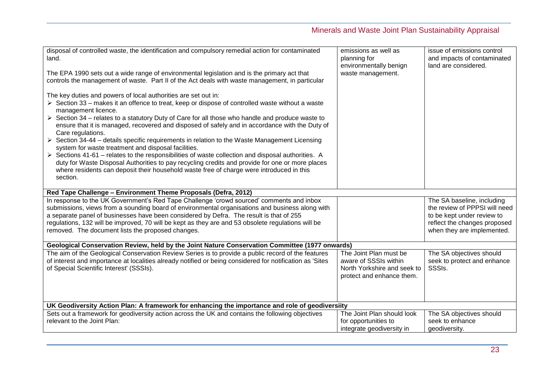| disposal of controlled waste, the identification and compulsory remedial action for contaminated<br>land.<br>The EPA 1990 sets out a wide range of environmental legislation and is the primary act that<br>controls the management of waste. Part II of the Act deals with waste management, in particular<br>The key duties and powers of local authorities are set out in:<br>$\triangleright$ Section 33 – makes it an offence to treat, keep or dispose of controlled waste without a waste<br>management licence.<br>$\triangleright$ Section 34 – relates to a statutory Duty of Care for all those who handle and produce waste to<br>ensure that it is managed, recovered and disposed of safely and in accordance with the Duty of | emissions as well as<br>planning for<br>environmentally benign<br>waste management.                         | issue of emissions control<br>and impacts of contaminated<br>land are considered. |
|----------------------------------------------------------------------------------------------------------------------------------------------------------------------------------------------------------------------------------------------------------------------------------------------------------------------------------------------------------------------------------------------------------------------------------------------------------------------------------------------------------------------------------------------------------------------------------------------------------------------------------------------------------------------------------------------------------------------------------------------|-------------------------------------------------------------------------------------------------------------|-----------------------------------------------------------------------------------|
| Care regulations.<br>$\triangleright$ Section 34-44 – details specific requirements in relation to the Waste Management Licensing<br>system for waste treatment and disposal facilities.<br>$\triangleright$ Sections 41-61 – relates to the responsibilities of waste collection and disposal authorities. A<br>duty for Waste Disposal Authorities to pay recycling credits and provide for one or more places<br>where residents can deposit their household waste free of charge were introduced in this                                                                                                                                                                                                                                 |                                                                                                             |                                                                                   |
| section.                                                                                                                                                                                                                                                                                                                                                                                                                                                                                                                                                                                                                                                                                                                                     |                                                                                                             |                                                                                   |
| Red Tape Challenge - Environment Theme Proposals (Defra, 2012)<br>In response to the UK Government's Red Tape Challenge 'crowd sourced' comments and inbox                                                                                                                                                                                                                                                                                                                                                                                                                                                                                                                                                                                   |                                                                                                             | The SA baseline, including                                                        |
| submissions, views from a sounding board of environmental organisations and business along with                                                                                                                                                                                                                                                                                                                                                                                                                                                                                                                                                                                                                                              |                                                                                                             | the review of PPPSI will need                                                     |
| a separate panel of businesses have been considered by Defra. The result is that of 255                                                                                                                                                                                                                                                                                                                                                                                                                                                                                                                                                                                                                                                      |                                                                                                             | to be kept under review to                                                        |
| regulations, 132 will be improved, 70 will be kept as they are and 53 obsolete regulations will be                                                                                                                                                                                                                                                                                                                                                                                                                                                                                                                                                                                                                                           |                                                                                                             | reflect the changes proposed                                                      |
| removed. The document lists the proposed changes.                                                                                                                                                                                                                                                                                                                                                                                                                                                                                                                                                                                                                                                                                            |                                                                                                             | when they are implemented.                                                        |
| Geological Conservation Review, held by the Joint Nature Conservation Committee (1977 onwards)                                                                                                                                                                                                                                                                                                                                                                                                                                                                                                                                                                                                                                               |                                                                                                             |                                                                                   |
| The aim of the Geological Conservation Review Series is to provide a public record of the features<br>of interest and importance at localities already notified or being considered for notification as 'Sites<br>of Special Scientific Interest' (SSSIs).                                                                                                                                                                                                                                                                                                                                                                                                                                                                                   | The Joint Plan must be<br>aware of SSSIs within<br>North Yorkshire and seek to<br>protect and enhance them. | The SA objectives should<br>seek to protect and enhance<br>SSSIs.                 |
| UK Geodiversity Action Plan: A framework for enhancing the importance and role of geodiversiity                                                                                                                                                                                                                                                                                                                                                                                                                                                                                                                                                                                                                                              |                                                                                                             |                                                                                   |
| Sets out a framework for geodiversity action across the UK and contains the following objectives                                                                                                                                                                                                                                                                                                                                                                                                                                                                                                                                                                                                                                             | The Joint Plan should look                                                                                  | The SA objectives should                                                          |
| relevant to the Joint Plan:                                                                                                                                                                                                                                                                                                                                                                                                                                                                                                                                                                                                                                                                                                                  | for opportunities to                                                                                        | seek to enhance                                                                   |
|                                                                                                                                                                                                                                                                                                                                                                                                                                                                                                                                                                                                                                                                                                                                              | integrate geodiversity in                                                                                   | geodiversity.                                                                     |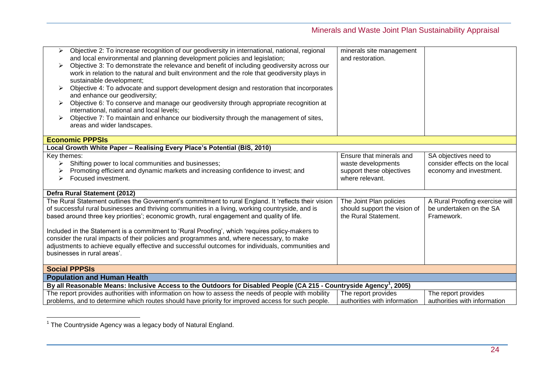| Objective 2: To increase recognition of our geodiversity in international, national, regional<br>≻<br>and local environmental and planning development policies and legislation;<br>Objective 3: To demonstrate the relevance and benefit of including geodiversity across our<br>work in relation to the natural and built environment and the role that geodiversity plays in<br>sustainable development;<br>Objective 4: To advocate and support development design and restoration that incorporates<br>and enhance our geodiversity;<br>Objective 6: To conserve and manage our geodiversity through appropriate recognition at<br>international, national and local levels;<br>Objective 7: To maintain and enhance our biodiversity through the management of sites,<br>areas and wider landscapes. | minerals site management<br>and restoration.                                                  |                                                                                   |
|------------------------------------------------------------------------------------------------------------------------------------------------------------------------------------------------------------------------------------------------------------------------------------------------------------------------------------------------------------------------------------------------------------------------------------------------------------------------------------------------------------------------------------------------------------------------------------------------------------------------------------------------------------------------------------------------------------------------------------------------------------------------------------------------------------|-----------------------------------------------------------------------------------------------|-----------------------------------------------------------------------------------|
| <b>Economic PPPSIs</b>                                                                                                                                                                                                                                                                                                                                                                                                                                                                                                                                                                                                                                                                                                                                                                                     |                                                                                               |                                                                                   |
| Local Growth White Paper - Realising Every Place's Potential (BIS, 2010)                                                                                                                                                                                                                                                                                                                                                                                                                                                                                                                                                                                                                                                                                                                                   |                                                                                               |                                                                                   |
| Key themes:<br>Shifting power to local communities and businesses;<br>➤<br>Promoting efficient and dynamic markets and increasing confidence to invest; and<br>Focused investment.<br>⋗                                                                                                                                                                                                                                                                                                                                                                                                                                                                                                                                                                                                                    | Ensure that minerals and<br>waste developments<br>support these objectives<br>where relevant. | SA objectives need to<br>consider effects on the local<br>economy and investment. |
| Defra Rural Statement (2012)                                                                                                                                                                                                                                                                                                                                                                                                                                                                                                                                                                                                                                                                                                                                                                               |                                                                                               |                                                                                   |
| The Rural Statement outlines the Government's commitment to rural England. It 'reflects their vision<br>of successful rural businesses and thriving communities in a living, working countryside, and is<br>based around three key priorities'; economic growth, rural engagement and quality of life.<br>Included in the Statement is a commitment to 'Rural Proofing', which 'requires policy-makers to<br>consider the rural impacts of their policies and programmes and, where necessary, to make<br>adjustments to achieve equally effective and successful outcomes for individuals, communities and<br>businesses in rural areas'.                                                                                                                                                                 | The Joint Plan policies<br>should support the vision of<br>the Rural Statement.               | A Rural Proofing exercise will<br>be undertaken on the SA<br>Framework.           |
| <b>Social PPPSIs</b>                                                                                                                                                                                                                                                                                                                                                                                                                                                                                                                                                                                                                                                                                                                                                                                       |                                                                                               |                                                                                   |
| <b>Population and Human Health</b>                                                                                                                                                                                                                                                                                                                                                                                                                                                                                                                                                                                                                                                                                                                                                                         |                                                                                               |                                                                                   |
| By all Reasonable Means: Inclusive Access to the Outdoors for Disabled People (CA 215 - Countryside Agency <sup>1</sup> , 2005)                                                                                                                                                                                                                                                                                                                                                                                                                                                                                                                                                                                                                                                                            |                                                                                               |                                                                                   |
| The report provides authorities with information on how to assess the needs of people with mobility<br>problems, and to determine which routes should have priority for improved access for such people.                                                                                                                                                                                                                                                                                                                                                                                                                                                                                                                                                                                                   | The report provides<br>authorities with information                                           | The report provides<br>authorities with information                               |

 1 The Countryside Agency was a legacy body of Natural England.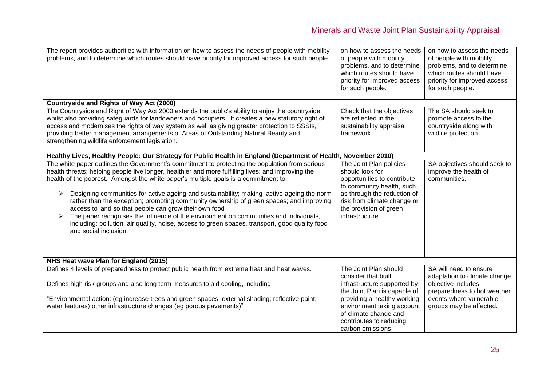| The report provides authorities with information on how to assess the needs of people with mobility<br>problems, and to determine which routes should have priority for improved access for such people.                                                                                                                                                                                                                                                                                                                                                                                                                                                                                                                                                              | on how to assess the needs<br>of people with mobility<br>problems, and to determine<br>which routes should have<br>priority for improved access<br>for such people.                                                                               | on how to assess the needs<br>of people with mobility<br>problems, and to determine<br>which routes should have<br>priority for improved access<br>for such people. |
|-----------------------------------------------------------------------------------------------------------------------------------------------------------------------------------------------------------------------------------------------------------------------------------------------------------------------------------------------------------------------------------------------------------------------------------------------------------------------------------------------------------------------------------------------------------------------------------------------------------------------------------------------------------------------------------------------------------------------------------------------------------------------|---------------------------------------------------------------------------------------------------------------------------------------------------------------------------------------------------------------------------------------------------|---------------------------------------------------------------------------------------------------------------------------------------------------------------------|
| <b>Countryside and Rights of Way Act (2000)</b>                                                                                                                                                                                                                                                                                                                                                                                                                                                                                                                                                                                                                                                                                                                       |                                                                                                                                                                                                                                                   |                                                                                                                                                                     |
| The Countryside and Right of Way Act 2000 extends the public's ability to enjoy the countryside<br>whilst also providing safeguards for landowners and occupiers. It creates a new statutory right of<br>access and modernises the rights of way system as well as giving greater protection to SSSIs,<br>providing better management arrangements of Areas of Outstanding Natural Beauty and<br>strengthening wildlife enforcement legislation.                                                                                                                                                                                                                                                                                                                      | Check that the objectives<br>are reflected in the<br>sustainability appraisal<br>framework.                                                                                                                                                       | The SA should seek to<br>promote access to the<br>countryside along with<br>wildlife protection.                                                                    |
| Healthy Lives, Healthy People: Our Strategy for Public Health in England (Department of Health, November 2010)                                                                                                                                                                                                                                                                                                                                                                                                                                                                                                                                                                                                                                                        |                                                                                                                                                                                                                                                   |                                                                                                                                                                     |
| The white paper outlines the Government's commitment to protecting the population from serious<br>health threats; helping people live longer, healthier and more fulfilling lives; and improving the<br>health of the poorest. Amongst the white paper's multiple goals is a commitment to:<br>Designing communities for active ageing and sustainability; making active ageing the norm<br>➤<br>rather than the exception; promoting community ownership of green spaces; and improving<br>access to land so that people can grow their own food<br>The paper recognises the influence of the environment on communities and individuals,<br>including: pollution, air quality, noise, access to green spaces, transport, good quality food<br>and social inclusion. | The Joint Plan policies<br>should look for<br>opportunities to contribute<br>to community health, such<br>as through the reduction of<br>risk from climate change or<br>the provision of green<br>infrastructure.                                 | SA objectives should seek to<br>improve the health of<br>communities.                                                                                               |
| NHS Heat wave Plan for England (2015)                                                                                                                                                                                                                                                                                                                                                                                                                                                                                                                                                                                                                                                                                                                                 |                                                                                                                                                                                                                                                   |                                                                                                                                                                     |
| Defines 4 levels of preparedness to protect public health from extreme heat and heat waves.<br>Defines high risk groups and also long term measures to aid cooling, including:<br>"Environmental action: (eg increase trees and green spaces; external shading; reflective paint;<br>water features) other infrastructure changes (eg porous pavements)"                                                                                                                                                                                                                                                                                                                                                                                                              | The Joint Plan should<br>consider that built<br>infrastructure supported by<br>the Joint Plan is capable of<br>providing a healthy working<br>environment taking account<br>of climate change and<br>contributes to reducing<br>carbon emissions, | SA will need to ensure<br>adaptation to climate change<br>objective includes<br>preparedness to hot weather<br>events where vulnerable<br>groups may be affected.   |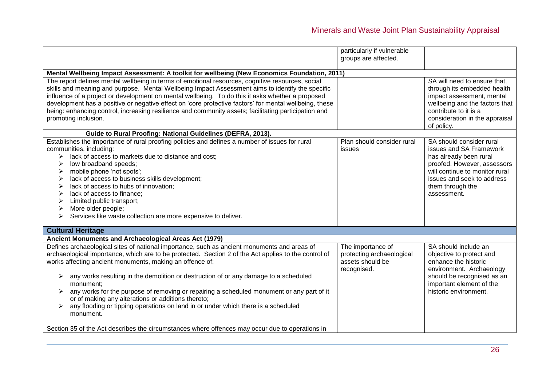|                                                                                                                                                                                                                                                                                                                                                                                                                                                                                                                                                                                                                                | particularly if vulnerable<br>groups are affected.                                |                                                                                                                                                                                                                 |
|--------------------------------------------------------------------------------------------------------------------------------------------------------------------------------------------------------------------------------------------------------------------------------------------------------------------------------------------------------------------------------------------------------------------------------------------------------------------------------------------------------------------------------------------------------------------------------------------------------------------------------|-----------------------------------------------------------------------------------|-----------------------------------------------------------------------------------------------------------------------------------------------------------------------------------------------------------------|
| Mental Wellbeing Impact Assessment: A toolkit for wellbeing (New Economics Foundation, 2011)                                                                                                                                                                                                                                                                                                                                                                                                                                                                                                                                   |                                                                                   |                                                                                                                                                                                                                 |
| The report defines mental wellbeing in terms of emotional resources, cognitive resources, social<br>skills and meaning and purpose. Mental Wellbeing Impact Assessment aims to identify the specific<br>influence of a project or development on mental wellbeing. To do this it asks whether a proposed<br>development has a positive or negative effect on 'core protective factors' for mental wellbeing, these<br>being: enhancing control, increasing resilience and community assets; facilitating participation and<br>promoting inclusion.                                                                             |                                                                                   | SA will need to ensure that,<br>through its embedded health<br>impact assessment, mental<br>wellbeing and the factors that<br>contribute to it is a<br>consideration in the appraisal<br>of policy.             |
| Guide to Rural Proofing: National Guidelines (DEFRA, 2013).                                                                                                                                                                                                                                                                                                                                                                                                                                                                                                                                                                    |                                                                                   |                                                                                                                                                                                                                 |
| Establishes the importance of rural proofing policies and defines a number of issues for rural<br>communities, including:<br>lack of access to markets due to distance and cost;<br>➤<br>low broadband speeds;<br>➤<br>mobile phone 'not spots';<br>➤<br>lack of access to business skills development;<br>lack of access to hubs of innovation;<br>➤<br>lack of access to finance;<br>≻<br>Limited public transport;<br>More older people;<br>➤<br>Services like waste collection are more expensive to deliver.                                                                                                              | Plan should consider rural<br>issues                                              | SA should consider rural<br>issues and SA Framework<br>has already been rural<br>proofed. However, assessors<br>will continue to monitor rural<br>issues and seek to address<br>them through the<br>assessment. |
| <b>Cultural Heritage</b>                                                                                                                                                                                                                                                                                                                                                                                                                                                                                                                                                                                                       |                                                                                   |                                                                                                                                                                                                                 |
| Ancient Monuments and Archaeological Areas Act (1979)                                                                                                                                                                                                                                                                                                                                                                                                                                                                                                                                                                          |                                                                                   |                                                                                                                                                                                                                 |
| Defines archaeological sites of national importance, such as ancient monuments and areas of<br>archaeological importance, which are to be protected. Section 2 of the Act applies to the control of<br>works affecting ancient monuments, making an offence of:<br>any works resulting in the demolition or destruction of or any damage to a scheduled<br>monument;<br>any works for the purpose of removing or repairing a scheduled monument or any part of it<br>➤<br>or of making any alterations or additions thereto;<br>any flooding or tipping operations on land in or under which there is a scheduled<br>monument. | The importance of<br>protecting archaeological<br>assets should be<br>recognised. | SA should include an<br>objective to protect and<br>enhance the historic<br>environment. Archaeology<br>should be recognised as an<br>important element of the<br>historic environment.                         |
| Section 35 of the Act describes the circumstances where offences may occur due to operations in                                                                                                                                                                                                                                                                                                                                                                                                                                                                                                                                |                                                                                   |                                                                                                                                                                                                                 |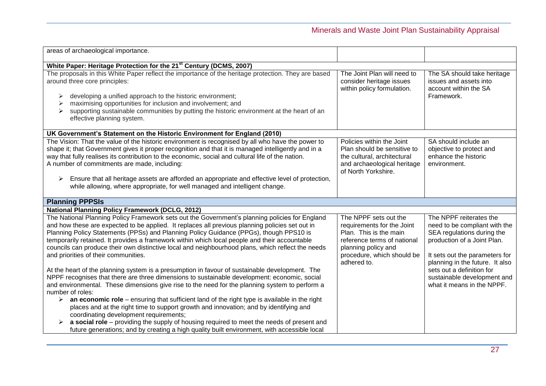| areas of archaeological importance.                                                                                                                                                                                                                                                                                                                                                                                                                                                                                                                                                                                                                                                                                                                                                                                                                                                                                                                                                                                                                                                                                   |                                                                                                                                                                                  |                                                                                                                                                                                                                                                                                      |
|-----------------------------------------------------------------------------------------------------------------------------------------------------------------------------------------------------------------------------------------------------------------------------------------------------------------------------------------------------------------------------------------------------------------------------------------------------------------------------------------------------------------------------------------------------------------------------------------------------------------------------------------------------------------------------------------------------------------------------------------------------------------------------------------------------------------------------------------------------------------------------------------------------------------------------------------------------------------------------------------------------------------------------------------------------------------------------------------------------------------------|----------------------------------------------------------------------------------------------------------------------------------------------------------------------------------|--------------------------------------------------------------------------------------------------------------------------------------------------------------------------------------------------------------------------------------------------------------------------------------|
| White Paper: Heritage Protection for the 21 <sup>st</sup> Century (DCMS, 2007)                                                                                                                                                                                                                                                                                                                                                                                                                                                                                                                                                                                                                                                                                                                                                                                                                                                                                                                                                                                                                                        |                                                                                                                                                                                  |                                                                                                                                                                                                                                                                                      |
| The proposals in this White Paper reflect the importance of the heritage protection. They are based<br>around three core principles:<br>developing a unified approach to the historic environment;<br>maximising opportunities for inclusion and involvement; and<br>supporting sustainable communities by putting the historic environment at the heart of an<br>effective planning system.                                                                                                                                                                                                                                                                                                                                                                                                                                                                                                                                                                                                                                                                                                                          | The Joint Plan will need to<br>consider heritage issues<br>within policy formulation.                                                                                            | The SA should take heritage<br>issues and assets into<br>account within the SA<br>Framework.                                                                                                                                                                                         |
| UK Government's Statement on the Historic Environment for England (2010)                                                                                                                                                                                                                                                                                                                                                                                                                                                                                                                                                                                                                                                                                                                                                                                                                                                                                                                                                                                                                                              |                                                                                                                                                                                  |                                                                                                                                                                                                                                                                                      |
| The Vision: That the value of the historic environment is recognised by all who have the power to<br>shape it; that Government gives it proper recognition and that it is managed intelligently and in a<br>way that fully realises its contribution to the economic, social and cultural life of the nation.<br>A number of commitments are made, including:<br>Ensure that all heritage assets are afforded an appropriate and effective level of protection,<br>➤<br>while allowing, where appropriate, for well managed and intelligent change.                                                                                                                                                                                                                                                                                                                                                                                                                                                                                                                                                                   | Policies within the Joint<br>Plan should be sensitive to<br>the cultural, architectural<br>and archaeological heritage<br>of North Yorkshire.                                    | SA should include an<br>objective to protect and<br>enhance the historic<br>environment.                                                                                                                                                                                             |
| <b>Planning PPPSIs</b>                                                                                                                                                                                                                                                                                                                                                                                                                                                                                                                                                                                                                                                                                                                                                                                                                                                                                                                                                                                                                                                                                                |                                                                                                                                                                                  |                                                                                                                                                                                                                                                                                      |
| <b>National Planning Policy Framework (DCLG, 2012)</b>                                                                                                                                                                                                                                                                                                                                                                                                                                                                                                                                                                                                                                                                                                                                                                                                                                                                                                                                                                                                                                                                |                                                                                                                                                                                  |                                                                                                                                                                                                                                                                                      |
| The National Planning Policy Framework sets out the Government's planning policies for England<br>and how these are expected to be applied. It replaces all previous planning policies set out in<br>Planning Policy Statements (PPSs) and Planning Policy Guidance (PPGs), though PPS10 is<br>temporarily retained. It provides a framework within which local people and their accountable<br>councils can produce their own distinctive local and neighbourhood plans, which reflect the needs<br>and priorities of their communities.<br>At the heart of the planning system is a presumption in favour of sustainable development. The<br>NPPF recognises that there are three dimensions to sustainable development: economic, social<br>and environmental. These dimensions give rise to the need for the planning system to perform a<br>number of roles:<br>$\triangleright$ an economic role – ensuring that sufficient land of the right type is available in the right<br>places and at the right time to support growth and innovation; and by identifying and<br>coordinating development requirements; | The NPPF sets out the<br>requirements for the Joint<br>Plan. This is the main<br>reference terms of national<br>planning policy and<br>procedure, which should be<br>adhered to. | The NPPF reiterates the<br>need to be compliant with the<br>SEA regulations during the<br>production of a Joint Plan.<br>It sets out the parameters for<br>planning in the future. It also<br>sets out a definition for<br>sustainable development and<br>what it means in the NPPF. |
| a social role – providing the supply of housing required to meet the needs of present and<br>future generations; and by creating a high quality built environment, with accessible local                                                                                                                                                                                                                                                                                                                                                                                                                                                                                                                                                                                                                                                                                                                                                                                                                                                                                                                              |                                                                                                                                                                                  |                                                                                                                                                                                                                                                                                      |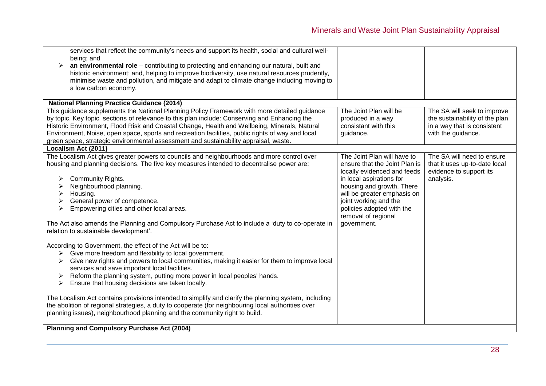| services that reflect the community's needs and support its health, social and cultural well-              |                               |                                |
|------------------------------------------------------------------------------------------------------------|-------------------------------|--------------------------------|
| being; and<br>an environmental role - contributing to protecting and enhancing our natural, built and<br>➤ |                               |                                |
| historic environment; and, helping to improve biodiversity, use natural resources prudently,               |                               |                                |
| minimise waste and pollution, and mitigate and adapt to climate change including moving to                 |                               |                                |
| a low carbon economy.                                                                                      |                               |                                |
|                                                                                                            |                               |                                |
| <b>National Planning Practice Guidance (2014)</b>                                                          |                               |                                |
| This guidance supplements the National Planning Policy Framework with more detailed guidance               | The Joint Plan will be        | The SA will seek to improve    |
| by topic. Key topic sections of relevance to this plan include: Conserving and Enhancing the               | produced in a way             | the sustainability of the plan |
| Historic Environment, Flood Risk and Coastal Change, Health and Wellbeing, Minerals, Natural               | consistant with this          | in a way that is consistent    |
| Environment, Noise, open space, sports and recreation facilities, public rights of way and local           | guidance.                     | with the guidance.             |
| green space, strategic environmental assessment and sustainability appraisal, waste.                       |                               |                                |
| Localism Act (2011)                                                                                        |                               |                                |
| The Localism Act gives greater powers to councils and neighbourhoods and more control over                 | The Joint Plan will have to   | The SA will need to ensure     |
| housing and planning decisions. The five key measures intended to decentralise power are:                  | ensure that the Joint Plan is | that it uses up-to-date local  |
|                                                                                                            | locally evidenced and feeds   | evidence to support its        |
| Community Rights.<br>➤                                                                                     | in local aspirations for      | analysis.                      |
| Neighbourhood planning.                                                                                    | housing and growth. There     |                                |
| Housing.<br>➤                                                                                              | will be greater emphasis on   |                                |
| General power of competence.<br>➤                                                                          | joint working and the         |                                |
| Empowering cities and other local areas.<br>➤                                                              | policies adopted with the     |                                |
|                                                                                                            | removal of regional           |                                |
| The Act also amends the Planning and Compulsory Purchase Act to include a 'duty to co-operate in           | government.                   |                                |
| relation to sustainable development'.                                                                      |                               |                                |
| According to Government, the effect of the Act will be to:                                                 |                               |                                |
| Give more freedom and flexibility to local government.<br>➤                                                |                               |                                |
| Give new rights and powers to local communities, making it easier for them to improve local<br>➤           |                               |                                |
| services and save important local facilities.                                                              |                               |                                |
| Reform the planning system, putting more power in local peoples' hands.                                    |                               |                                |
| Ensure that housing decisions are taken locally.<br>➤                                                      |                               |                                |
|                                                                                                            |                               |                                |
| The Localism Act contains provisions intended to simplify and clarify the planning system, including       |                               |                                |
| the abolition of regional strategies, a duty to cooperate (for neighbouring local authorities over         |                               |                                |
| planning issues), neighbourhood planning and the community right to build.                                 |                               |                                |
|                                                                                                            |                               |                                |
| Planning and Compulsory Purchase Act (2004)                                                                |                               |                                |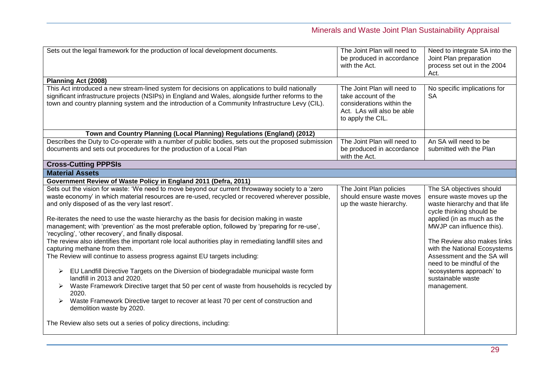| Planning Act (2008)<br>This Act introduced a new stream-lined system for decisions on applications to build nationally<br>The Joint Plan will need to<br>No specific implications for<br>significant infrastructure projects (NSIPs) in England and Wales, alongside further reforms to the<br><b>SA</b><br>take account of the<br>town and country planning system and the introduction of a Community Infrastructure Levy (CIL).<br>considerations within the<br>Act. LAs will also be able<br>to apply the CIL.<br>Town and Country Planning (Local Planning) Regulations (England) (2012)<br>Describes the Duty to Co-operate with a number of public bodies, sets out the proposed submission<br>An SA will need to be<br>The Joint Plan will need to<br>documents and sets out procedures for the production of a Local Plan<br>be produced in accordance<br>submitted with the Plan<br>with the Act.<br><b>Cross-Cutting PPPSIs</b><br><b>Material Assets</b><br>Government Review of Waste Policy in England 2011 (Defra, 2011)<br>Sets out the vision for waste: 'We need to move beyond our current throwaway society to a 'zero<br>The Joint Plan policies<br>The SA objectives should<br>waste economy' in which material resources are re-used, recycled or recovered wherever possible,<br>should ensure waste moves<br>ensure waste moves up the<br>and only disposed of as the very last resort'.<br>waste hierarchy and that life<br>up the waste hierarchy.<br>cycle thinking should be<br>applied (in as much as the<br>Re-iterates the need to use the waste hierarchy as the basis for decision making in waste<br>management; with 'prevention' as the most preferable option, followed by 'preparing for re-use',<br>MWJP can influence this).<br>'recycling', 'other recovery', and finally disposal.<br>The review also identifies the important role local authorities play in remediating landfill sites and<br>capturing methane from them.<br>The Review will continue to assess progress against EU targets including:<br>Assessment and the SA will<br>need to be mindful of the<br>EU Landfill Directive Targets on the Diversion of biodegradable municipal waste form<br>'ecosystems approach' to<br>➤<br>landfill in 2013 and 2020.<br>sustainable waste<br>Waste Framework Directive target that 50 per cent of waste from households is recycled by<br>management.<br>2020.<br>Waste Framework Directive target to recover at least 70 per cent of construction and<br>➤<br>demolition waste by 2020. | Sets out the legal framework for the production of local development documents. | The Joint Plan will need to<br>be produced in accordance<br>with the Act. | Need to integrate SA into the<br>Joint Plan preparation<br>process set out in the 2004<br>Act. |
|--------------------------------------------------------------------------------------------------------------------------------------------------------------------------------------------------------------------------------------------------------------------------------------------------------------------------------------------------------------------------------------------------------------------------------------------------------------------------------------------------------------------------------------------------------------------------------------------------------------------------------------------------------------------------------------------------------------------------------------------------------------------------------------------------------------------------------------------------------------------------------------------------------------------------------------------------------------------------------------------------------------------------------------------------------------------------------------------------------------------------------------------------------------------------------------------------------------------------------------------------------------------------------------------------------------------------------------------------------------------------------------------------------------------------------------------------------------------------------------------------------------------------------------------------------------------------------------------------------------------------------------------------------------------------------------------------------------------------------------------------------------------------------------------------------------------------------------------------------------------------------------------------------------------------------------------------------------------------------------------------------------------------------------------------------------------------------------------------------------------------------------------------------------------------------------------------------------------------------------------------------------------------------------------------------------------------------------------------------------------------------------------------------------------------------------------------------------------------------------------------------------------------------------------|---------------------------------------------------------------------------------|---------------------------------------------------------------------------|------------------------------------------------------------------------------------------------|
|                                                                                                                                                                                                                                                                                                                                                                                                                                                                                                                                                                                                                                                                                                                                                                                                                                                                                                                                                                                                                                                                                                                                                                                                                                                                                                                                                                                                                                                                                                                                                                                                                                                                                                                                                                                                                                                                                                                                                                                                                                                                                                                                                                                                                                                                                                                                                                                                                                                                                                                                            |                                                                                 |                                                                           |                                                                                                |
|                                                                                                                                                                                                                                                                                                                                                                                                                                                                                                                                                                                                                                                                                                                                                                                                                                                                                                                                                                                                                                                                                                                                                                                                                                                                                                                                                                                                                                                                                                                                                                                                                                                                                                                                                                                                                                                                                                                                                                                                                                                                                                                                                                                                                                                                                                                                                                                                                                                                                                                                            |                                                                                 |                                                                           |                                                                                                |
|                                                                                                                                                                                                                                                                                                                                                                                                                                                                                                                                                                                                                                                                                                                                                                                                                                                                                                                                                                                                                                                                                                                                                                                                                                                                                                                                                                                                                                                                                                                                                                                                                                                                                                                                                                                                                                                                                                                                                                                                                                                                                                                                                                                                                                                                                                                                                                                                                                                                                                                                            |                                                                                 |                                                                           |                                                                                                |
|                                                                                                                                                                                                                                                                                                                                                                                                                                                                                                                                                                                                                                                                                                                                                                                                                                                                                                                                                                                                                                                                                                                                                                                                                                                                                                                                                                                                                                                                                                                                                                                                                                                                                                                                                                                                                                                                                                                                                                                                                                                                                                                                                                                                                                                                                                                                                                                                                                                                                                                                            |                                                                                 |                                                                           |                                                                                                |
|                                                                                                                                                                                                                                                                                                                                                                                                                                                                                                                                                                                                                                                                                                                                                                                                                                                                                                                                                                                                                                                                                                                                                                                                                                                                                                                                                                                                                                                                                                                                                                                                                                                                                                                                                                                                                                                                                                                                                                                                                                                                                                                                                                                                                                                                                                                                                                                                                                                                                                                                            |                                                                                 |                                                                           |                                                                                                |
|                                                                                                                                                                                                                                                                                                                                                                                                                                                                                                                                                                                                                                                                                                                                                                                                                                                                                                                                                                                                                                                                                                                                                                                                                                                                                                                                                                                                                                                                                                                                                                                                                                                                                                                                                                                                                                                                                                                                                                                                                                                                                                                                                                                                                                                                                                                                                                                                                                                                                                                                            |                                                                                 |                                                                           |                                                                                                |
|                                                                                                                                                                                                                                                                                                                                                                                                                                                                                                                                                                                                                                                                                                                                                                                                                                                                                                                                                                                                                                                                                                                                                                                                                                                                                                                                                                                                                                                                                                                                                                                                                                                                                                                                                                                                                                                                                                                                                                                                                                                                                                                                                                                                                                                                                                                                                                                                                                                                                                                                            |                                                                                 |                                                                           |                                                                                                |
| The Review also sets out a series of policy directions, including:                                                                                                                                                                                                                                                                                                                                                                                                                                                                                                                                                                                                                                                                                                                                                                                                                                                                                                                                                                                                                                                                                                                                                                                                                                                                                                                                                                                                                                                                                                                                                                                                                                                                                                                                                                                                                                                                                                                                                                                                                                                                                                                                                                                                                                                                                                                                                                                                                                                                         |                                                                                 |                                                                           | The Review also makes links<br>with the National Ecosystems                                    |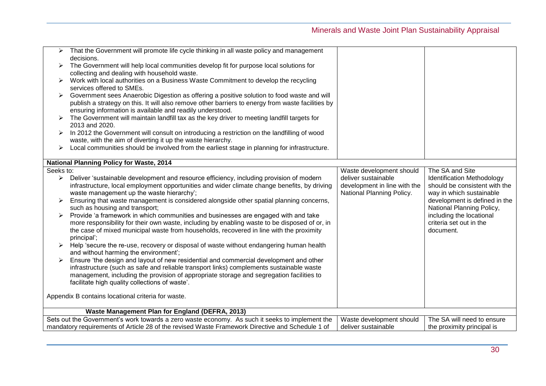|                       | That the Government will promote life cycle thinking in all waste policy and management                              |                                                 |                                                       |
|-----------------------|----------------------------------------------------------------------------------------------------------------------|-------------------------------------------------|-------------------------------------------------------|
| ➤                     | decisions.<br>The Government will help local communities develop fit for purpose local solutions for                 |                                                 |                                                       |
|                       | collecting and dealing with household waste.                                                                         |                                                 |                                                       |
| ➤                     | Work with local authorities on a Business Waste Commitment to develop the recycling                                  |                                                 |                                                       |
|                       | services offered to SMEs.                                                                                            |                                                 |                                                       |
| ➤                     | Government sees Anaerobic Digestion as offering a positive solution to food waste and will                           |                                                 |                                                       |
|                       | publish a strategy on this. It will also remove other barriers to energy from waste facilities by                    |                                                 |                                                       |
|                       | ensuring information is available and readily understood.                                                            |                                                 |                                                       |
|                       | The Government will maintain landfill tax as the key driver to meeting landfill targets for                          |                                                 |                                                       |
|                       | 2013 and 2020.                                                                                                       |                                                 |                                                       |
|                       | In 2012 the Government will consult on introducing a restriction on the landfilling of wood                          |                                                 |                                                       |
|                       | waste, with the aim of diverting it up the waste hierarchy.                                                          |                                                 |                                                       |
| ➤                     | Local communities should be involved from the earliest stage in planning for infrastructure.                         |                                                 |                                                       |
|                       |                                                                                                                      |                                                 |                                                       |
|                       | <b>National Planning Policy for Waste, 2014</b>                                                                      |                                                 |                                                       |
| Seeks to:             |                                                                                                                      | Waste development should                        | The SA and Site                                       |
| $\blacktriangleright$ | Deliver 'sustainable development and resource efficiency, including provision of modern                              | deliver sustainable                             | <b>Identification Methodology</b>                     |
|                       | infrastructure, local employment opportunities and wider climate change benefits, by driving                         | development in line with the                    | should be consistent with the                         |
|                       | waste management up the waste hierarchy';                                                                            | National Planning Policy.                       | way in which sustainable                              |
|                       | Ensuring that waste management is considered alongside other spatial planning concerns,                              |                                                 | development is defined in the                         |
|                       | such as housing and transport;<br>Provide 'a framework in which communities and businesses are engaged with and take |                                                 | National Planning Policy,<br>including the locational |
|                       | more responsibility for their own waste, including by enabling waste to be disposed of or, in                        |                                                 | criteria set out in the                               |
|                       | the case of mixed municipal waste from households, recovered in line with the proximity                              |                                                 | document.                                             |
|                       | principal';                                                                                                          |                                                 |                                                       |
|                       | Help 'secure the re-use, recovery or disposal of waste without endangering human health                              |                                                 |                                                       |
|                       | and without harming the environment';                                                                                |                                                 |                                                       |
|                       | Ensure 'the design and layout of new residential and commercial development and other                                |                                                 |                                                       |
|                       | infrastructure (such as safe and reliable transport links) complements sustainable waste                             |                                                 |                                                       |
|                       | management, including the provision of appropriate storage and segregation facilities to                             |                                                 |                                                       |
|                       | facilitate high quality collections of waste'.                                                                       |                                                 |                                                       |
|                       |                                                                                                                      |                                                 |                                                       |
|                       | Appendix B contains locational criteria for waste.                                                                   |                                                 |                                                       |
|                       |                                                                                                                      |                                                 |                                                       |
|                       | Waste Management Plan for England (DEFRA, 2013)                                                                      |                                                 | The SA will need to ensure                            |
|                       | Sets out the Government's work towards a zero waste economy. As such it seeks to implement the                       | Waste development should<br>deliver sustainable |                                                       |
|                       | mandatory requirements of Article 28 of the revised Waste Framework Directive and Schedule 1 of                      |                                                 | the proximity principal is                            |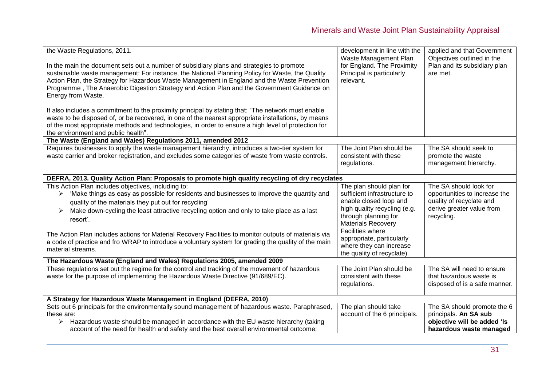| the Waste Regulations, 2011.<br>In the main the document sets out a number of subsidiary plans and strategies to promote<br>sustainable waste management: For instance, the National Planning Policy for Waste, the Quality<br>Action Plan, the Strategy for Hazardous Waste Management in England and the Waste Prevention<br>Programme, The Anaerobic Digestion Strategy and Action Plan and the Government Guidance on<br>Energy from Waste.<br>It also includes a commitment to the proximity principal by stating that: "The network must enable<br>waste to be disposed of, or be recovered, in one of the nearest appropriate installations, by means<br>of the most appropriate methods and technologies, in order to ensure a high level of protection for<br>the environment and public health". | development in line with the<br>Waste Management Plan<br>for England. The Proximity<br>Principal is particularly<br>relevant.                                                                                                                       | applied and that Government<br>Objectives outlined in the<br>Plan and its subsidiary plan<br>are met.                          |
|------------------------------------------------------------------------------------------------------------------------------------------------------------------------------------------------------------------------------------------------------------------------------------------------------------------------------------------------------------------------------------------------------------------------------------------------------------------------------------------------------------------------------------------------------------------------------------------------------------------------------------------------------------------------------------------------------------------------------------------------------------------------------------------------------------|-----------------------------------------------------------------------------------------------------------------------------------------------------------------------------------------------------------------------------------------------------|--------------------------------------------------------------------------------------------------------------------------------|
| The Waste (England and Wales) Regulations 2011, amended 2012                                                                                                                                                                                                                                                                                                                                                                                                                                                                                                                                                                                                                                                                                                                                               |                                                                                                                                                                                                                                                     |                                                                                                                                |
| Requires businesses to apply the waste management hierarchy, introduces a two-tier system for<br>waste carrier and broker registration, and excludes some categories of waste from waste controls.                                                                                                                                                                                                                                                                                                                                                                                                                                                                                                                                                                                                         | The Joint Plan should be<br>consistent with these<br>regulations.                                                                                                                                                                                   | The SA should seek to<br>promote the waste<br>management hierarchy.                                                            |
| DEFRA, 2013. Quality Action Plan: Proposals to promote high quality recycling of dry recyclates                                                                                                                                                                                                                                                                                                                                                                                                                                                                                                                                                                                                                                                                                                            |                                                                                                                                                                                                                                                     |                                                                                                                                |
| This Action Plan includes objectives, including to:<br>> 'Make things as easy as possible for residents and businesses to improve the quantity and<br>quality of the materials they put out for recycling'<br>Make down-cycling the least attractive recycling option and only to take place as a last<br>➤<br>resort'.<br>The Action Plan includes actions for Material Recovery Facilities to monitor outputs of materials via<br>a code of practice and fro WRAP to introduce a voluntary system for grading the quality of the main                                                                                                                                                                                                                                                                    | The plan should plan for<br>sufficient infrastructure to<br>enable closed loop and<br>high quality recycling (e.g.<br>through planning for<br><b>Materials Recovery</b><br>Facilities where<br>appropriate, particularly<br>where they can increase | The SA should look for<br>opportunities to increase the<br>quality of recyclate and<br>derive greater value from<br>recycling. |
| material streams.                                                                                                                                                                                                                                                                                                                                                                                                                                                                                                                                                                                                                                                                                                                                                                                          | the quality of recyclate).                                                                                                                                                                                                                          |                                                                                                                                |
| The Hazardous Waste (England and Wales) Regulations 2005, amended 2009                                                                                                                                                                                                                                                                                                                                                                                                                                                                                                                                                                                                                                                                                                                                     |                                                                                                                                                                                                                                                     |                                                                                                                                |
| These regulations set out the regime for the control and tracking of the movement of hazardous<br>waste for the purpose of implementing the Hazardous Waste Directive (91/689/EC).                                                                                                                                                                                                                                                                                                                                                                                                                                                                                                                                                                                                                         | The Joint Plan should be<br>consistent with these<br>regulations.                                                                                                                                                                                   | The SA will need to ensure<br>that hazardous waste is<br>disposed of is a safe manner.                                         |
| A Strategy for Hazardous Waste Management in England (DEFRA, 2010)                                                                                                                                                                                                                                                                                                                                                                                                                                                                                                                                                                                                                                                                                                                                         |                                                                                                                                                                                                                                                     |                                                                                                                                |
| Sets out 6 principals for the environmentally sound management of hazardous waste. Paraphrased,<br>these are:<br>Hazardous waste should be managed in accordance with the EU waste hierarchy (taking<br>account of the need for health and safety and the best overall environmental outcome;                                                                                                                                                                                                                                                                                                                                                                                                                                                                                                              | The plan should take<br>account of the 6 principals.                                                                                                                                                                                                | The SA should promote the 6<br>principals. An SA sub<br>objective will be added 'Is<br>hazardous waste managed                 |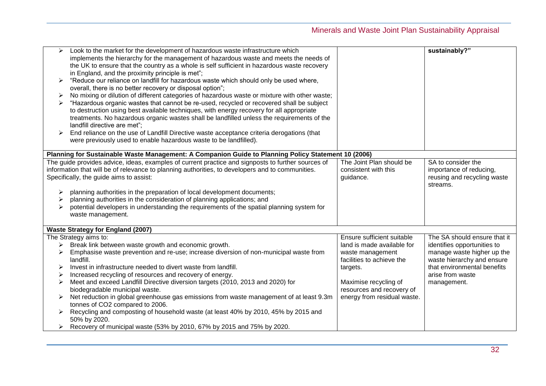| ⋗<br>➤<br>➤<br>➤      | Look to the market for the development of hazardous waste infrastructure which<br>implements the hierarchy for the management of hazardous waste and meets the needs of<br>the UK to ensure that the country as a whole is self sufficient in hazardous waste recovery<br>in England, and the proximity principle is met";<br>"Reduce our reliance on landfill for hazardous waste which should only be used where,<br>overall, there is no better recovery or disposal option";<br>No mixing or dilution of different categories of hazardous waste or mixture with other waste;<br>"Hazardous organic wastes that cannot be re-used, recycled or recovered shall be subject<br>to destruction using best available techniques, with energy recovery for all appropriate<br>treatments. No hazardous organic wastes shall be landfilled unless the requirements of the<br>landfill directive are met";<br>End reliance on the use of Landfill Directive waste acceptance criteria derogations (that<br>were previously used to enable hazardous waste to be landfilled). |                                                                                                                                                                                                            | sustainably?"                                                                                                                                                                             |
|-----------------------|---------------------------------------------------------------------------------------------------------------------------------------------------------------------------------------------------------------------------------------------------------------------------------------------------------------------------------------------------------------------------------------------------------------------------------------------------------------------------------------------------------------------------------------------------------------------------------------------------------------------------------------------------------------------------------------------------------------------------------------------------------------------------------------------------------------------------------------------------------------------------------------------------------------------------------------------------------------------------------------------------------------------------------------------------------------------------|------------------------------------------------------------------------------------------------------------------------------------------------------------------------------------------------------------|-------------------------------------------------------------------------------------------------------------------------------------------------------------------------------------------|
|                       | Planning for Sustainable Waste Management: A Companion Guide to Planning Policy Statement 10 (2006)                                                                                                                                                                                                                                                                                                                                                                                                                                                                                                                                                                                                                                                                                                                                                                                                                                                                                                                                                                       |                                                                                                                                                                                                            |                                                                                                                                                                                           |
|                       | The guide provides advice, ideas, examples of current practice and signposts to further sources of<br>information that will be of relevance to planning authorities, to developers and to communities.<br>Specifically, the guide aims to assist:<br>planning authorities in the preparation of local development documents;<br>planning authorities in the consideration of planning applications; and<br>potential developers in understanding the requirements of the spatial planning system for<br>waste management.                                                                                                                                                                                                                                                                                                                                                                                                                                                                                                                                                 | The Joint Plan should be<br>consistent with this<br>guidance.                                                                                                                                              | SA to consider the<br>importance of reducing,<br>reusing and recycling waste<br>streams.                                                                                                  |
|                       | <b>Waste Strategy for England (2007)</b>                                                                                                                                                                                                                                                                                                                                                                                                                                                                                                                                                                                                                                                                                                                                                                                                                                                                                                                                                                                                                                  |                                                                                                                                                                                                            |                                                                                                                                                                                           |
| ➤<br>➤<br>➤<br>➤<br>➤ | The Strategy aims to:<br>Break link between waste growth and economic growth.<br>Emphasise waste prevention and re-use; increase diversion of non-municipal waste from<br>landfill.<br>Invest in infrastructure needed to divert waste from landfill.<br>Increased recycling of resources and recovery of energy.<br>Meet and exceed Landfill Directive diversion targets (2010, 2013 and 2020) for<br>biodegradable municipal waste.<br>Net reduction in global greenhouse gas emissions from waste management of at least 9.3m<br>tonnes of CO2 compared to 2006.<br>Recycling and composting of household waste (at least 40% by 2010, 45% by 2015 and<br>50% by 2020.<br>Recovery of municipal waste (53% by 2010, 67% by 2015 and 75% by 2020.                                                                                                                                                                                                                                                                                                                       | Ensure sufficient suitable<br>land is made available for<br>waste management<br>facilities to achieve the<br>targets.<br>Maximise recycling of<br>resources and recovery of<br>energy from residual waste. | The SA should ensure that it<br>identifies opportunities to<br>manage waste higher up the<br>waste hierarchy and ensure<br>that environmental benefits<br>arise from waste<br>management. |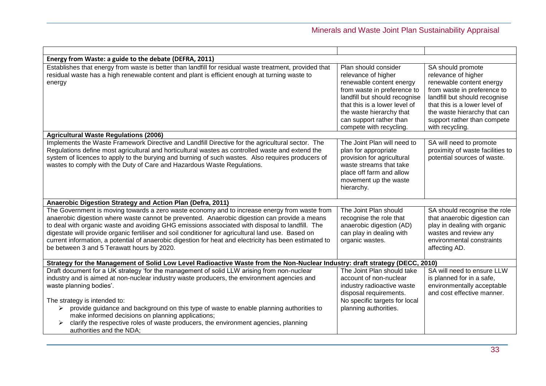| Plan should consider<br>relevance of higher<br>renewable content energy<br>from waste in preference to<br>landfill but should recognise<br>that this is a lower level of<br>the waste hierarchy that<br>can support rather than<br>compete with recycling. | SA should promote<br>relevance of higher<br>renewable content energy<br>from waste in preference to<br>landfill but should recognise<br>that this is a lower level of<br>the waste hierarchy that can<br>support rather than compete<br>with recycling. |
|------------------------------------------------------------------------------------------------------------------------------------------------------------------------------------------------------------------------------------------------------------|---------------------------------------------------------------------------------------------------------------------------------------------------------------------------------------------------------------------------------------------------------|
|                                                                                                                                                                                                                                                            |                                                                                                                                                                                                                                                         |
| plan for appropriate<br>provision for agricultural<br>waste streams that take<br>place off farm and allow<br>movement up the waste<br>hierarchy.                                                                                                           | SA will need to promote<br>proximity of waste facilities to<br>potential sources of waste.                                                                                                                                                              |
|                                                                                                                                                                                                                                                            |                                                                                                                                                                                                                                                         |
| The Joint Plan should<br>recognise the role that<br>anaerobic digestion (AD)<br>can play in dealing with<br>organic wastes.                                                                                                                                | SA should recognise the role<br>that anaerobic digestion can<br>play in dealing with organic<br>wastes and review any<br>environmental constraints<br>affecting AD.                                                                                     |
| Strategy for the Management of Solid Low Level Radioactive Waste from the Non-Nuclear Industry: draft strategy (DECC, 2010)                                                                                                                                |                                                                                                                                                                                                                                                         |
| The Joint Plan should take<br>account of non-nuclear<br>industry radioactive waste<br>disposal requirements.<br>No specific targets for local<br>planning authorities.                                                                                     | SA will need to ensure LLW<br>is planned for in a safe,<br>environmentally acceptable<br>and cost effective manner.                                                                                                                                     |
|                                                                                                                                                                                                                                                            | The Joint Plan will need to                                                                                                                                                                                                                             |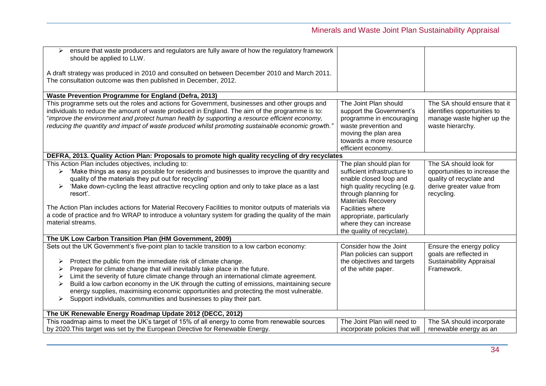| ensure that waste producers and regulators are fully aware of how the regulatory framework<br>➤<br>should be applied to LLW.<br>A draft strategy was produced in 2010 and consulted on between December 2010 and March 2011.<br>The consultation outcome was then published in December, 2012.                                                                                                                                                                                                                                                                                                                                                 |                                                                                                                                                                                                                                                                                          |                                                                                                                                |
|------------------------------------------------------------------------------------------------------------------------------------------------------------------------------------------------------------------------------------------------------------------------------------------------------------------------------------------------------------------------------------------------------------------------------------------------------------------------------------------------------------------------------------------------------------------------------------------------------------------------------------------------|------------------------------------------------------------------------------------------------------------------------------------------------------------------------------------------------------------------------------------------------------------------------------------------|--------------------------------------------------------------------------------------------------------------------------------|
| Waste Prevention Programme for England (Defra, 2013)                                                                                                                                                                                                                                                                                                                                                                                                                                                                                                                                                                                           |                                                                                                                                                                                                                                                                                          |                                                                                                                                |
| This programme sets out the roles and actions for Government, businesses and other groups and<br>individuals to reduce the amount of waste produced in England. The aim of the programme is to:<br>"improve the environment and protect human health by supporting a resource efficient economy,<br>reducing the quantity and impact of waste produced whilst promoting sustainable economic growth."                                                                                                                                                                                                                                          | The Joint Plan should<br>support the Government's<br>programme in encouraging<br>waste prevention and<br>moving the plan area<br>towards a more resource<br>efficient economy.                                                                                                           | The SA should ensure that it<br>identifies opportunities to<br>manage waste higher up the<br>waste hierarchy.                  |
| DEFRA, 2013. Quality Action Plan: Proposals to promote high quality recycling of dry recyclates                                                                                                                                                                                                                                                                                                                                                                                                                                                                                                                                                |                                                                                                                                                                                                                                                                                          |                                                                                                                                |
| This Action Plan includes objectives, including to:<br>'Make things as easy as possible for residents and businesses to improve the quantity and<br>≻<br>quality of the materials they put out for recycling'<br>'Make down-cycling the least attractive recycling option and only to take place as a last<br>resort'.<br>The Action Plan includes actions for Material Recovery Facilities to monitor outputs of materials via<br>a code of practice and fro WRAP to introduce a voluntary system for grading the quality of the main<br>material streams.                                                                                    | The plan should plan for<br>sufficient infrastructure to<br>enable closed loop and<br>high quality recycling (e.g.<br>through planning for<br><b>Materials Recovery</b><br><b>Facilities where</b><br>appropriate, particularly<br>where they can increase<br>the quality of recyclate). | The SA should look for<br>opportunities to increase the<br>quality of recyclate and<br>derive greater value from<br>recycling. |
| The UK Low Carbon Transition Plan (HM Government, 2009)                                                                                                                                                                                                                                                                                                                                                                                                                                                                                                                                                                                        |                                                                                                                                                                                                                                                                                          |                                                                                                                                |
| Sets out the UK Government's five-point plan to tackle transition to a low carbon economy:<br>Protect the public from the immediate risk of climate change.<br>➤<br>Prepare for climate change that will inevitably take place in the future.<br>≻<br>Limit the severity of future climate change through an international climate agreement.<br>➤<br>Build a low carbon economy in the UK through the cutting of emissions, maintaining secure<br>➤<br>energy supplies, maximising economic opportunities and protecting the most vulnerable.<br>Support individuals, communities and businesses to play their part.<br>$\blacktriangleright$ | Consider how the Joint<br>Plan policies can support<br>the objectives and targets<br>of the white paper.                                                                                                                                                                                 | Ensure the energy policy<br>goals are reflected in<br><b>Sustainability Appraisal</b><br>Framework.                            |
| The UK Renewable Energy Roadmap Update 2012 (DECC, 2012)                                                                                                                                                                                                                                                                                                                                                                                                                                                                                                                                                                                       |                                                                                                                                                                                                                                                                                          |                                                                                                                                |
| This roadmap aims to meet the UK's target of 15% of all energy to come from renewable sources<br>by 2020. This target was set by the European Directive for Renewable Energy.                                                                                                                                                                                                                                                                                                                                                                                                                                                                  | The Joint Plan will need to<br>incorporate policies that will                                                                                                                                                                                                                            | The SA should incorporate<br>renewable energy as an                                                                            |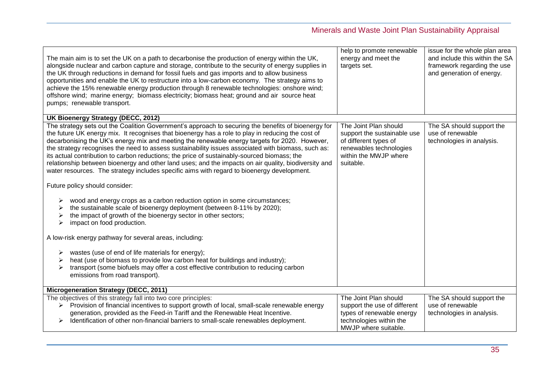| The main aim is to set the UK on a path to decarbonise the production of energy within the UK,<br>alongside nuclear and carbon capture and storage, contribute to the security of energy supplies in<br>the UK through reductions in demand for fossil fuels and gas imports and to allow business<br>opportunities and enable the UK to restructure into a low-carbon economy. The strategy aims to<br>achieve the 15% renewable energy production through 8 renewable technologies: onshore wind;<br>offshore wind; marine energy; biomass electricity; biomass heat; ground and air source heat<br>pumps; renewable transport.                                                                                    | help to promote renewable<br>energy and meet the<br>targets set.                                                                               | issue for the whole plan area<br>and include this within the SA<br>framework regarding the use<br>and generation of energy. |
|----------------------------------------------------------------------------------------------------------------------------------------------------------------------------------------------------------------------------------------------------------------------------------------------------------------------------------------------------------------------------------------------------------------------------------------------------------------------------------------------------------------------------------------------------------------------------------------------------------------------------------------------------------------------------------------------------------------------|------------------------------------------------------------------------------------------------------------------------------------------------|-----------------------------------------------------------------------------------------------------------------------------|
| UK Bioenergy Strategy (DECC, 2012)                                                                                                                                                                                                                                                                                                                                                                                                                                                                                                                                                                                                                                                                                   |                                                                                                                                                |                                                                                                                             |
| The strategy sets out the Coalition Government's approach to securing the benefits of bioenergy for<br>the future UK energy mix. It recognises that bioenergy has a role to play in reducing the cost of<br>decarbonising the UK's energy mix and meeting the renewable energy targets for 2020. However,<br>the strategy recognises the need to assess sustainability issues associated with biomass, such as:<br>its actual contribution to carbon reductions; the price of sustainably-sourced biomass; the<br>relationship between bioenergy and other land uses; and the impacts on air quality, biodiversity and<br>water resources. The strategy includes specific aims with regard to bioenergy development. | The Joint Plan should<br>support the sustainable use<br>of different types of<br>renewables technologies<br>within the MWJP where<br>suitable. | The SA should support the<br>use of renewable<br>technologies in analysis.                                                  |
| Future policy should consider:                                                                                                                                                                                                                                                                                                                                                                                                                                                                                                                                                                                                                                                                                       |                                                                                                                                                |                                                                                                                             |
| wood and energy crops as a carbon reduction option in some circumstances;<br>➤<br>the sustainable scale of bioenergy deployment (between 8-11% by 2020);<br>the impact of growth of the bioenergy sector in other sectors;<br>impact on food production.                                                                                                                                                                                                                                                                                                                                                                                                                                                             |                                                                                                                                                |                                                                                                                             |
| A low-risk energy pathway for several areas, including:                                                                                                                                                                                                                                                                                                                                                                                                                                                                                                                                                                                                                                                              |                                                                                                                                                |                                                                                                                             |
| wastes (use of end of life materials for energy);<br>➤<br>heat (use of biomass to provide low carbon heat for buildings and industry);<br>transport (some biofuels may offer a cost effective contribution to reducing carbon<br>emissions from road transport).                                                                                                                                                                                                                                                                                                                                                                                                                                                     |                                                                                                                                                |                                                                                                                             |
| Microgeneration Strategy (DECC, 2011)                                                                                                                                                                                                                                                                                                                                                                                                                                                                                                                                                                                                                                                                                |                                                                                                                                                |                                                                                                                             |
| The objectives of this strategy fall into two core principles:<br>Provision of financial incentives to support growth of local, small-scale renewable energy<br>generation, provided as the Feed-in Tariff and the Renewable Heat Incentive.<br>Identification of other non-financial barriers to small-scale renewables deployment.                                                                                                                                                                                                                                                                                                                                                                                 | The Joint Plan should<br>support the use of different<br>types of renewable energy<br>technologies within the<br>MWJP where suitable.          | The SA should support the<br>use of renewable<br>technologies in analysis.                                                  |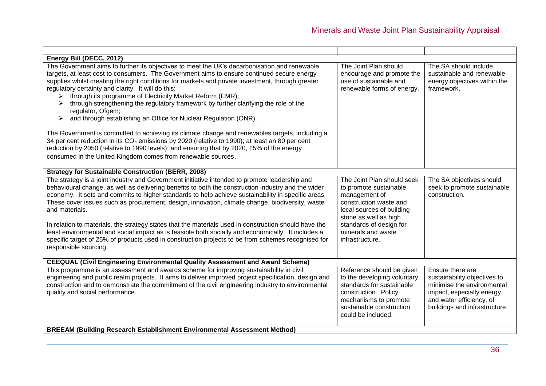| Energy Bill (DECC, 2012)                                                                                                                                                                                                                                                                                                                                                                                                                                                                                                                                                                                                                                                                                                                                                                                                                                                                                                                                                               |                                                                                                                                                                                                                           |                                                                                                                                                                          |
|----------------------------------------------------------------------------------------------------------------------------------------------------------------------------------------------------------------------------------------------------------------------------------------------------------------------------------------------------------------------------------------------------------------------------------------------------------------------------------------------------------------------------------------------------------------------------------------------------------------------------------------------------------------------------------------------------------------------------------------------------------------------------------------------------------------------------------------------------------------------------------------------------------------------------------------------------------------------------------------|---------------------------------------------------------------------------------------------------------------------------------------------------------------------------------------------------------------------------|--------------------------------------------------------------------------------------------------------------------------------------------------------------------------|
| The Government aims to further its objectives to meet the UK's decarbonisation and renewable<br>targets, at least cost to consumers. The Government aims to ensure continued secure energy<br>supplies whilst creating the right conditions for markets and private investment, through greater<br>regulatory certainty and clarity. It will do this:<br>through its programme of Electricity Market Reform (EMR);<br>through strengthening the regulatory framework by further clarifying the role of the<br>regulator, Ofgem;<br>and through establishing an Office for Nuclear Regulation (ONR).<br>➤<br>The Government is committed to achieving its climate change and renewables targets, including a<br>34 per cent reduction in its CO <sub>2</sub> emissions by 2020 (relative to 1990); at least an 80 per cent<br>reduction by 2050 (relative to 1990 levels); and ensuring that by 2020, 15% of the energy<br>consumed in the United Kingdom comes from renewable sources. | The Joint Plan should<br>encourage and promote the<br>use of sustainable and<br>renewable forms of energy.                                                                                                                | The SA should include<br>sustainable and renewable<br>energy objectives within the<br>framework.                                                                         |
| <b>Strategy for Sustainable Construction (BERR, 2008)</b>                                                                                                                                                                                                                                                                                                                                                                                                                                                                                                                                                                                                                                                                                                                                                                                                                                                                                                                              |                                                                                                                                                                                                                           |                                                                                                                                                                          |
| The strategy is a joint industry and Government initiative intended to promote leadership and<br>behavioural change, as well as delivering benefits to both the construction industry and the wider<br>economy. It sets and commits to higher standards to help achieve sustainability in specific areas.<br>These cover issues such as procurement, design, innovation, climate change, biodiversity, waste<br>and materials.<br>In relation to materials, the strategy states that the materials used in construction should have the<br>least environmental and social impact as is feasible both socially and economically. It includes a<br>specific target of 25% of products used in construction projects to be from schemes recognised for<br>responsible sourcing.                                                                                                                                                                                                           | The Joint Plan should seek<br>to promote sustainable<br>management of<br>construction waste and<br>local sources of building<br>stone as well as high<br>standards of design for<br>minerals and waste<br>infrastructure. | The SA objectives should<br>seek to promote sustainable<br>construction.                                                                                                 |
| <b>CEEQUAL (Civil Engineering Environmental Quality Assessment and Award Scheme)</b>                                                                                                                                                                                                                                                                                                                                                                                                                                                                                                                                                                                                                                                                                                                                                                                                                                                                                                   |                                                                                                                                                                                                                           |                                                                                                                                                                          |
| This programme is an assessment and awards scheme for improving sustainability in civil<br>engineering and public realm projects. It aims to deliver improved project specification, design and<br>construction and to demonstrate the commitment of the civil engineering industry to environmental<br>quality and social performance.                                                                                                                                                                                                                                                                                                                                                                                                                                                                                                                                                                                                                                                | Reference should be given<br>to the developing voluntary<br>standards for sustainable<br>construction. Policy<br>mechanisms to promote<br>sustainable construction<br>could be included.                                  | Ensure there are<br>sustainability objectives to<br>minimise the environmental<br>impact, especially energy<br>and water efficiency, of<br>buildings and infrastructure. |
| BREEAM (Building Research Establishment Environmental Assessment Method)                                                                                                                                                                                                                                                                                                                                                                                                                                                                                                                                                                                                                                                                                                                                                                                                                                                                                                               |                                                                                                                                                                                                                           |                                                                                                                                                                          |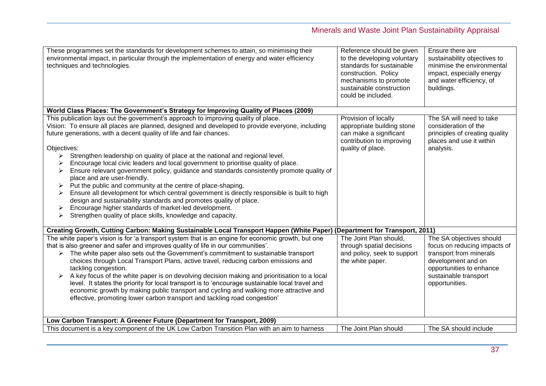| These programmes set the standards for development schemes to attain, so minimising their<br>environmental impact, in particular through the implementation of energy and water efficiency<br>techniques and technologies.                                                                                                                                                                                                                                                                                                                                                                                                                                                                                                                                                                                                                                                                                                                                        | Reference should be given<br>to the developing voluntary<br>standards for sustainable<br>construction. Policy<br>mechanisms to promote<br>sustainable construction<br>could be included. | Ensure there are<br>sustainability objectives to<br>minimise the environmental<br>impact, especially energy<br>and water efficiency, of<br>buildings.                            |
|-------------------------------------------------------------------------------------------------------------------------------------------------------------------------------------------------------------------------------------------------------------------------------------------------------------------------------------------------------------------------------------------------------------------------------------------------------------------------------------------------------------------------------------------------------------------------------------------------------------------------------------------------------------------------------------------------------------------------------------------------------------------------------------------------------------------------------------------------------------------------------------------------------------------------------------------------------------------|------------------------------------------------------------------------------------------------------------------------------------------------------------------------------------------|----------------------------------------------------------------------------------------------------------------------------------------------------------------------------------|
| World Class Places: The Government's Strategy for Improving Quality of Places (2009)                                                                                                                                                                                                                                                                                                                                                                                                                                                                                                                                                                                                                                                                                                                                                                                                                                                                              |                                                                                                                                                                                          |                                                                                                                                                                                  |
| This publication lays out the government's approach to improving quality of place.<br>Vision: To ensure all places are planned, designed and developed to provide everyone, including<br>future generations, with a decent quality of life and fair chances.<br>Objectives:<br>Strengthen leadership on quality of place at the national and regional level.<br>≻<br>Encourage local civic leaders and local government to prioritise quality of place.<br>Ensure relevant government policy, guidance and standards consistently promote quality of<br>➤<br>place and are user-friendly.<br>Put the public and community at the centre of place-shaping.<br>Ensure all development for which central government is directly responsible is built to high<br>➤<br>design and sustainability standards and promotes quality of place.<br>Encourage higher standards of market-led development.<br>Strengthen quality of place skills, knowledge and capacity.<br>➤ | Provision of locally<br>appropriate building stone<br>can make a significant<br>contribution to improving<br>quality of place.                                                           | The SA will need to take<br>consideration of the<br>principles of creating quality<br>places and use it within<br>analysis.                                                      |
| Creating Growth, Cutting Carbon: Making Sustainable Local Transport Happen (White Paper) (Department for Transport, 2011)                                                                                                                                                                                                                                                                                                                                                                                                                                                                                                                                                                                                                                                                                                                                                                                                                                         |                                                                                                                                                                                          |                                                                                                                                                                                  |
| The white paper's vision is for 'a transport system that is an engine for economic growth, but one<br>that is also greener and safer and improves quality of life in our communities'.<br>$\triangleright$ The white paper also sets out the Government's commitment to sustainable transport<br>choices through Local Transport Plans, active travel, reducing carbon emissions and<br>tackling congestion.<br>$\triangleright$ A key focus of the white paper is on devolving decision making and prioritisation to a local<br>level. It states the priority for local transport is to 'encourage sustainable local travel and<br>economic growth by making public transport and cycling and walking more attractive and<br>effective, promoting lower carbon transport and tackling road congestion'                                                                                                                                                           | The Joint Plan should,<br>through spatial decisions<br>and policy, seek to support<br>the white paper.                                                                                   | The SA objectives should<br>focus on reducing impacts of<br>transport from minerals<br>development and on<br>opportunities to enhance<br>sustainable transport<br>opportunities. |
| Low Carbon Transport: A Greener Future (Department for Transport, 2009)                                                                                                                                                                                                                                                                                                                                                                                                                                                                                                                                                                                                                                                                                                                                                                                                                                                                                           |                                                                                                                                                                                          |                                                                                                                                                                                  |
| This document is a key component of the UK Low Carbon Transition Plan with an aim to harness                                                                                                                                                                                                                                                                                                                                                                                                                                                                                                                                                                                                                                                                                                                                                                                                                                                                      | The Joint Plan should                                                                                                                                                                    | The SA should include                                                                                                                                                            |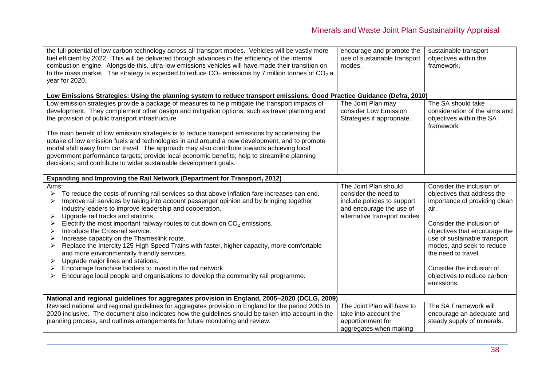| the full potential of low carbon technology across all transport modes. Vehicles will be vastly more<br>fuel efficient by 2022. This will be delivered through advances in the efficiency of the internal<br>combustion engine. Alongside this, ultra-low emissions vehicles will have made their transition on<br>to the mass market. The strategy is expected to reduce $CO2$ emissions by 7 million tonnes of $CO2$ a<br>year for 2020.                                                                                                                                                                                                                                                                                                                                                                                                | encourage and promote the<br>use of sustainable transport<br>modes.                                                                      | sustainable transport<br>objectives within the<br>framework.                                                                                                                                                                                                                                                                  |
|-------------------------------------------------------------------------------------------------------------------------------------------------------------------------------------------------------------------------------------------------------------------------------------------------------------------------------------------------------------------------------------------------------------------------------------------------------------------------------------------------------------------------------------------------------------------------------------------------------------------------------------------------------------------------------------------------------------------------------------------------------------------------------------------------------------------------------------------|------------------------------------------------------------------------------------------------------------------------------------------|-------------------------------------------------------------------------------------------------------------------------------------------------------------------------------------------------------------------------------------------------------------------------------------------------------------------------------|
| Low Emissions Strategies: Using the planning system to reduce transport emissions, Good Practice Guidance (Defra, 2010)                                                                                                                                                                                                                                                                                                                                                                                                                                                                                                                                                                                                                                                                                                                   |                                                                                                                                          |                                                                                                                                                                                                                                                                                                                               |
| Low emission strategies provide a package of measures to help mitigate the transport impacts of<br>development. They complement other design and mitigation options, such as travel planning and<br>the provision of public transport infrastructure                                                                                                                                                                                                                                                                                                                                                                                                                                                                                                                                                                                      | The Joint Plan may<br>consider Low Emission<br>Strategies if appropriate.                                                                | The SA should take<br>consideration of the aims and<br>objectives within the SA<br>framework                                                                                                                                                                                                                                  |
| The main benefit of low emission strategies is to reduce transport emissions by accelerating the<br>uptake of low emission fuels and technologies in and around a new development, and to promote<br>modal shift away from car travel. The approach may also contribute towards achieving local<br>government performance targets; provide local economic benefits; help to streamline planning<br>decisions; and contribute to wider sustainable development goals.                                                                                                                                                                                                                                                                                                                                                                      |                                                                                                                                          |                                                                                                                                                                                                                                                                                                                               |
| Expanding and Improving the Rail Network (Department for Transport, 2012)                                                                                                                                                                                                                                                                                                                                                                                                                                                                                                                                                                                                                                                                                                                                                                 |                                                                                                                                          |                                                                                                                                                                                                                                                                                                                               |
| Aims:<br>To reduce the costs of running rail services so that above inflation fare increases can end.<br>➤<br>Improve rail services by taking into account passenger opinion and by bringing together<br>≻<br>industry leaders to improve leadership and cooperation.<br>Upgrade rail tracks and stations.<br>➤<br>Electrify the most important railway routes to cut down on $CO2$ emissions.<br>⋗<br>Introduce the Crossrail service.<br>➤<br>Increase capacity on the Thameslink route.<br>Replace the Intercity 125 High Speed Trains with faster, higher capacity, more comfortable<br>and more environmentally friendly services.<br>Upgrade major lines and stations.<br>Encourage franchise bidders to invest in the rail network.<br>➤<br>Encourage local people and organisations to develop the community rail programme.<br>⋗ | The Joint Plan should<br>consider the need to<br>include policies to support<br>and encourage the use of<br>alternative transport modes. | Consider the inclusion of<br>objectives that address the<br>importance of providing clean<br>air.<br>Consider the inclusion of<br>objectives that encourage the<br>use of sustainable transport<br>modes, and seek to reduce<br>the need to travel.<br>Consider the inclusion of<br>objectives to reduce carbon<br>emissions. |
| National and regional guidelines for aggregates provision in England, 2005-2020 (DCLG, 2009)                                                                                                                                                                                                                                                                                                                                                                                                                                                                                                                                                                                                                                                                                                                                              |                                                                                                                                          |                                                                                                                                                                                                                                                                                                                               |
| Revised national and regional guidelines for aggregates provision in England for the period 2005 to<br>2020 inclusive. The document also indicates how the guidelines should be taken into account in the<br>planning process, and outlines arrangements for future monitoring and review.                                                                                                                                                                                                                                                                                                                                                                                                                                                                                                                                                | The Joint Plan will have to<br>take into account the<br>apportionment for<br>aggregates when making                                      | The SA Framework will<br>encourage an adequate and<br>steady supply of minerals.                                                                                                                                                                                                                                              |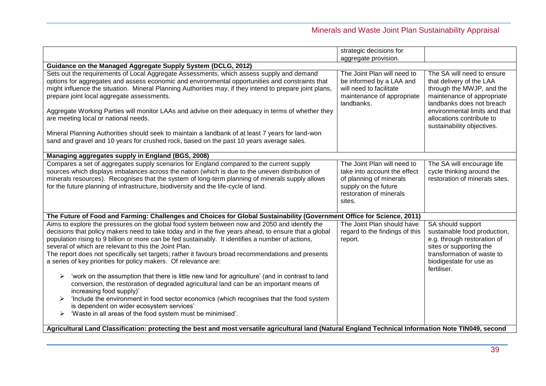|                                                                                                                                                                                                                                                                                                                                                                                                                                                                                                                                                                                                                                                                                                                                                                                                                                                                                                                                                                                                                 | strategic decisions for                                                                                                                             |                                                                                                                                                                                                                                            |  |
|-----------------------------------------------------------------------------------------------------------------------------------------------------------------------------------------------------------------------------------------------------------------------------------------------------------------------------------------------------------------------------------------------------------------------------------------------------------------------------------------------------------------------------------------------------------------------------------------------------------------------------------------------------------------------------------------------------------------------------------------------------------------------------------------------------------------------------------------------------------------------------------------------------------------------------------------------------------------------------------------------------------------|-----------------------------------------------------------------------------------------------------------------------------------------------------|--------------------------------------------------------------------------------------------------------------------------------------------------------------------------------------------------------------------------------------------|--|
|                                                                                                                                                                                                                                                                                                                                                                                                                                                                                                                                                                                                                                                                                                                                                                                                                                                                                                                                                                                                                 | aggregate provision.                                                                                                                                |                                                                                                                                                                                                                                            |  |
| Guidance on the Managed Aggregate Supply System (DCLG, 2012)                                                                                                                                                                                                                                                                                                                                                                                                                                                                                                                                                                                                                                                                                                                                                                                                                                                                                                                                                    |                                                                                                                                                     |                                                                                                                                                                                                                                            |  |
| Sets out the requirements of Local Aggregate Assessments, which assess supply and demand<br>options for aggregates and assess economic and environmental opportunities and constraints that<br>might influence the situation. Mineral Planning Authorities may, if they intend to prepare joint plans,<br>prepare joint local aggregate assessments.<br>Aggregate Working Parties will monitor LAAs and advise on their adequacy in terms of whether they<br>are meeting local or national needs.<br>Mineral Planning Authorities should seek to maintain a landbank of at least 7 years for land-won<br>sand and gravel and 10 years for crushed rock, based on the past 10 years average sales.                                                                                                                                                                                                                                                                                                               | The Joint Plan will need to<br>be informed by a LAA and<br>will need to facilitate<br>maintenance of appropriate<br>landbanks.                      | The SA will need to ensure<br>that delivery of the LAA<br>through the MWJP, and the<br>maintenance of appropriate<br>landbanks does not breach<br>environmental limits and that<br>allocations contribute to<br>sustainability objectives. |  |
| Managing aggregates supply in England (BGS, 2008)                                                                                                                                                                                                                                                                                                                                                                                                                                                                                                                                                                                                                                                                                                                                                                                                                                                                                                                                                               |                                                                                                                                                     |                                                                                                                                                                                                                                            |  |
| Compares a set of aggregates supply scenarios for England compared to the current supply<br>sources which displays imbalances across the nation (which is due to the uneven distribution of<br>minerals resources). Recognises that the system of long-term planning of minerals supply allows<br>for the future planning of infrastructure, biodiversity and the life-cycle of land.                                                                                                                                                                                                                                                                                                                                                                                                                                                                                                                                                                                                                           | The Joint Plan will need to<br>take into account the effect<br>of planning of minerals<br>supply on the future<br>restoration of minerals<br>sites. | The SA will encourage life<br>cycle thinking around the<br>restoration of minerals sites.                                                                                                                                                  |  |
| The Future of Food and Farming: Challenges and Choices for Global Sustainability (Government Office for Science, 2011)                                                                                                                                                                                                                                                                                                                                                                                                                                                                                                                                                                                                                                                                                                                                                                                                                                                                                          |                                                                                                                                                     |                                                                                                                                                                                                                                            |  |
| Aims to explore the pressures on the global food system between now and 2050 and identify the<br>decisions that policy makers need to take today and in the five years ahead, to ensure that a global<br>population rising to 9 billion or more can be fed sustainably. It identifies a number of actions,<br>several of which are relevant to this the Joint Plan.<br>The report does not specifically set targets; rather it favours broad recommendations and presents<br>a series of key priorities for policy makers. Of relevance are:<br>'work on the assumption that there is little new land for agriculture' (and in contrast to land<br>➤<br>conversion, the restoration of degraded agricultural land can be an important means of<br>increasing food supply)'<br>'Include the environment in food sector economics (which recognises that the food system<br>➤<br>is dependent on wider ecosystem services'<br>'Waste in all areas of the food system must be minimised'.<br>$\blacktriangleright$ | The Joint Plan should have<br>regard to the findings of this<br>report.                                                                             | SA should support<br>sustainable food production,<br>e.g. through restoration of<br>sites or supporting the<br>transformation of waste to<br>biodigestate for use as<br>fertiliser.                                                        |  |
| Agricultural Land Classification: protecting the best and most versatile agricultural land (Natural England Technical Information Note TIN049, second                                                                                                                                                                                                                                                                                                                                                                                                                                                                                                                                                                                                                                                                                                                                                                                                                                                           |                                                                                                                                                     |                                                                                                                                                                                                                                            |  |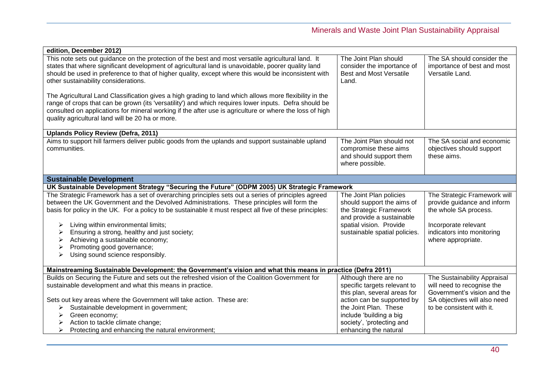| edition, December 2012)                                                                                                                                                                                                                                                                                                                                                                                                                                                                                                                                                     |                                                                                                                                                                           |                                                                                                                                                                  |
|-----------------------------------------------------------------------------------------------------------------------------------------------------------------------------------------------------------------------------------------------------------------------------------------------------------------------------------------------------------------------------------------------------------------------------------------------------------------------------------------------------------------------------------------------------------------------------|---------------------------------------------------------------------------------------------------------------------------------------------------------------------------|------------------------------------------------------------------------------------------------------------------------------------------------------------------|
| This note sets out guidance on the protection of the best and most versatile agricultural land. It<br>states that where significant development of agricultural land is unavoidable, poorer quality land<br>should be used in preference to that of higher quality, except where this would be inconsistent with<br>other sustainability considerations.<br>The Agricultural Land Classification gives a high grading to land which allows more flexibility in the<br>range of crops that can be grown (its 'versatility') and which requires lower inputs. Defra should be | The Joint Plan should<br>consider the importance of<br><b>Best and Most Versatile</b><br>Land.                                                                            | The SA should consider the<br>importance of best and most<br>Versatile Land.                                                                                     |
| consulted on applications for mineral working if the after use is agriculture or where the loss of high<br>quality agricultural land will be 20 ha or more.                                                                                                                                                                                                                                                                                                                                                                                                                 |                                                                                                                                                                           |                                                                                                                                                                  |
| <b>Uplands Policy Review (Defra, 2011)</b>                                                                                                                                                                                                                                                                                                                                                                                                                                                                                                                                  |                                                                                                                                                                           |                                                                                                                                                                  |
| Aims to support hill farmers deliver public goods from the uplands and support sustainable upland<br>communities.                                                                                                                                                                                                                                                                                                                                                                                                                                                           | The Joint Plan should not<br>compromise these aims<br>and should support them<br>where possible.                                                                          | The SA social and economic<br>objectives should support<br>these aims.                                                                                           |
| <b>Sustainable Development</b>                                                                                                                                                                                                                                                                                                                                                                                                                                                                                                                                              |                                                                                                                                                                           |                                                                                                                                                                  |
| UK Sustainable Development Strategy "Securing the Future" (ODPM 2005) UK Strategic Framework                                                                                                                                                                                                                                                                                                                                                                                                                                                                                |                                                                                                                                                                           |                                                                                                                                                                  |
| The Strategic Framework has a set of overarching principles sets out a series of principles agreed<br>between the UK Government and the Devolved Administrations. These principles will form the<br>basis for policy in the UK. For a policy to be sustainable it must respect all five of these principles:<br>Living within environmental limits;<br>➤<br>Ensuring a strong, healthy and just society;<br>Achieving a sustainable economy;<br>Promoting good governance;<br>➤<br>Using sound science responsibly.<br>➤                                                    | The Joint Plan policies<br>should support the aims of<br>the Strategic Framework<br>and provide a sustainable<br>spatial vision. Provide<br>sustainable spatial policies. | The Strategic Framework will<br>provide guidance and inform<br>the whole SA process.<br>Incorporate relevant<br>indicators into monitoring<br>where appropriate. |
| Mainstreaming Sustainable Development: the Government's vision and what this means in practice (Defra 2011)                                                                                                                                                                                                                                                                                                                                                                                                                                                                 |                                                                                                                                                                           |                                                                                                                                                                  |
| Builds on Securing the Future and sets out the refreshed vision of the Coalition Government for<br>sustainable development and what this means in practice.                                                                                                                                                                                                                                                                                                                                                                                                                 | Although there are no<br>specific targets relevant to<br>this plan, several areas for                                                                                     | The Sustainability Appraisal<br>will need to recognise the<br>Government's vision and the                                                                        |
| Sets out key areas where the Government will take action. These are:                                                                                                                                                                                                                                                                                                                                                                                                                                                                                                        | action can be supported by                                                                                                                                                | SA objectives will also need                                                                                                                                     |
| Sustainable development in government;<br>➤                                                                                                                                                                                                                                                                                                                                                                                                                                                                                                                                 | the Joint Plan. These                                                                                                                                                     | to be consistent with it.                                                                                                                                        |
| Green economy;<br>➤                                                                                                                                                                                                                                                                                                                                                                                                                                                                                                                                                         | include 'building a big                                                                                                                                                   |                                                                                                                                                                  |
| Action to tackle climate change;<br>➤                                                                                                                                                                                                                                                                                                                                                                                                                                                                                                                                       | society', 'protecting and                                                                                                                                                 |                                                                                                                                                                  |
| Protecting and enhancing the natural environment;                                                                                                                                                                                                                                                                                                                                                                                                                                                                                                                           | enhancing the natural                                                                                                                                                     |                                                                                                                                                                  |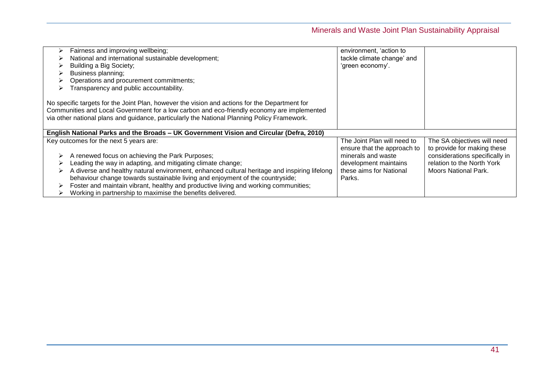| Fairness and improving wellbeing;<br>National and international sustainable development;<br>Building a Big Society;<br>Business planning;<br>Operations and procurement commitments;<br>Transparency and public accountability.                                                                                                                                                                                                                      | environment, 'action to<br>tackle climate change' and<br>'green economy'.                                       |                                                                                                                            |
|------------------------------------------------------------------------------------------------------------------------------------------------------------------------------------------------------------------------------------------------------------------------------------------------------------------------------------------------------------------------------------------------------------------------------------------------------|-----------------------------------------------------------------------------------------------------------------|----------------------------------------------------------------------------------------------------------------------------|
| No specific targets for the Joint Plan, however the vision and actions for the Department for<br>Communities and Local Government for a low carbon and eco-friendly economy are implemented<br>via other national plans and guidance, particularly the National Planning Policy Framework.                                                                                                                                                           |                                                                                                                 |                                                                                                                            |
| English National Parks and the Broads - UK Government Vision and Circular (Defra, 2010)                                                                                                                                                                                                                                                                                                                                                              |                                                                                                                 |                                                                                                                            |
| Key outcomes for the next 5 years are:                                                                                                                                                                                                                                                                                                                                                                                                               | The Joint Plan will need to                                                                                     | The SA objectives will need                                                                                                |
| A renewed focus on achieving the Park Purposes;<br>Leading the way in adapting, and mitigating climate change;<br>A diverse and healthy natural environment, enhanced cultural heritage and inspiring lifelong<br>behaviour change towards sustainable living and enjoyment of the countryside;<br>Foster and maintain vibrant, healthy and productive living and working communities;<br>Working in partnership to maximise the benefits delivered. | ensure that the approach to<br>minerals and waste<br>development maintains<br>these aims for National<br>Parks. | to provide for making these<br>considerations specifically in<br>relation to the North York<br><b>Moors National Park.</b> |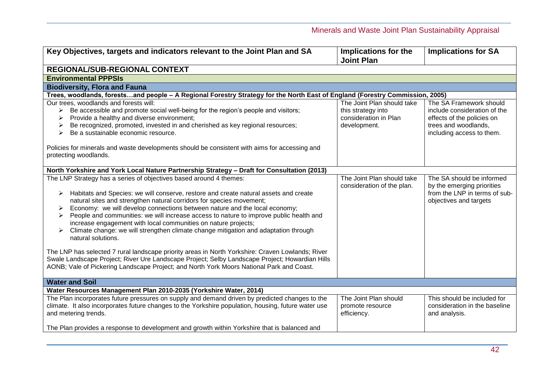| Key Objectives, targets and indicators relevant to the Joint Plan and SA                                                                                                                                                                                                                                                                                                                                                                                                                                                                                                                                                                                                                                                                                                                                                                                                                                        | Implications for the<br><b>Joint Plan</b>                                                 | <b>Implications for SA</b>                                                                                                                 |  |
|-----------------------------------------------------------------------------------------------------------------------------------------------------------------------------------------------------------------------------------------------------------------------------------------------------------------------------------------------------------------------------------------------------------------------------------------------------------------------------------------------------------------------------------------------------------------------------------------------------------------------------------------------------------------------------------------------------------------------------------------------------------------------------------------------------------------------------------------------------------------------------------------------------------------|-------------------------------------------------------------------------------------------|--------------------------------------------------------------------------------------------------------------------------------------------|--|
| REGIONAL/SUB-REGIONAL CONTEXT                                                                                                                                                                                                                                                                                                                                                                                                                                                                                                                                                                                                                                                                                                                                                                                                                                                                                   |                                                                                           |                                                                                                                                            |  |
| <b>Environmental PPPSIs</b>                                                                                                                                                                                                                                                                                                                                                                                                                                                                                                                                                                                                                                                                                                                                                                                                                                                                                     |                                                                                           |                                                                                                                                            |  |
| <b>Biodiversity, Flora and Fauna</b>                                                                                                                                                                                                                                                                                                                                                                                                                                                                                                                                                                                                                                                                                                                                                                                                                                                                            |                                                                                           |                                                                                                                                            |  |
| Trees, woodlands, forestsand people - A Regional Forestry Strategy for the North East of England (Forestry Commission, 2005)                                                                                                                                                                                                                                                                                                                                                                                                                                                                                                                                                                                                                                                                                                                                                                                    |                                                                                           |                                                                                                                                            |  |
| Our trees, woodlands and forests will:<br>Be accessible and promote social well-being for the region's people and visitors;<br>Provide a healthy and diverse environment;<br>Be recognized, promoted, invested in and cherished as key regional resources;<br>Be a sustainable economic resource.<br>➤<br>Policies for minerals and waste developments should be consistent with aims for accessing and<br>protecting woodlands.                                                                                                                                                                                                                                                                                                                                                                                                                                                                                | The Joint Plan should take<br>this strategy into<br>consideration in Plan<br>development. | The SA Framework should<br>include consideration of the<br>effects of the policies on<br>trees and woodlands,<br>including access to them. |  |
| North Yorkshire and York Local Nature Partnership Strategy - Draft for Consultation (2013)                                                                                                                                                                                                                                                                                                                                                                                                                                                                                                                                                                                                                                                                                                                                                                                                                      |                                                                                           |                                                                                                                                            |  |
| The LNP Strategy has a series of objectives based around 4 themes:<br>Habitats and Species: we will conserve, restore and create natural assets and create<br>➤<br>natural sites and strengthen natural corridors for species movement;<br>Economy: we will develop connections between nature and the local economy;<br>➤<br>People and communities: we will increase access to nature to improve public health and<br>➤<br>increase engagement with local communities on nature projects;<br>Climate change: we will strengthen climate change mitigation and adaptation through<br>➤<br>natural solutions.<br>The LNP has selected 7 rural landscape priority areas in North Yorkshire: Craven Lowlands; River<br>Swale Landscape Project; River Ure Landscape Project; Selby Landscape Project; Howardian Hills<br>AONB; Vale of Pickering Landscape Project; and North York Moors National Park and Coast. | The Joint Plan should take<br>consideration of the plan.                                  | The SA should be informed<br>by the emerging priorities<br>from the LNP in terms of sub-<br>objectives and targets                         |  |
| <b>Water and Soil</b>                                                                                                                                                                                                                                                                                                                                                                                                                                                                                                                                                                                                                                                                                                                                                                                                                                                                                           |                                                                                           |                                                                                                                                            |  |
| Water Resources Management Plan 2010-2035 (Yorkshire Water, 2014)<br>The Plan incorporates future pressures on supply and demand driven by predicted changes to the                                                                                                                                                                                                                                                                                                                                                                                                                                                                                                                                                                                                                                                                                                                                             | The Joint Plan should                                                                     | This should be included for                                                                                                                |  |
| climate. It also incorporates future changes to the Yorkshire population, housing, future water use<br>and metering trends.                                                                                                                                                                                                                                                                                                                                                                                                                                                                                                                                                                                                                                                                                                                                                                                     | promote resource<br>efficiency.                                                           | consideration in the baseline<br>and analysis.                                                                                             |  |
| The Plan provides a response to development and growth within Yorkshire that is balanced and                                                                                                                                                                                                                                                                                                                                                                                                                                                                                                                                                                                                                                                                                                                                                                                                                    |                                                                                           |                                                                                                                                            |  |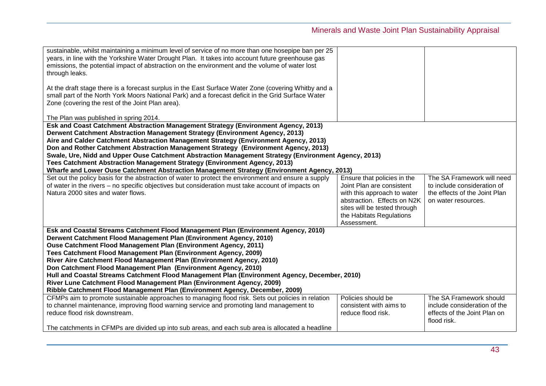| sustainable, whilst maintaining a minimum level of service of no more than one hosepipe ban per 25<br>years, in line with the Yorkshire Water Drought Plan. It takes into account future greenhouse gas<br>emissions, the potential impact of abstraction on the environment and the volume of water lost<br>through leaks.                                                                                                                                                                                                                                                                                                          |                                               |                                                              |
|--------------------------------------------------------------------------------------------------------------------------------------------------------------------------------------------------------------------------------------------------------------------------------------------------------------------------------------------------------------------------------------------------------------------------------------------------------------------------------------------------------------------------------------------------------------------------------------------------------------------------------------|-----------------------------------------------|--------------------------------------------------------------|
| At the draft stage there is a forecast surplus in the East Surface Water Zone (covering Whitby and a<br>small part of the North York Moors National Park) and a forecast deficit in the Grid Surface Water<br>Zone (covering the rest of the Joint Plan area).                                                                                                                                                                                                                                                                                                                                                                       |                                               |                                                              |
| The Plan was published in spring 2014.                                                                                                                                                                                                                                                                                                                                                                                                                                                                                                                                                                                               |                                               |                                                              |
| Esk and Coast Catchment Abstraction Management Strategy (Environment Agency, 2013)<br>Derwent Catchment Abstraction Management Strategy (Environment Agency, 2013)<br>Aire and Calder Catchment Abstraction Management Strategy (Environment Agency, 2013)<br>Don and Rother Catchment Abstraction Management Strategy (Environment Agency, 2013)<br>Swale, Ure, Nidd and Upper Ouse Catchment Abstraction Management Strategy (Environment Agency, 2013)<br>Tees Catchment Abstraction Management Strategy (Environment Agency, 2013)<br>Wharfe and Lower Ouse Catchment Abstraction Management Strategy (Environment Agency, 2013) |                                               |                                                              |
| Set out the policy basis for the abstraction of water to protect the environment and ensure a supply                                                                                                                                                                                                                                                                                                                                                                                                                                                                                                                                 | Ensure that policies in the                   | The SA Framework will need                                   |
| of water in the rivers - no specific objectives but consideration must take account of impacts on                                                                                                                                                                                                                                                                                                                                                                                                                                                                                                                                    | Joint Plan are consistent                     | to include consideration of                                  |
| Natura 2000 sites and water flows.                                                                                                                                                                                                                                                                                                                                                                                                                                                                                                                                                                                                   | with this approach to water                   | the effects of the Joint Plan                                |
|                                                                                                                                                                                                                                                                                                                                                                                                                                                                                                                                                                                                                                      | abstraction. Effects on N2K                   | on water resources.                                          |
|                                                                                                                                                                                                                                                                                                                                                                                                                                                                                                                                                                                                                                      | sites will be tested through                  |                                                              |
|                                                                                                                                                                                                                                                                                                                                                                                                                                                                                                                                                                                                                                      | the Habitats Regulations                      |                                                              |
| Esk and Coastal Streams Catchment Flood Management Plan (Environment Agency, 2010)                                                                                                                                                                                                                                                                                                                                                                                                                                                                                                                                                   | Assessment.                                   |                                                              |
| Derwent Catchment Flood Management Plan (Environment Agency, 2010)                                                                                                                                                                                                                                                                                                                                                                                                                                                                                                                                                                   |                                               |                                                              |
| Ouse Catchment Flood Management Plan (Environment Agency, 2011)                                                                                                                                                                                                                                                                                                                                                                                                                                                                                                                                                                      |                                               |                                                              |
| Tees Catchment Flood Management Plan (Environment Agency, 2009)                                                                                                                                                                                                                                                                                                                                                                                                                                                                                                                                                                      |                                               |                                                              |
| River Aire Catchment Flood Management Plan (Environment Agency, 2010)                                                                                                                                                                                                                                                                                                                                                                                                                                                                                                                                                                |                                               |                                                              |
| Don Catchment Flood Management Plan (Environment Agency, 2010)                                                                                                                                                                                                                                                                                                                                                                                                                                                                                                                                                                       |                                               |                                                              |
| Hull and Coastal Streams Catchment Flood Management Plan (Environment Agency, December, 2010)                                                                                                                                                                                                                                                                                                                                                                                                                                                                                                                                        |                                               |                                                              |
| River Lune Catchment Flood Management Plan (Environment Agency, 2009)                                                                                                                                                                                                                                                                                                                                                                                                                                                                                                                                                                |                                               |                                                              |
| Ribble Catchment Flood Management Plan (Environment Agency, December, 2009)                                                                                                                                                                                                                                                                                                                                                                                                                                                                                                                                                          |                                               |                                                              |
| CFMPs aim to promote sustainable approaches to managing flood risk. Sets out policies in relation                                                                                                                                                                                                                                                                                                                                                                                                                                                                                                                                    | Policies should be                            | The SA Framework should                                      |
| to channel maintenance, improving flood warning service and promoting land management to<br>reduce flood risk downstream.                                                                                                                                                                                                                                                                                                                                                                                                                                                                                                            | consistent with aims to<br>reduce flood risk. | include consideration of the<br>effects of the Joint Plan on |
|                                                                                                                                                                                                                                                                                                                                                                                                                                                                                                                                                                                                                                      |                                               | flood risk.                                                  |
| The catchments in CFMPs are divided up into sub areas, and each sub area is allocated a headline                                                                                                                                                                                                                                                                                                                                                                                                                                                                                                                                     |                                               |                                                              |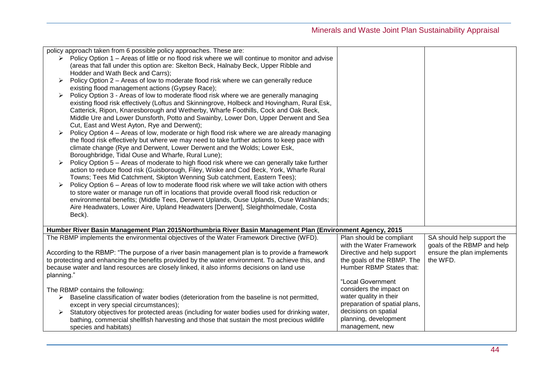|                                  | policy approach taken from 6 possible policy approaches. These are:                                      |                               |                            |
|----------------------------------|----------------------------------------------------------------------------------------------------------|-------------------------------|----------------------------|
|                                  | Policy Option 1 – Areas of little or no flood risk where we will continue to monitor and advise          |                               |                            |
|                                  |                                                                                                          |                               |                            |
|                                  | (areas that fall under this option are: Skelton Beck, Halnaby Beck, Upper Ribble and                     |                               |                            |
|                                  | Hodder and Wath Beck and Carrs);                                                                         |                               |                            |
| ➤                                | Policy Option 2 - Areas of low to moderate flood risk where we can generally reduce                      |                               |                            |
|                                  | existing flood management actions (Gypsey Race);                                                         |                               |                            |
| ➤                                | Policy Option 3 - Areas of low to moderate flood risk where we are generally managing                    |                               |                            |
|                                  | existing flood risk effectively (Loftus and Skinningrove, Holbeck and Hovingham, Rural Esk,              |                               |                            |
|                                  | Catterick, Ripon, Knaresborough and Wetherby, Wharfe Foothills, Cock and Oak Beck,                       |                               |                            |
|                                  | Middle Ure and Lower Dunsforth, Potto and Swainby, Lower Don, Upper Derwent and Sea                      |                               |                            |
|                                  | Cut, East and West Ayton, Rye and Derwent);                                                              |                               |                            |
|                                  | Policy Option 4 - Areas of low, moderate or high flood risk where we are already managing                |                               |                            |
|                                  | the flood risk effectively but where we may need to take further actions to keep pace with               |                               |                            |
|                                  | climate change (Rye and Derwent, Lower Derwent and the Wolds; Lower Esk,                                 |                               |                            |
|                                  | Boroughbridge, Tidal Ouse and Wharfe, Rural Lune);                                                       |                               |                            |
|                                  | Policy Option 5 - Areas of moderate to high flood risk where we can generally take further               |                               |                            |
|                                  | action to reduce flood risk (Guisborough, Filey, Wiske and Cod Beck, York, Wharfe Rural                  |                               |                            |
|                                  | Towns; Tees Mid Catchment, Skipton Wenning Sub catchment, Eastern Tees);                                 |                               |                            |
|                                  | Policy Option 6 - Areas of low to moderate flood risk where we will take action with others              |                               |                            |
|                                  | to store water or manage run off in locations that provide overall flood risk reduction or               |                               |                            |
|                                  | environmental benefits; (Middle Tees, Derwent Uplands, Ouse Uplands, Ouse Washlands;                     |                               |                            |
|                                  |                                                                                                          |                               |                            |
|                                  | Aire Headwaters, Lower Aire, Upland Headwaters [Derwent], Sleightholmedale, Costa                        |                               |                            |
| Beck).                           |                                                                                                          |                               |                            |
|                                  |                                                                                                          |                               |                            |
|                                  | Humber River Basin Management Plan 2015Northumbria River Basin Management Plan (Environment Agency, 2015 |                               |                            |
|                                  | The RBMP implements the environmental objectives of the Water Framework Directive (WFD).                 | Plan should be compliant      | SA should help support the |
|                                  |                                                                                                          | with the Water Framework      | goals of the RBMP and help |
|                                  | According to the RBMP: "The purpose of a river basin management plan is to provide a framework           | Directive and help support    | ensure the plan implements |
|                                  | to protecting and enhancing the benefits provided by the water environment. To achieve this, and         | the goals of the RBMP. The    | the WFD.                   |
|                                  | because water and land resources are closely linked, it also informs decisions on land use               | Humber RBMP States that:      |                            |
| planning."                       |                                                                                                          |                               |                            |
|                                  |                                                                                                          | "Local Government             |                            |
| The RBMP contains the following: |                                                                                                          | considers the impact on       |                            |
|                                  | Baseline classification of water bodies (deterioration from the baseline is not permitted,               | water quality in their        |                            |
|                                  | except in very special circumstances);                                                                   | preparation of spatial plans, |                            |
| ➤                                | Statutory objectives for protected areas (including for water bodies used for drinking water,            | decisions on spatial          |                            |
|                                  | bathing, commercial shellfish harvesting and those that sustain the most precious wildlife               | planning, development         |                            |
| species and habitats)            |                                                                                                          | management, new               |                            |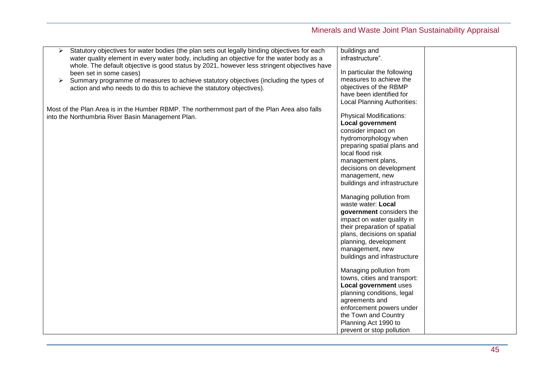| Statutory objectives for water bodies (the plan sets out legally binding objectives for each   | buildings and                  |  |
|------------------------------------------------------------------------------------------------|--------------------------------|--|
| water quality element in every water body, including an objective for the water body as a      | infrastructure".               |  |
| whole. The default objective is good status by 2021, however less stringent objectives have    |                                |  |
| been set in some cases)                                                                        | In particular the following    |  |
| Summary programme of measures to achieve statutory objectives (including the types of<br>≻     | measures to achieve the        |  |
| action and who needs to do this to achieve the statutory objectives).                          | objectives of the RBMP         |  |
|                                                                                                | have been identified for       |  |
|                                                                                                | Local Planning Authorities:    |  |
| Most of the Plan Area is in the Humber RBMP. The northernmost part of the Plan Area also falls |                                |  |
| into the Northumbria River Basin Management Plan.                                              | <b>Physical Modifications:</b> |  |
|                                                                                                | <b>Local government</b>        |  |
|                                                                                                | consider impact on             |  |
|                                                                                                | hydromorphology when           |  |
|                                                                                                | preparing spatial plans and    |  |
|                                                                                                | local flood risk               |  |
|                                                                                                | management plans,              |  |
|                                                                                                | decisions on development       |  |
|                                                                                                | management, new                |  |
|                                                                                                | buildings and infrastructure   |  |
|                                                                                                |                                |  |
|                                                                                                | Managing pollution from        |  |
|                                                                                                | waste water: Local             |  |
|                                                                                                | government considers the       |  |
|                                                                                                | impact on water quality in     |  |
|                                                                                                | their preparation of spatial   |  |
|                                                                                                | plans, decisions on spatial    |  |
|                                                                                                | planning, development          |  |
|                                                                                                | management, new                |  |
|                                                                                                | buildings and infrastructure   |  |
|                                                                                                |                                |  |
|                                                                                                | Managing pollution from        |  |
|                                                                                                | towns, cities and transport:   |  |
|                                                                                                | Local government uses          |  |
|                                                                                                | planning conditions, legal     |  |
|                                                                                                | agreements and                 |  |
|                                                                                                | enforcement powers under       |  |
|                                                                                                | the Town and Country           |  |
|                                                                                                | Planning Act 1990 to           |  |
|                                                                                                | prevent or stop pollution      |  |
|                                                                                                |                                |  |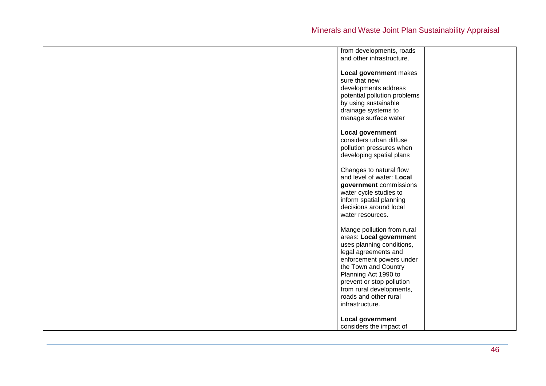| from developments, roads     |  |
|------------------------------|--|
|                              |  |
| and other infrastructure.    |  |
|                              |  |
| Local government makes       |  |
| sure that new                |  |
| developments address         |  |
| potential pollution problems |  |
| by using sustainable         |  |
| drainage systems to          |  |
|                              |  |
| manage surface water         |  |
|                              |  |
| Local government             |  |
| considers urban diffuse      |  |
| pollution pressures when     |  |
| developing spatial plans     |  |
|                              |  |
| Changes to natural flow      |  |
| and level of water: Local    |  |
|                              |  |
| government commissions       |  |
| water cycle studies to       |  |
| inform spatial planning      |  |
| decisions around local       |  |
| water resources.             |  |
|                              |  |
| Mange pollution from rural   |  |
| areas: Local government      |  |
| uses planning conditions,    |  |
|                              |  |
| legal agreements and         |  |
| enforcement powers under     |  |
| the Town and Country         |  |
| Planning Act 1990 to         |  |
| prevent or stop pollution    |  |
| from rural developments,     |  |
| roads and other rural        |  |
| infrastructure.              |  |
|                              |  |
| Local government             |  |
|                              |  |
| considers the impact of      |  |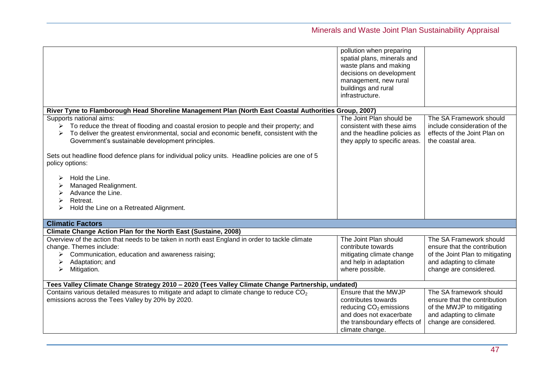|                                                                                                                                                                                                                                                                                                                                                                                                                                                                          | pollution when preparing<br>spatial plans, minerals and<br>waste plans and making<br>decisions on development<br>management, new rural<br>buildings and rural   |                                                                                                                                                 |
|--------------------------------------------------------------------------------------------------------------------------------------------------------------------------------------------------------------------------------------------------------------------------------------------------------------------------------------------------------------------------------------------------------------------------------------------------------------------------|-----------------------------------------------------------------------------------------------------------------------------------------------------------------|-------------------------------------------------------------------------------------------------------------------------------------------------|
|                                                                                                                                                                                                                                                                                                                                                                                                                                                                          | infrastructure.                                                                                                                                                 |                                                                                                                                                 |
| River Tyne to Flamborough Head Shoreline Management Plan (North East Coastal Authorities Group, 2007)                                                                                                                                                                                                                                                                                                                                                                    |                                                                                                                                                                 |                                                                                                                                                 |
| Supports national aims:<br>To reduce the threat of flooding and coastal erosion to people and their property; and<br>To deliver the greatest environmental, social and economic benefit, consistent with the<br>Government's sustainable development principles.<br>Sets out headline flood defence plans for individual policy units. Headline policies are one of 5<br>policy options:<br>Hold the Line.<br>Managed Realignment.<br>Advance the Line.<br>≻<br>Retreat. | The Joint Plan should be<br>consistent with these aims<br>and the headline policies as<br>they apply to specific areas.                                         | The SA Framework should<br>include consideration of the<br>effects of the Joint Plan on<br>the coastal area.                                    |
| Hold the Line on a Retreated Alignment.<br>≻                                                                                                                                                                                                                                                                                                                                                                                                                             |                                                                                                                                                                 |                                                                                                                                                 |
| <b>Climatic Factors</b>                                                                                                                                                                                                                                                                                                                                                                                                                                                  |                                                                                                                                                                 |                                                                                                                                                 |
| Climate Change Action Plan for the North East (Sustaine, 2008)                                                                                                                                                                                                                                                                                                                                                                                                           |                                                                                                                                                                 |                                                                                                                                                 |
| Overview of the action that needs to be taken in north east England in order to tackle climate<br>change. Themes include:<br>Communication, education and awareness raising;<br>➤<br>Adaptation; and<br>➤<br>Mitigation.<br>➤                                                                                                                                                                                                                                            | The Joint Plan should<br>contribute towards<br>mitigating climate change<br>and help in adaptation<br>where possible.                                           | The SA Framework should<br>ensure that the contribution<br>of the Joint Plan to mitigating<br>and adapting to climate<br>change are considered. |
| Tees Valley Climate Change Strategy 2010 - 2020 (Tees Valley Climate Change Partnership, undated)                                                                                                                                                                                                                                                                                                                                                                        |                                                                                                                                                                 |                                                                                                                                                 |
| Contains various detailed measures to mitigate and adapt to climate change to reduce CO <sub>2</sub><br>emissions across the Tees Valley by 20% by 2020.                                                                                                                                                                                                                                                                                                                 | Ensure that the MWJP<br>contributes towards<br>reducing CO <sub>2</sub> emissions<br>and does not exacerbate<br>the transboundary effects of<br>climate change. | The SA framework should<br>ensure that the contribution<br>of the MWJP to mitigating<br>and adapting to climate<br>change are considered.       |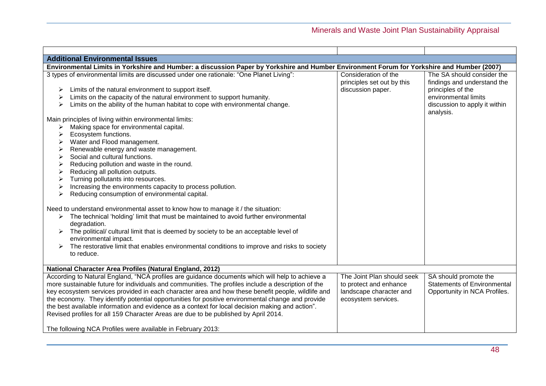| <b>Additional Environmental Issues</b>                                                                                                     |                            |                                    |
|--------------------------------------------------------------------------------------------------------------------------------------------|----------------------------|------------------------------------|
| Environmental Limits in Yorkshire and Humber: a discussion Paper by Yorkshire and Humber Environment Forum for Yorkshire and Humber (2007) |                            |                                    |
| 3 types of environmental limits are discussed under one rationale: "One Planet Living":                                                    | Consideration of the       | The SA should consider the         |
|                                                                                                                                            | principles set out by this | findings and understand the        |
| Limits of the natural environment to support itself.<br>➤                                                                                  | discussion paper.          | principles of the                  |
| Limits on the capacity of the natural environment to support humanity.                                                                     |                            | environmental limits               |
| Limits on the ability of the human habitat to cope with environmental change.                                                              |                            | discussion to apply it within      |
|                                                                                                                                            |                            | analysis.                          |
| Main principles of living within environmental limits:                                                                                     |                            |                                    |
| Making space for environmental capital.                                                                                                    |                            |                                    |
| Ecosystem functions.<br>⋗                                                                                                                  |                            |                                    |
| Water and Flood management.<br>➤                                                                                                           |                            |                                    |
| Renewable energy and waste management.<br>➤                                                                                                |                            |                                    |
| Social and cultural functions.<br>➤                                                                                                        |                            |                                    |
| Reducing pollution and waste in the round.<br>➤                                                                                            |                            |                                    |
| Reducing all pollution outputs.<br>➤                                                                                                       |                            |                                    |
| Turning pollutants into resources.<br>➤                                                                                                    |                            |                                    |
| Increasing the environments capacity to process pollution.                                                                                 |                            |                                    |
| Reducing consumption of environmental capital.                                                                                             |                            |                                    |
| Need to understand environmental asset to know how to manage it / the situation:                                                           |                            |                                    |
| $\triangleright$ The technical 'holding' limit that must be maintained to avoid further environmental                                      |                            |                                    |
| degradation.                                                                                                                               |                            |                                    |
| The political/ cultural limit that is deemed by society to be an acceptable level of                                                       |                            |                                    |
| environmental impact.                                                                                                                      |                            |                                    |
| The restorative limit that enables environmental conditions to improve and risks to society                                                |                            |                                    |
| to reduce.                                                                                                                                 |                            |                                    |
|                                                                                                                                            |                            |                                    |
| National Character Area Profiles (Natural England, 2012)                                                                                   |                            |                                    |
| According to Natural England, "NCA profiles are guidance documents which will help to achieve a                                            | The Joint Plan should seek | SA should promote the              |
| more sustainable future for individuals and communities. The profiles include a description of the                                         | to protect and enhance     | <b>Statements of Environmental</b> |
| key ecosystem services provided in each character area and how these benefit people, wildlife and                                          | landscape character and    | Opportunity in NCA Profiles.       |
| the economy. They identify potential opportunities for positive environmental change and provide                                           | ecosystem services.        |                                    |
| the best available information and evidence as a context for local decision making and action".                                            |                            |                                    |
| Revised profiles for all 159 Character Areas are due to be published by April 2014.                                                        |                            |                                    |
|                                                                                                                                            |                            |                                    |
| The following NCA Profiles were available in February 2013:                                                                                |                            |                                    |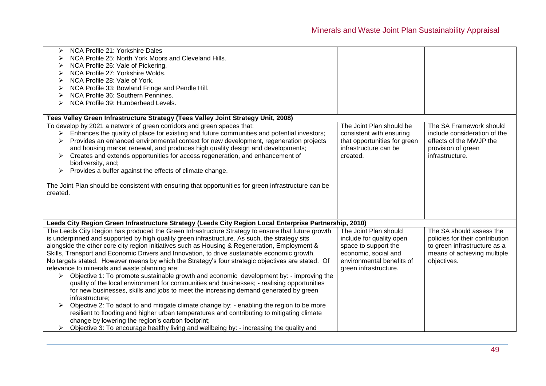| NCA Profile 21: Yorkshire Dales<br>↘                                                                   |                              |                                 |
|--------------------------------------------------------------------------------------------------------|------------------------------|---------------------------------|
| NCA Profile 25: North York Moors and Cleveland Hills.                                                  |                              |                                 |
| NCA Profile 26: Vale of Pickering.                                                                     |                              |                                 |
| NCA Profile 27: Yorkshire Wolds.                                                                       |                              |                                 |
| NCA Profile 28: Vale of York.                                                                          |                              |                                 |
| NCA Profile 33: Bowland Fringe and Pendle Hill.                                                        |                              |                                 |
| NCA Profile 36: Southern Pennines.                                                                     |                              |                                 |
| NCA Profile 39: Humberhead Levels.                                                                     |                              |                                 |
|                                                                                                        |                              |                                 |
| Tees Valley Green Infrastructure Strategy (Tees Valley Joint Strategy Unit, 2008)                      |                              |                                 |
| To develop by 2021 a network of green corridors and green spaces that:                                 | The Joint Plan should be     | The SA Framework should         |
| Enhances the quality of place for existing and future communities and potential investors;<br>↘        | consistent with ensuring     | include consideration of the    |
| Provides an enhanced environmental context for new development, regeneration projects<br>➤             | that opportunities for green | effects of the MWJP the         |
| and housing market renewal, and produces high quality design and developments;                         | infrastructure can be        | provision of green              |
| Creates and extends opportunities for access regeneration, and enhancement of                          | created.                     | infrastructure.                 |
| biodiversity, and;                                                                                     |                              |                                 |
| Provides a buffer against the effects of climate change.<br>➤                                          |                              |                                 |
|                                                                                                        |                              |                                 |
| The Joint Plan should be consistent with ensuring that opportunities for green infrastructure can be   |                              |                                 |
| created.                                                                                               |                              |                                 |
|                                                                                                        |                              |                                 |
|                                                                                                        |                              |                                 |
|                                                                                                        |                              |                                 |
| Leeds City Region Green Infrastructure Strategy (Leeds City Region Local Enterprise Partnership, 2010) |                              |                                 |
| The Leeds City Region has produced the Green Infrastructure Strategy to ensure that future growth      | The Joint Plan should        | The SA should assess the        |
| is underpinned and supported by high quality green infrastructure. As such, the strategy sits          | include for quality open     | policies for their contribution |
| alongside the other core city region initiatives such as Housing & Regeneration, Employment &          | space to support the         | to green infrastructure as a    |
| Skills, Transport and Economic Drivers and Innovation, to drive sustainable economic growth.           | economic, social and         | means of achieving multiple     |
| No targets stated. However means by which the Strategy's four strategic objectives are stated. Of      | environmental benefits of    | objectives.                     |
| relevance to minerals and waste planning are:                                                          | green infrastructure.        |                                 |
| Objective 1: To promote sustainable growth and economic development by: - improving the                |                              |                                 |
| quality of the local environment for communities and businesses; - realising opportunities             |                              |                                 |
| for new businesses, skills and jobs to meet the increasing demand generated by green                   |                              |                                 |
| infrastructure:                                                                                        |                              |                                 |
|                                                                                                        |                              |                                 |
| Objective 2: To adapt to and mitigate climate change by: - enabling the region to be more              |                              |                                 |
| resilient to flooding and higher urban temperatures and contributing to mitigating climate             |                              |                                 |
| change by lowering the region's carbon footprint;                                                      |                              |                                 |
| Objective 3: To encourage healthy living and wellbeing by: - increasing the quality and                |                              |                                 |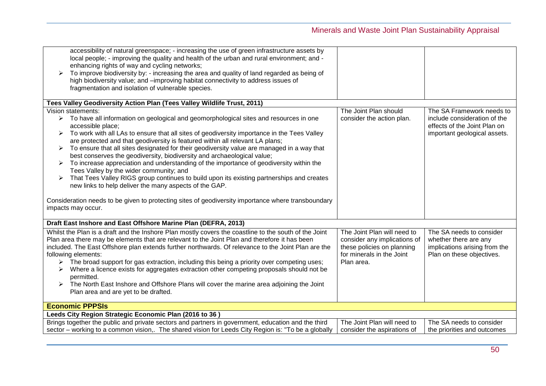| accessibility of natural greenspace; - increasing the use of green infrastructure assets by<br>local people; - improving the quality and health of the urban and rural environment; and -<br>enhancing rights of way and cycling networks;<br>To improve biodiversity by: - increasing the area and quality of land regarded as being of<br>high biodiversity value; and -improving habitat connectivity to address issues of<br>fragmentation and isolation of vulnerable species. |                              |                               |
|-------------------------------------------------------------------------------------------------------------------------------------------------------------------------------------------------------------------------------------------------------------------------------------------------------------------------------------------------------------------------------------------------------------------------------------------------------------------------------------|------------------------------|-------------------------------|
|                                                                                                                                                                                                                                                                                                                                                                                                                                                                                     |                              |                               |
| Tees Valley Geodiversity Action Plan (Tees Valley Wildlife Trust, 2011)                                                                                                                                                                                                                                                                                                                                                                                                             |                              |                               |
| Vision statements:                                                                                                                                                                                                                                                                                                                                                                                                                                                                  | The Joint Plan should        | The SA Framework needs to     |
| $\triangleright$ To have all information on geological and geomorphological sites and resources in one                                                                                                                                                                                                                                                                                                                                                                              | consider the action plan.    | include consideration of the  |
| accessible place;                                                                                                                                                                                                                                                                                                                                                                                                                                                                   |                              | effects of the Joint Plan on  |
| To work with all LAs to ensure that all sites of geodiversity importance in the Tees Valley<br>➤<br>are protected and that geodiversity is featured within all relevant LA plans;                                                                                                                                                                                                                                                                                                   |                              | important geological assets.  |
| To ensure that all sites designated for their geodiversity value are managed in a way that<br>➤                                                                                                                                                                                                                                                                                                                                                                                     |                              |                               |
| best conserves the geodiversity, biodiversity and archaeological value;                                                                                                                                                                                                                                                                                                                                                                                                             |                              |                               |
| To increase appreciation and understanding of the importance of geodiversity within the<br>➤                                                                                                                                                                                                                                                                                                                                                                                        |                              |                               |
| Tees Valley by the wider community; and                                                                                                                                                                                                                                                                                                                                                                                                                                             |                              |                               |
| That Tees Valley RIGS group continues to build upon its existing partnerships and creates                                                                                                                                                                                                                                                                                                                                                                                           |                              |                               |
| new links to help deliver the many aspects of the GAP.                                                                                                                                                                                                                                                                                                                                                                                                                              |                              |                               |
|                                                                                                                                                                                                                                                                                                                                                                                                                                                                                     |                              |                               |
| Consideration needs to be given to protecting sites of geodiversity importance where transboundary<br>impacts may occur.                                                                                                                                                                                                                                                                                                                                                            |                              |                               |
|                                                                                                                                                                                                                                                                                                                                                                                                                                                                                     |                              |                               |
| Draft East Inshore and East Offshore Marine Plan (DEFRA, 2013)                                                                                                                                                                                                                                                                                                                                                                                                                      |                              |                               |
| Whilst the Plan is a draft and the Inshore Plan mostly covers the coastline to the south of the Joint                                                                                                                                                                                                                                                                                                                                                                               | The Joint Plan will need to  | The SA needs to consider      |
| Plan area there may be elements that are relevant to the Joint Plan and therefore it has been                                                                                                                                                                                                                                                                                                                                                                                       | consider any implications of | whether there are any         |
| included. The East Offshore plan extends further northwards. Of relevance to the Joint Plan are the                                                                                                                                                                                                                                                                                                                                                                                 | these policies on planning   | implications arising from the |
| following elements:                                                                                                                                                                                                                                                                                                                                                                                                                                                                 | for minerals in the Joint    | Plan on these objectives.     |
| The broad support for gas extraction, including this being a priority over competing uses;                                                                                                                                                                                                                                                                                                                                                                                          | Plan area.                   |                               |
| Where a licence exists for aggregates extraction other competing proposals should not be<br>permitted.                                                                                                                                                                                                                                                                                                                                                                              |                              |                               |
| > The North East Inshore and Offshore Plans will cover the marine area adjoining the Joint                                                                                                                                                                                                                                                                                                                                                                                          |                              |                               |
| Plan area and are yet to be drafted.                                                                                                                                                                                                                                                                                                                                                                                                                                                |                              |                               |
|                                                                                                                                                                                                                                                                                                                                                                                                                                                                                     |                              |                               |
| <b>Economic PPPSIs</b>                                                                                                                                                                                                                                                                                                                                                                                                                                                              |                              |                               |
| Leeds City Region Strategic Economic Plan (2016 to 36)                                                                                                                                                                                                                                                                                                                                                                                                                              |                              |                               |
| Brings together the public and private sectors and partners in government, education and the third                                                                                                                                                                                                                                                                                                                                                                                  | The Joint Plan will need to  | The SA needs to consider      |
| sector - working to a common vision,. The shared vision for Leeds City Region is: "To be a globally                                                                                                                                                                                                                                                                                                                                                                                 | consider the aspirations of  | the priorities and outcomes   |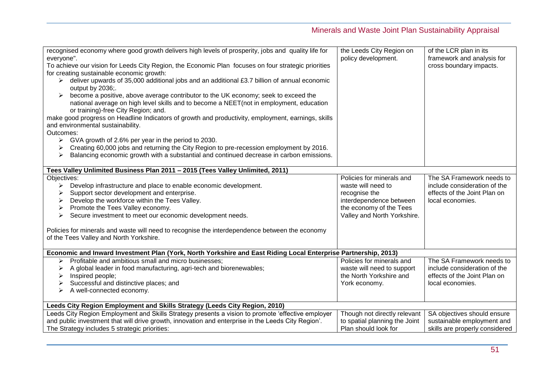| recognised economy where good growth delivers high levels of prosperity, jobs and quality life for<br>everyone".<br>To achieve our vision for Leeds City Region, the Economic Plan focuses on four strategic priorities<br>for creating sustainable economic growth:<br>$\triangleright$ deliver upwards of 35,000 additional jobs and an additional £3.7 billion of annual economic<br>output by 2036;.<br>become a positive, above average contributor to the UK economy; seek to exceed the<br>national average on high level skills and to become a NEET(not in employment, education<br>or training)-free City Region; and.<br>make good progress on Headline Indicators of growth and productivity, employment, earnings, skills<br>and environmental sustainability.<br>Outcomes:<br>GVA growth of 2.6% per year in the period to 2030.<br>➤<br>Creating 60,000 jobs and returning the City Region to pre-recession employment by 2016.<br>➤<br>Balancing economic growth with a substantial and continued decrease in carbon emissions.<br>➤ | the Leeds City Region on<br>policy development.                                                                                                       | of the LCR plan in its<br>framework and analysis for<br>cross boundary impacts.                               |
|------------------------------------------------------------------------------------------------------------------------------------------------------------------------------------------------------------------------------------------------------------------------------------------------------------------------------------------------------------------------------------------------------------------------------------------------------------------------------------------------------------------------------------------------------------------------------------------------------------------------------------------------------------------------------------------------------------------------------------------------------------------------------------------------------------------------------------------------------------------------------------------------------------------------------------------------------------------------------------------------------------------------------------------------------|-------------------------------------------------------------------------------------------------------------------------------------------------------|---------------------------------------------------------------------------------------------------------------|
| Tees Valley Unlimited Business Plan 2011 - 2015 (Tees Valley Unlimited, 2011)                                                                                                                                                                                                                                                                                                                                                                                                                                                                                                                                                                                                                                                                                                                                                                                                                                                                                                                                                                        |                                                                                                                                                       |                                                                                                               |
| Objectives:<br>Develop infrastructure and place to enable economic development.<br>➤<br>Support sector development and enterprise.<br>➤<br>Develop the workforce within the Tees Valley.<br>➤<br>Promote the Tees Valley economy.<br>➤<br>Secure investment to meet our economic development needs.<br>➤<br>Policies for minerals and waste will need to recognise the interdependence between the economy<br>of the Tees Valley and North Yorkshire.                                                                                                                                                                                                                                                                                                                                                                                                                                                                                                                                                                                                | Policies for minerals and<br>waste will need to<br>recognise the<br>interdependence between<br>the economy of the Tees<br>Valley and North Yorkshire. | The SA Framework needs to<br>include consideration of the<br>effects of the Joint Plan on<br>local economies. |
| Economic and Inward Investment Plan (York, North Yorkshire and East Riding Local Enterprise Partnership, 2013)                                                                                                                                                                                                                                                                                                                                                                                                                                                                                                                                                                                                                                                                                                                                                                                                                                                                                                                                       |                                                                                                                                                       |                                                                                                               |
| Profitable and ambitious small and micro businesses;<br>➤<br>A global leader in food manufacturing, agri-tech and biorenewables;<br>➤<br>Inspired people;<br>➤<br>Successful and distinctive places; and<br>➤<br>A well-connected economy.<br>➤                                                                                                                                                                                                                                                                                                                                                                                                                                                                                                                                                                                                                                                                                                                                                                                                      | Policies for minerals and<br>waste will need to support<br>the North Yorkshire and<br>York economy.                                                   | The SA Framework needs to<br>include consideration of the<br>effects of the Joint Plan on<br>local economies. |
| Leeds City Region Employment and Skills Strategy (Leeds City Region, 2010)                                                                                                                                                                                                                                                                                                                                                                                                                                                                                                                                                                                                                                                                                                                                                                                                                                                                                                                                                                           |                                                                                                                                                       |                                                                                                               |
| Leeds City Region Employment and Skills Strategy presents a vision to promote 'effective employer<br>and public investment that will drive growth, innovation and enterprise in the Leeds City Region'.<br>The Strategy includes 5 strategic priorities:                                                                                                                                                                                                                                                                                                                                                                                                                                                                                                                                                                                                                                                                                                                                                                                             | Though not directly relevant<br>to spatial planning the Joint<br>Plan should look for                                                                 | SA objectives should ensure<br>sustainable employment and<br>skills are properly considered                   |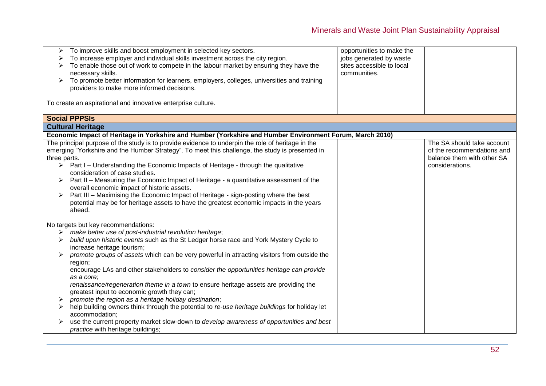| ≻<br>➤                 | To improve skills and boost employment in selected key sectors.<br>To increase employer and individual skills investment across the city region.<br>To enable those out of work to compete in the labour market by ensuring they have the<br>necessary skills.<br>To promote better information for learners, employers, colleges, universities and training<br>providers to make more informed decisions.                                                                                                                                                                                                                                                                                                                                                                                                                                                                                   | opportunities to make the<br>jobs generated by waste<br>sites accessible to local<br>communities. |                                                                                                           |
|------------------------|----------------------------------------------------------------------------------------------------------------------------------------------------------------------------------------------------------------------------------------------------------------------------------------------------------------------------------------------------------------------------------------------------------------------------------------------------------------------------------------------------------------------------------------------------------------------------------------------------------------------------------------------------------------------------------------------------------------------------------------------------------------------------------------------------------------------------------------------------------------------------------------------|---------------------------------------------------------------------------------------------------|-----------------------------------------------------------------------------------------------------------|
|                        | To create an aspirational and innovative enterprise culture.                                                                                                                                                                                                                                                                                                                                                                                                                                                                                                                                                                                                                                                                                                                                                                                                                                 |                                                                                                   |                                                                                                           |
|                        | <b>Social PPPSIs</b>                                                                                                                                                                                                                                                                                                                                                                                                                                                                                                                                                                                                                                                                                                                                                                                                                                                                         |                                                                                                   |                                                                                                           |
|                        | <b>Cultural Heritage</b>                                                                                                                                                                                                                                                                                                                                                                                                                                                                                                                                                                                                                                                                                                                                                                                                                                                                     |                                                                                                   |                                                                                                           |
|                        | Economic Impact of Heritage in Yorkshire and Humber (Yorkshire and Humber Environment Forum, March 2010)                                                                                                                                                                                                                                                                                                                                                                                                                                                                                                                                                                                                                                                                                                                                                                                     |                                                                                                   |                                                                                                           |
| three parts.<br>➤<br>➤ | The principal purpose of the study is to provide evidence to underpin the role of heritage in the<br>emerging "Yorkshire and the Humber Strategy". To meet this challenge, the study is presented in<br>$\triangleright$ Part I – Understanding the Economic Impacts of Heritage - through the qualitative<br>consideration of case studies.<br>Part II - Measuring the Economic Impact of Heritage - a quantitative assessment of the<br>overall economic impact of historic assets.<br>Part III - Maximising the Economic Impact of Heritage - sign-posting where the best<br>potential may be for heritage assets to have the greatest economic impacts in the years<br>ahead.                                                                                                                                                                                                            |                                                                                                   | The SA should take account<br>of the recommendations and<br>balance them with other SA<br>considerations. |
| ➤                      | No targets but key recommendations:<br>make better use of post-industrial revolution heritage;<br>build upon historic events such as the St Ledger horse race and York Mystery Cycle to<br>increase heritage tourism;<br>promote groups of assets which can be very powerful in attracting visitors from outside the<br>region;<br>encourage LAs and other stakeholders to consider the opportunities heritage can provide<br>as a core;<br>renaissance/regeneration theme in a town to ensure heritage assets are providing the<br>greatest input to economic growth they can;<br>promote the region as a heritage holiday destination;<br>help building owners think through the potential to re-use heritage buildings for holiday let<br>accommodation;<br>use the current property market slow-down to develop awareness of opportunities and best<br>practice with heritage buildings; |                                                                                                   |                                                                                                           |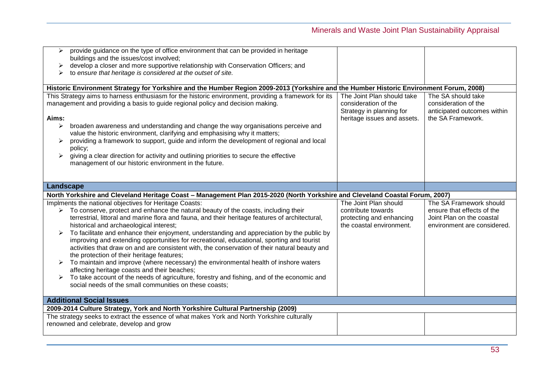| provide guidance on the type of office environment that can be provided in heritage<br>➤<br>buildings and the issues/cost involved;<br>develop a closer and more supportive relationship with Conservation Officers; and<br>to ensure that heritage is considered at the outset of site.<br>Historic Environment Strategy for Yorkshire and the Humber Region 2009-2013 (Yorkshire and the Humber Historic Environment Forum, 2008)<br>This Strategy aims to harness enthusiasm for the historic environment, providing a framework for its | The Joint Plan should take                                                      | The SA should take                                                                 |
|---------------------------------------------------------------------------------------------------------------------------------------------------------------------------------------------------------------------------------------------------------------------------------------------------------------------------------------------------------------------------------------------------------------------------------------------------------------------------------------------------------------------------------------------|---------------------------------------------------------------------------------|------------------------------------------------------------------------------------|
| management and providing a basis to guide regional policy and decision making.<br>Aims:<br>broaden awareness and understanding and change the way organisations perceive and<br>➤<br>value the historic environment, clarifying and emphasising why it matters;<br>providing a framework to support, guide and inform the development of regional and local<br>policy;<br>giving a clear direction for activity and outlining priorities to secure the effective<br>management of our historic environment in the future.                   | consideration of the<br>Strategy in planning for<br>heritage issues and assets. | consideration of the<br>anticipated outcomes within<br>the SA Framework.           |
| Landscape                                                                                                                                                                                                                                                                                                                                                                                                                                                                                                                                   |                                                                                 |                                                                                    |
| North Yorkshire and Cleveland Heritage Coast - Management Plan 2015-2020 (North Yorkshire and Cleveland Coastal Forum, 2007)<br>Implments the national objectives for Heritage Coasts:                                                                                                                                                                                                                                                                                                                                                      | The Joint Plan should                                                           |                                                                                    |
|                                                                                                                                                                                                                                                                                                                                                                                                                                                                                                                                             |                                                                                 |                                                                                    |
| To conserve, protect and enhance the natural beauty of the coasts, including their<br>➤<br>terrestrial, littoral and marine flora and fauna, and their heritage features of architectural,                                                                                                                                                                                                                                                                                                                                                  | contribute towards<br>protecting and enhancing                                  | The SA Framework should<br>ensure that effects of the<br>Joint Plan on the coastal |
| historical and archaeological interest;<br>To facilitate and enhance their enjoyment, understanding and appreciation by the public by<br>improving and extending opportunities for recreational, educational, sporting and tourist                                                                                                                                                                                                                                                                                                          | the coastal environment.                                                        | environment are considered.                                                        |
| activities that draw on and are consistent with, the conservation of their natural beauty and<br>the protection of their heritage features;                                                                                                                                                                                                                                                                                                                                                                                                 |                                                                                 |                                                                                    |
| To maintain and improve (where necessary) the environmental health of inshore waters<br>affecting heritage coasts and their beaches;                                                                                                                                                                                                                                                                                                                                                                                                        |                                                                                 |                                                                                    |
| To take account of the needs of agriculture, forestry and fishing, and of the economic and<br>social needs of the small communities on these coasts;                                                                                                                                                                                                                                                                                                                                                                                        |                                                                                 |                                                                                    |
| <b>Additional Social Issues</b>                                                                                                                                                                                                                                                                                                                                                                                                                                                                                                             |                                                                                 |                                                                                    |
| 2009-2014 Culture Strategy, York and North Yorkshire Cultural Partnership (2009)<br>The strategy seeks to extract the essence of what makes York and North Yorkshire culturally                                                                                                                                                                                                                                                                                                                                                             |                                                                                 |                                                                                    |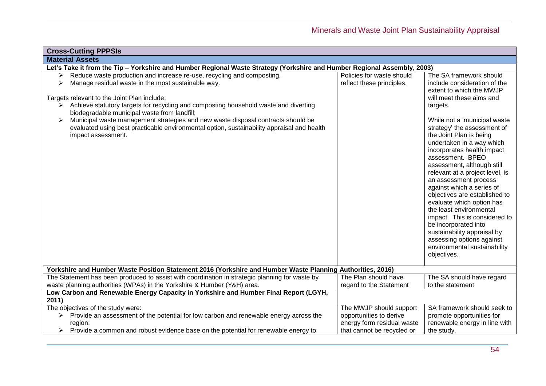| <b>Cross-Cutting PPPSIs</b>                                                                                                                                                                                                                                                                                                                                                                                                                                                                                                                     |                                                                                                                |                                                                                                                                                                                                                                                                                                                                                                                                                                                                                                                                                                                                                                                                                          |  |
|-------------------------------------------------------------------------------------------------------------------------------------------------------------------------------------------------------------------------------------------------------------------------------------------------------------------------------------------------------------------------------------------------------------------------------------------------------------------------------------------------------------------------------------------------|----------------------------------------------------------------------------------------------------------------|------------------------------------------------------------------------------------------------------------------------------------------------------------------------------------------------------------------------------------------------------------------------------------------------------------------------------------------------------------------------------------------------------------------------------------------------------------------------------------------------------------------------------------------------------------------------------------------------------------------------------------------------------------------------------------------|--|
| <b>Material Assets</b>                                                                                                                                                                                                                                                                                                                                                                                                                                                                                                                          |                                                                                                                |                                                                                                                                                                                                                                                                                                                                                                                                                                                                                                                                                                                                                                                                                          |  |
| Let's Take it from the Tip - Yorkshire and Humber Regional Waste Strategy (Yorkshire and Humber Regional Assembly, 2003)                                                                                                                                                                                                                                                                                                                                                                                                                        |                                                                                                                |                                                                                                                                                                                                                                                                                                                                                                                                                                                                                                                                                                                                                                                                                          |  |
| Reduce waste production and increase re-use, recycling and composting.<br>➤<br>Manage residual waste in the most sustainable way.<br>➤<br>Targets relevant to the Joint Plan include:<br>Achieve statutory targets for recycling and composting household waste and diverting<br>≻<br>biodegradable municipal waste from landfill;<br>Municipal waste management strategies and new waste disposal contracts should be<br>➤<br>evaluated using best practicable environmental option, sustainability appraisal and health<br>impact assessment. | Policies for waste should<br>reflect these principles.                                                         | The SA framework should<br>include consideration of the<br>extent to which the MWJP<br>will meet these aims and<br>targets.<br>While not a 'municipal waste<br>strategy' the assessment of<br>the Joint Plan is being<br>undertaken in a way which<br>incorporates health impact<br>assessment. BPEO<br>assessment, although still<br>relevant at a project level, is<br>an assessment process<br>against which a series of<br>objectives are established to<br>evaluate which option has<br>the least environmental<br>impact. This is considered to<br>be incorporated into<br>sustainability appraisal by<br>assessing options against<br>environmental sustainability<br>objectives. |  |
| Yorkshire and Humber Waste Position Statement 2016 (Yorkshire and Humber Waste Planning Authorities, 2016)                                                                                                                                                                                                                                                                                                                                                                                                                                      |                                                                                                                |                                                                                                                                                                                                                                                                                                                                                                                                                                                                                                                                                                                                                                                                                          |  |
| The Statement has been produced to assist with coordination in strategic planning for waste by<br>waste planning authorities (WPAs) in the Yorkshire & Humber (Y&H) area.                                                                                                                                                                                                                                                                                                                                                                       | The Plan should have<br>regard to the Statement                                                                | The SA should have regard<br>to the statement                                                                                                                                                                                                                                                                                                                                                                                                                                                                                                                                                                                                                                            |  |
| Low Carbon and Renewable Energy Capacity in Yorkshire and Humber Final Report (LGYH,<br>2011)                                                                                                                                                                                                                                                                                                                                                                                                                                                   |                                                                                                                |                                                                                                                                                                                                                                                                                                                                                                                                                                                                                                                                                                                                                                                                                          |  |
| The objectives of the study were:<br>Provide an assessment of the potential for low carbon and renewable energy across the<br>region;<br>Provide a common and robust evidence base on the potential for renewable energy to<br>➤                                                                                                                                                                                                                                                                                                                | The MWJP should support<br>opportunities to derive<br>energy form residual waste<br>that cannot be recycled or | SA framework should seek to<br>promote opportunities for<br>renewable energy in line with<br>the study.                                                                                                                                                                                                                                                                                                                                                                                                                                                                                                                                                                                  |  |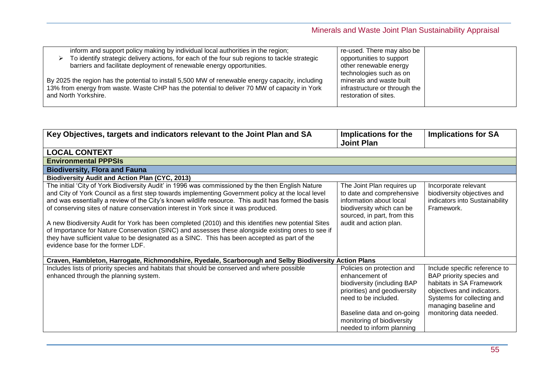| re-used. There may also be                                                                                                                                                                                                                                                                                                                                                                                                                                                           |                                                        |
|--------------------------------------------------------------------------------------------------------------------------------------------------------------------------------------------------------------------------------------------------------------------------------------------------------------------------------------------------------------------------------------------------------------------------------------------------------------------------------------|--------------------------------------------------------|
| opportunities to support                                                                                                                                                                                                                                                                                                                                                                                                                                                             |                                                        |
| other renewable energy                                                                                                                                                                                                                                                                                                                                                                                                                                                               |                                                        |
| technologies such as on                                                                                                                                                                                                                                                                                                                                                                                                                                                              |                                                        |
| minerals and waste built                                                                                                                                                                                                                                                                                                                                                                                                                                                             |                                                        |
|                                                                                                                                                                                                                                                                                                                                                                                                                                                                                      |                                                        |
|                                                                                                                                                                                                                                                                                                                                                                                                                                                                                      |                                                        |
|                                                                                                                                                                                                                                                                                                                                                                                                                                                                                      |                                                        |
| inform and support policy making by individual local authorities in the region;<br>To identify strategic delivery actions, for each of the four sub regions to tackle strategic<br>barriers and facilitate deployment of renewable energy opportunities.<br>By 2025 the region has the potential to install 5,500 MW of renewable energy capacity, including<br>13% from energy from waste. Waste CHP has the potential to deliver 70 MW of capacity in York<br>and North Yorkshire. | infrastructure or through the<br>restoration of sites. |

| Key Objectives, targets and indicators relevant to the Joint Plan and SA                                                                                                                                                                                                                                                                                                                                                                                                                                                                                                                                                                                                                                                                              | Implications for the<br><b>Joint Plan</b>                                                                                                                                                                                    | <b>Implications for SA</b>                                                                                                                                                                            |
|-------------------------------------------------------------------------------------------------------------------------------------------------------------------------------------------------------------------------------------------------------------------------------------------------------------------------------------------------------------------------------------------------------------------------------------------------------------------------------------------------------------------------------------------------------------------------------------------------------------------------------------------------------------------------------------------------------------------------------------------------------|------------------------------------------------------------------------------------------------------------------------------------------------------------------------------------------------------------------------------|-------------------------------------------------------------------------------------------------------------------------------------------------------------------------------------------------------|
| <b>LOCAL CONTEXT</b>                                                                                                                                                                                                                                                                                                                                                                                                                                                                                                                                                                                                                                                                                                                                  |                                                                                                                                                                                                                              |                                                                                                                                                                                                       |
| <b>Environmental PPPSIs</b>                                                                                                                                                                                                                                                                                                                                                                                                                                                                                                                                                                                                                                                                                                                           |                                                                                                                                                                                                                              |                                                                                                                                                                                                       |
| <b>Biodiversity, Flora and Fauna</b>                                                                                                                                                                                                                                                                                                                                                                                                                                                                                                                                                                                                                                                                                                                  |                                                                                                                                                                                                                              |                                                                                                                                                                                                       |
| <b>Biodiversity Audit and Action Plan (CYC, 2013)</b>                                                                                                                                                                                                                                                                                                                                                                                                                                                                                                                                                                                                                                                                                                 |                                                                                                                                                                                                                              |                                                                                                                                                                                                       |
| The initial 'City of York Biodiversity Audit' in 1996 was commissioned by the then English Nature<br>and City of York Council as a first step towards implementing Government policy at the local level<br>and was essentially a review of the City's known wildlife resource. This audit has formed the basis<br>of conserving sites of nature conservation interest in York since it was produced.<br>A new Biodiversity Audit for York has been completed (2010) and this identifies new potential Sites<br>of Importance for Nature Conservation (SINC) and assesses these alongside existing ones to see if<br>they have sufficient value to be designated as a SINC. This has been accepted as part of the<br>evidence base for the former LDF. | The Joint Plan requires up<br>to date and comprehensive<br>information about local<br>biodiversity which can be<br>sourced, in part, from this<br>audit and action plan.                                                     | Incorporate relevant<br>biodiversity objectives and<br>indicators into Sustainability<br>Framework.                                                                                                   |
| Craven, Hambleton, Harrogate, Richmondshire, Ryedale, Scarborough and Selby Biodiversity Action Plans                                                                                                                                                                                                                                                                                                                                                                                                                                                                                                                                                                                                                                                 |                                                                                                                                                                                                                              |                                                                                                                                                                                                       |
| Includes lists of priority species and habitats that should be conserved and where possible<br>enhanced through the planning system.                                                                                                                                                                                                                                                                                                                                                                                                                                                                                                                                                                                                                  | Policies on protection and<br>enhancement of<br>biodiversity (including BAP<br>priorities) and geodiversity<br>need to be included.<br>Baseline data and on-going<br>monitoring of biodiversity<br>needed to inform planning | Include specific reference to<br>BAP priority species and<br>habitats in SA Framework<br>objectives and indicators.<br>Systems for collecting and<br>managing baseline and<br>monitoring data needed. |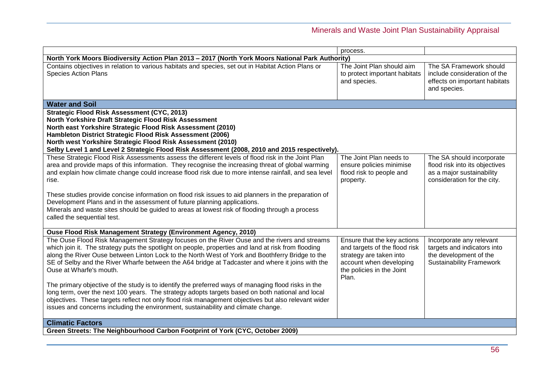|                                                                                                                                                                                                                                                                                                                                                                                                                                                                                                                                              | process.                                                                                                                                                 |                                                                                                                         |
|----------------------------------------------------------------------------------------------------------------------------------------------------------------------------------------------------------------------------------------------------------------------------------------------------------------------------------------------------------------------------------------------------------------------------------------------------------------------------------------------------------------------------------------------|----------------------------------------------------------------------------------------------------------------------------------------------------------|-------------------------------------------------------------------------------------------------------------------------|
| North York Moors Biodiversity Action Plan 2013 - 2017 (North York Moors National Park Authority)                                                                                                                                                                                                                                                                                                                                                                                                                                             |                                                                                                                                                          |                                                                                                                         |
| Contains objectives in relation to various habitats and species, set out in Habitat Action Plans or<br><b>Species Action Plans</b>                                                                                                                                                                                                                                                                                                                                                                                                           | The Joint Plan should aim<br>to protect important habitats<br>and species.                                                                               | The SA Framework should<br>include consideration of the<br>effects on important habitats<br>and species.                |
| <b>Water and Soil</b>                                                                                                                                                                                                                                                                                                                                                                                                                                                                                                                        |                                                                                                                                                          |                                                                                                                         |
| <b>Strategic Flood Risk Assessment (CYC, 2013)</b><br>North Yorkshire Draft Strategic Flood Risk Assessment<br>North east Yorkshire Strategic Flood Risk Assessment (2010)<br>Hambleton District Strategic Flood Risk Assessment (2006)<br>North west Yorkshire Strategic Flood Risk Assessment (2010)<br>Selby Level 1 and Level 2 Strategic Flood Risk Assessment (2008, 2010 and 2015 respectively).                                                                                                                                      |                                                                                                                                                          |                                                                                                                         |
| These Strategic Flood Risk Assessments assess the different levels of flood risk in the Joint Plan<br>area and provide maps of this information. They recognise the increasing threat of global warming<br>and explain how climate change could increase flood risk due to more intense rainfall, and sea level<br>rise.                                                                                                                                                                                                                     | The Joint Plan needs to<br>ensure policies minimise<br>flood risk to people and<br>property.                                                             | The SA should incorporate<br>flood risk into its objectives<br>as a major sustainability<br>consideration for the city. |
| These studies provide concise information on flood risk issues to aid planners in the preparation of<br>Development Plans and in the assessment of future planning applications.<br>Minerals and waste sites should be guided to areas at lowest risk of flooding through a process<br>called the sequential test.                                                                                                                                                                                                                           |                                                                                                                                                          |                                                                                                                         |
| Ouse Flood Risk Management Strategy (Environment Agency, 2010)                                                                                                                                                                                                                                                                                                                                                                                                                                                                               |                                                                                                                                                          |                                                                                                                         |
| The Ouse Flood Risk Management Strategy focuses on the River Ouse and the rivers and streams<br>which join it. The strategy puts the spotlight on people, properties and land at risk from flooding<br>along the River Ouse between Linton Lock to the North West of York and Boothferry Bridge to the<br>SE of Selby and the River Wharfe between the A64 bridge at Tadcaster and where it joins with the<br>Ouse at Wharfe's mouth.<br>The primary objective of the study is to identify the preferred ways of managing flood risks in the | Ensure that the key actions<br>and targets of the flood risk<br>strategy are taken into<br>account when developing<br>the policies in the Joint<br>Plan. | Incorporate any relevant<br>targets and indicators into<br>the development of the<br><b>Sustainability Framework</b>    |
| long term, over the next 100 years. The strategy adopts targets based on both national and local<br>objectives. These targets reflect not only flood risk management objectives but also relevant wider<br>issues and concerns including the environment, sustainability and climate change.                                                                                                                                                                                                                                                 |                                                                                                                                                          |                                                                                                                         |
| <b>Climatic Factors</b>                                                                                                                                                                                                                                                                                                                                                                                                                                                                                                                      |                                                                                                                                                          |                                                                                                                         |
| Green Streets: The Neighbourhood Carbon Footprint of York (CYC, October 2009)                                                                                                                                                                                                                                                                                                                                                                                                                                                                |                                                                                                                                                          |                                                                                                                         |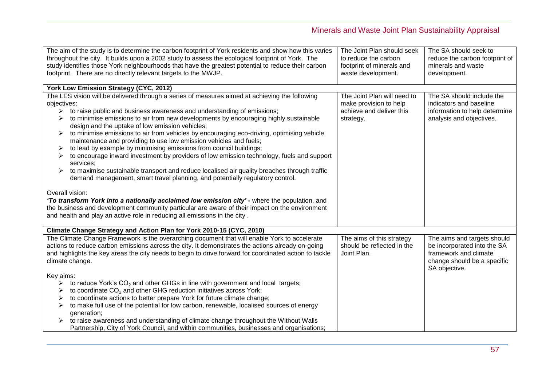| The aim of the study is to determine the carbon footprint of York residents and show how this varies<br>throughout the city. It builds upon a 2002 study to assess the ecological footprint of York. The | The Joint Plan should seek<br>to reduce the carbon | The SA should seek to<br>reduce the carbon footprint of |
|----------------------------------------------------------------------------------------------------------------------------------------------------------------------------------------------------------|----------------------------------------------------|---------------------------------------------------------|
| study identifies those York neighbourhoods that have the greatest potential to reduce their carbon                                                                                                       | footprint of minerals and                          | minerals and waste                                      |
| footprint. There are no directly relevant targets to the MWJP.                                                                                                                                           | waste development.                                 | development.                                            |
|                                                                                                                                                                                                          |                                                    |                                                         |
| York Low Emission Strategy (CYC, 2012)                                                                                                                                                                   |                                                    |                                                         |
| The LES vision will be delivered through a series of measures aimed at achieving the following                                                                                                           | The Joint Plan will need to                        | The SA should include the                               |
| objectives:                                                                                                                                                                                              | make provision to help                             | indicators and baseline                                 |
| to raise public and business awareness and understanding of emissions;<br>➤                                                                                                                              | achieve and deliver this                           | information to help determine                           |
| to minimise emissions to air from new developments by encouraging highly sustainable<br>design and the uptake of low emission vehicles;                                                                  | strategy.                                          | analysis and objectives.                                |
| to minimise emissions to air from vehicles by encouraging eco-driving, optimising vehicle<br>➤                                                                                                           |                                                    |                                                         |
| maintenance and providing to use low emission vehicles and fuels;                                                                                                                                        |                                                    |                                                         |
| to lead by example by minimising emissions from council buildings;<br>➤                                                                                                                                  |                                                    |                                                         |
| to encourage inward investment by providers of low emission technology, fuels and support<br>➤<br>services;                                                                                              |                                                    |                                                         |
| to maximise sustainable transport and reduce localised air quality breaches through traffic                                                                                                              |                                                    |                                                         |
| demand management, smart travel planning, and potentially regulatory control.                                                                                                                            |                                                    |                                                         |
|                                                                                                                                                                                                          |                                                    |                                                         |
| Overall vision:                                                                                                                                                                                          |                                                    |                                                         |
| 'To transform York into a nationally acclaimed low emission city' - where the population, and                                                                                                            |                                                    |                                                         |
| the business and development community particular are aware of their impact on the environment                                                                                                           |                                                    |                                                         |
| and health and play an active role in reducing all emissions in the city.                                                                                                                                |                                                    |                                                         |
| Climate Change Strategy and Action Plan for York 2010-15 (CYC, 2010)                                                                                                                                     |                                                    |                                                         |
| The Climate Change Framework is the overarching document that will enable York to accelerate                                                                                                             | The aims of this strategy                          | The aims and targets should                             |
| actions to reduce carbon emissions across the city. It demonstrates the actions already on-going                                                                                                         | should be reflected in the                         | be incorporated into the SA                             |
| and highlights the key areas the city needs to begin to drive forward for coordinated action to tackle                                                                                                   | Joint Plan.                                        | framework and climate                                   |
| climate change.                                                                                                                                                                                          |                                                    | change should be a specific                             |
|                                                                                                                                                                                                          |                                                    | SA objective.                                           |
| Key aims:                                                                                                                                                                                                |                                                    |                                                         |
| to reduce York's $CO2$ and other GHGs in line with government and local targets;<br>➤                                                                                                                    |                                                    |                                                         |
| to coordinate CO <sub>2</sub> and other GHG reduction initiatives across York;<br>➤                                                                                                                      |                                                    |                                                         |
| to coordinate actions to better prepare York for future climate change;<br>➤                                                                                                                             |                                                    |                                                         |
| to make full use of the potential for low carbon, renewable, localised sources of energy<br>➤                                                                                                            |                                                    |                                                         |
| generation;                                                                                                                                                                                              |                                                    |                                                         |
| to raise awareness and understanding of climate change throughout the Without Walls<br>Partnership, City of York Council, and within communities, businesses and organisations;                          |                                                    |                                                         |
|                                                                                                                                                                                                          |                                                    |                                                         |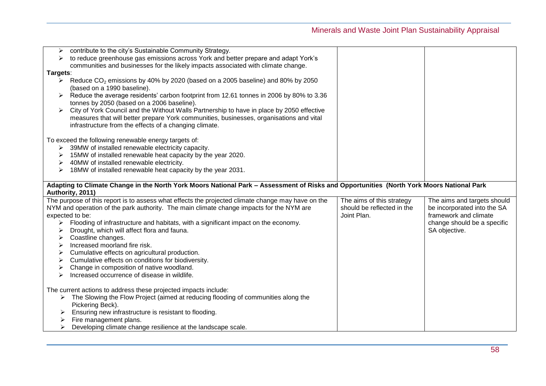| ➤        | contribute to the city's Sustainable Community Strategy.                                                                                 |                            |                             |
|----------|------------------------------------------------------------------------------------------------------------------------------------------|----------------------------|-----------------------------|
|          | to reduce greenhouse gas emissions across York and better prepare and adapt York's                                                       |                            |                             |
|          | communities and businesses for the likely impacts associated with climate change.                                                        |                            |                             |
| Targets: |                                                                                                                                          |                            |                             |
|          | Example 2022 emissions by 40% by 2020 (based on a 2005 baseline) and 80% by 2050                                                         |                            |                             |
|          | (based on a 1990 baseline).                                                                                                              |                            |                             |
|          | Reduce the average residents' carbon footprint from 12.61 tonnes in 2006 by 80% to 3.36                                                  |                            |                             |
|          | tonnes by 2050 (based on a 2006 baseline).                                                                                               |                            |                             |
|          | City of York Council and the Without Walls Partnership to have in place by 2050 effective                                                |                            |                             |
|          | measures that will better prepare York communities, businesses, organisations and vital                                                  |                            |                             |
|          | infrastructure from the effects of a changing climate.                                                                                   |                            |                             |
|          |                                                                                                                                          |                            |                             |
|          | To exceed the following renewable energy targets of:                                                                                     |                            |                             |
| ➤        | 39MW of installed renewable electricity capacity.                                                                                        |                            |                             |
| ➤        | 15MW of installed renewable heat capacity by the year 2020.                                                                              |                            |                             |
| ➤        | 40MW of installed renewable electricity.                                                                                                 |                            |                             |
| ➤        | 18MW of installed renewable heat capacity by the year 2031.                                                                              |                            |                             |
|          |                                                                                                                                          |                            |                             |
|          | Adapting to Climate Change in the North York Moors National Park - Assessment of Risks and Opportunities (North York Moors National Park |                            |                             |
|          | Authority, 2011)                                                                                                                         |                            |                             |
|          |                                                                                                                                          |                            |                             |
|          |                                                                                                                                          |                            |                             |
|          | The purpose of this report is to assess what effects the projected climate change may have on the                                        | The aims of this strategy  | The aims and targets should |
|          | NYM and operation of the park authority. The main climate change impacts for the NYM are                                                 | should be reflected in the | be incorporated into the SA |
|          | expected to be:                                                                                                                          | Joint Plan.                | framework and climate       |
|          | Flooding of infrastructure and habitats, with a significant impact on the economy.                                                       |                            | change should be a specific |
| ➤        | Drought, which will affect flora and fauna.                                                                                              |                            | SA objective.               |
| ➤        | Coastline changes.                                                                                                                       |                            |                             |
| ➤        | Increased moorland fire risk.                                                                                                            |                            |                             |
| ➤        | Cumulative effects on agricultural production.                                                                                           |                            |                             |
| ➤        | Cumulative effects on conditions for biodiversity.                                                                                       |                            |                             |
| ➤        | Change in composition of native woodland.                                                                                                |                            |                             |
| ⋗        | Increased occurrence of disease in wildlife.                                                                                             |                            |                             |
|          |                                                                                                                                          |                            |                             |
|          | The current actions to address these projected impacts include:                                                                          |                            |                             |
|          | $\triangleright$ The Slowing the Flow Project (aimed at reducing flooding of communities along the                                       |                            |                             |
|          | Pickering Beck).                                                                                                                         |                            |                             |
|          | Ensuring new infrastructure is resistant to flooding.                                                                                    |                            |                             |
|          | Fire management plans.<br>Developing climate change resilience at the landscape scale.                                                   |                            |                             |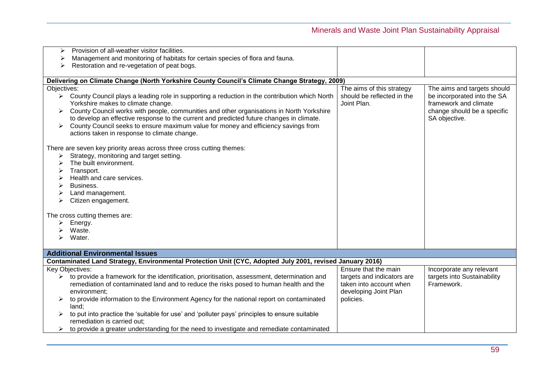| Provision of all-weather visitor facilities.<br>⋗                                                              |                            |                             |
|----------------------------------------------------------------------------------------------------------------|----------------------------|-----------------------------|
| Management and monitoring of habitats for certain species of flora and fauna.<br>➤                             |                            |                             |
| Restoration and re-vegetation of peat bogs.                                                                    |                            |                             |
|                                                                                                                |                            |                             |
| Delivering on Climate Change (North Yorkshire County Council's Climate Change Strategy, 2009)                  |                            |                             |
| Objectives:                                                                                                    | The aims of this strategy  | The aims and targets should |
| $\triangleright$ County Council plays a leading role in supporting a reduction in the contribution which North | should be reflected in the | be incorporated into the SA |
| Yorkshire makes to climate change.                                                                             | Joint Plan.                | framework and climate       |
| County Council works with people, communities and other organisations in North Yorkshire<br>➤                  |                            | change should be a specific |
| to develop an effective response to the current and predicted future changes in climate.                       |                            | SA objective.               |
| County Council seeks to ensure maximum value for money and efficiency savings from                             |                            |                             |
| actions taken in response to climate change.                                                                   |                            |                             |
|                                                                                                                |                            |                             |
| There are seven key priority areas across three cross cutting themes:                                          |                            |                             |
| Strategy, monitoring and target setting.<br>➤                                                                  |                            |                             |
| The built environment.<br>⋗                                                                                    |                            |                             |
| Transport.                                                                                                     |                            |                             |
| ⋗                                                                                                              |                            |                             |
| Health and care services.                                                                                      |                            |                             |
| Business.<br>➤                                                                                                 |                            |                             |
| Land management.                                                                                               |                            |                             |
| Citizen engagement.                                                                                            |                            |                             |
|                                                                                                                |                            |                             |
| The cross cutting themes are:                                                                                  |                            |                             |
| Energy.                                                                                                        |                            |                             |
| Waste.                                                                                                         |                            |                             |
| Water.                                                                                                         |                            |                             |
|                                                                                                                |                            |                             |
| <b>Additional Environmental Issues</b>                                                                         |                            |                             |
| Contaminated Land Strategy, Environmental Protection Unit (CYC, Adopted July 2001, revised January 2016)       |                            |                             |
| Key Objectives:                                                                                                | Ensure that the main       | Incorporate any relevant    |
| to provide a framework for the identification, prioritisation, assessment, determination and<br>➤              | targets and indicators are | targets into Sustainability |
| remediation of contaminated land and to reduce the risks posed to human health and the                         | taken into account when    | Framework.                  |
| environment;                                                                                                   | developing Joint Plan      |                             |
| to provide information to the Environment Agency for the national report on contaminated                       | policies.                  |                             |
| land;                                                                                                          |                            |                             |
| to put into practice the 'suitable for use' and 'polluter pays' principles to ensure suitable                  |                            |                             |
| remediation is carried out;                                                                                    |                            |                             |
| to provide a greater understanding for the need to investigate and remediate contaminated<br>≻                 |                            |                             |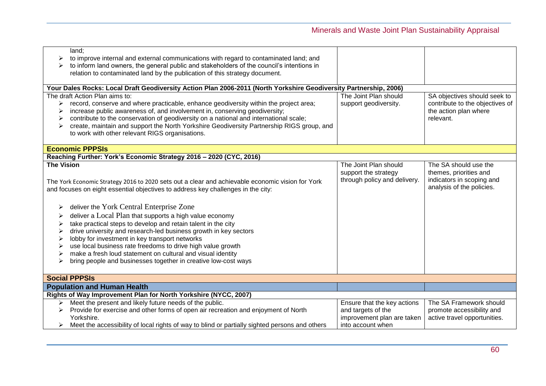| land;                                                                                                             |                              |                                 |
|-------------------------------------------------------------------------------------------------------------------|------------------------------|---------------------------------|
|                                                                                                                   |                              |                                 |
| to improve internal and external communications with regard to contaminated land; and                             |                              |                                 |
| to inform land owners, the general public and stakeholders of the council's intentions in                         |                              |                                 |
| relation to contaminated land by the publication of this strategy document.                                       |                              |                                 |
|                                                                                                                   |                              |                                 |
| Your Dales Rocks: Local Draft Geodiversity Action Plan 2006-2011 (North Yorkshire Geodiversity Partnership, 2006) |                              |                                 |
| The draft Action Plan aims to:                                                                                    | The Joint Plan should        | SA objectives should seek to    |
| record, conserve and where practicable, enhance geodiversity within the project area;                             | support geodiversity.        | contribute to the objectives of |
| increase public awareness of, and involvement in, conserving geodiversity;                                        |                              | the action plan where           |
| contribute to the conservation of geodiversity on a national and international scale;                             |                              | relevant.                       |
| create, maintain and support the North Yorkshire Geodiversity Partnership RIGS group, and                         |                              |                                 |
| to work with other relevant RIGS organisations.                                                                   |                              |                                 |
|                                                                                                                   |                              |                                 |
| <b>Economic PPPSIs</b>                                                                                            |                              |                                 |
| Reaching Further: York's Economic Strategy 2016 - 2020 (CYC, 2016)                                                |                              |                                 |
| <b>The Vision</b>                                                                                                 | The Joint Plan should        | The SA should use the           |
|                                                                                                                   | support the strategy         | themes, priorities and          |
| The York Economic Strategy 2016 to 2020 sets out a clear and achievable economic vision for York                  | through policy and delivery. | indicators in scoping and       |
| and focuses on eight essential objectives to address key challenges in the city:                                  |                              | analysis of the policies.       |
|                                                                                                                   |                              |                                 |
| deliver the York Central Enterprise Zone<br>➤                                                                     |                              |                                 |
| deliver a Local Plan that supports a high value economy                                                           |                              |                                 |
| take practical steps to develop and retain talent in the city                                                     |                              |                                 |
| drive university and research-led business growth in key sectors                                                  |                              |                                 |
| lobby for investment in key transport networks                                                                    |                              |                                 |
| use local business rate freedoms to drive high value growth                                                       |                              |                                 |
| make a fresh loud statement on cultural and visual identity                                                       |                              |                                 |
| bring people and businesses together in creative low-cost ways                                                    |                              |                                 |
|                                                                                                                   |                              |                                 |
| <b>Social PPPSIs</b>                                                                                              |                              |                                 |
| <b>Population and Human Health</b>                                                                                |                              |                                 |
| Rights of Way Improvement Plan for North Yorkshire (NYCC, 2007)                                                   |                              |                                 |
| $\triangleright$ Meet the present and likely future needs of the public.                                          | Ensure that the key actions  | The SA Framework should         |
| Provide for exercise and other forms of open air recreation and enjoyment of North                                | and targets of the           | promote accessibility and       |
| Yorkshire.                                                                                                        | improvement plan are taken   | active travel opportunities.    |
| $\triangleright$ Meet the accessibility of local rights of way to blind or partially sighted persons and others   | into account when            |                                 |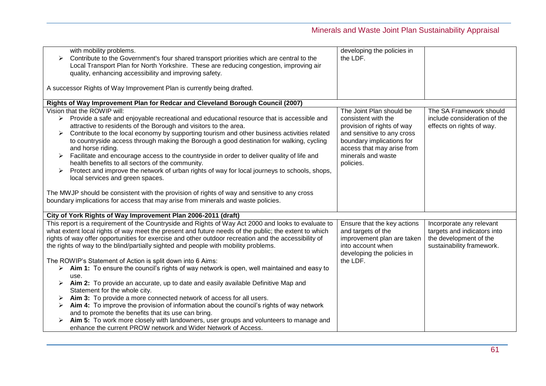| with mobility problems.<br>Contribute to the Government's four shared transport priorities which are central to the<br>➤                                                          | developing the policies in<br>the LDF. |                              |
|-----------------------------------------------------------------------------------------------------------------------------------------------------------------------------------|----------------------------------------|------------------------------|
| Local Transport Plan for North Yorkshire. These are reducing congestion, improving air                                                                                            |                                        |                              |
| quality, enhancing accessibility and improving safety.                                                                                                                            |                                        |                              |
| A successor Rights of Way Improvement Plan is currently being drafted.                                                                                                            |                                        |                              |
| Rights of Way Improvement Plan for Redcar and Cleveland Borough Council (2007)                                                                                                    |                                        |                              |
| Vision that the ROWIP will:                                                                                                                                                       | The Joint Plan should be               | The SA Framework should      |
| $\triangleright$ Provide a safe and enjoyable recreational and educational resource that is accessible and                                                                        | consistent with the                    | include consideration of the |
| attractive to residents of the Borough and visitors to the area.                                                                                                                  | provision of rights of way             | effects on rights of way.    |
| Contribute to the local economy by supporting tourism and other business activities related<br>➤                                                                                  | and sensitive to any cross             |                              |
| to countryside access through making the Borough a good destination for walking, cycling                                                                                          | boundary implications for              |                              |
| and horse riding.                                                                                                                                                                 | access that may arise from             |                              |
| Facilitate and encourage access to the countryside in order to deliver quality of life and<br>➤                                                                                   | minerals and waste                     |                              |
| health benefits to all sectors of the community.                                                                                                                                  | policies.                              |                              |
| Protect and improve the network of urban rights of way for local journeys to schools, shops,<br>➤                                                                                 |                                        |                              |
| local services and green spaces.                                                                                                                                                  |                                        |                              |
| The MWJP should be consistent with the provision of rights of way and sensitive to any cross<br>boundary implications for access that may arise from minerals and waste policies. |                                        |                              |
| City of York Rights of Way Improvement Plan 2006-2011 (draft)                                                                                                                     |                                        |                              |
| This report is a requirement of the Countryside and Rights of Way Act 2000 and looks to evaluate to                                                                               | Ensure that the key actions            | Incorporate any relevant     |
| what extent local rights of way meet the present and future needs of the public; the extent to which                                                                              | and targets of the                     | targets and indicators into  |
| rights of way offer opportunities for exercise and other outdoor recreation and the accessibility of                                                                              | improvement plan are taken             | the development of the       |
| the rights of way to the blind/partially sighted and people with mobility problems.                                                                                               | into account when                      | sustainability framework.    |
|                                                                                                                                                                                   | developing the policies in             |                              |
| The ROWIP's Statement of Action is split down into 6 Aims:                                                                                                                        | the LDF.                               |                              |
| > Aim 1: To ensure the council's rights of way network is open, well maintained and easy to                                                                                       |                                        |                              |
| use.                                                                                                                                                                              |                                        |                              |
| Aim 2: To provide an accurate, up to date and easily available Definitive Map and                                                                                                 |                                        |                              |
| Statement for the whole city.                                                                                                                                                     |                                        |                              |
| Aim 3: To provide a more connected network of access for all users.                                                                                                               |                                        |                              |
| Aim 4: To improve the provision of information about the council's rights of way network                                                                                          |                                        |                              |
| and to promote the benefits that its use can bring.                                                                                                                               |                                        |                              |
| Aim 5: To work more closely with landowners, user groups and volunteers to manage and                                                                                             |                                        |                              |
| enhance the current PROW network and Wider Network of Access.                                                                                                                     |                                        |                              |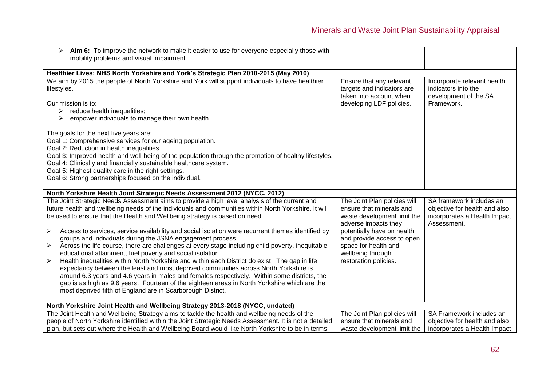| $\triangleright$ Aim 6: To improve the network to make it easier to use for everyone especially those with<br>mobility problems and visual impairment.                                                                                                                                                                                                                                                                                                                                                                                                                                                                                                                                                                                                                                                                                                                                                                                                                                                                                                                                                              |                                                                                                                                                                                                                                                   |                                                                                                          |
|---------------------------------------------------------------------------------------------------------------------------------------------------------------------------------------------------------------------------------------------------------------------------------------------------------------------------------------------------------------------------------------------------------------------------------------------------------------------------------------------------------------------------------------------------------------------------------------------------------------------------------------------------------------------------------------------------------------------------------------------------------------------------------------------------------------------------------------------------------------------------------------------------------------------------------------------------------------------------------------------------------------------------------------------------------------------------------------------------------------------|---------------------------------------------------------------------------------------------------------------------------------------------------------------------------------------------------------------------------------------------------|----------------------------------------------------------------------------------------------------------|
| Healthier Lives: NHS North Yorkshire and York's Strategic Plan 2010-2015 (May 2010)                                                                                                                                                                                                                                                                                                                                                                                                                                                                                                                                                                                                                                                                                                                                                                                                                                                                                                                                                                                                                                 |                                                                                                                                                                                                                                                   |                                                                                                          |
| We aim by 2015 the people of North Yorkshire and York will support individuals to have healthier<br>lifestyles.<br>Our mission is to:<br>$\triangleright$ reduce health inequalities;<br>empower individuals to manage their own health.                                                                                                                                                                                                                                                                                                                                                                                                                                                                                                                                                                                                                                                                                                                                                                                                                                                                            | Ensure that any relevant<br>targets and indicators are<br>taken into account when<br>developing LDF policies.                                                                                                                                     | Incorporate relevant health<br>indicators into the<br>development of the SA<br>Framework.                |
| The goals for the next five years are:<br>Goal 1: Comprehensive services for our ageing population.<br>Goal 2: Reduction in health inequalities.<br>Goal 3: Improved health and well-being of the population through the promotion of healthy lifestyles.<br>Goal 4: Clinically and financially sustainable healthcare system.<br>Goal 5: Highest quality care in the right settings.<br>Goal 6: Strong partnerships focused on the individual.                                                                                                                                                                                                                                                                                                                                                                                                                                                                                                                                                                                                                                                                     |                                                                                                                                                                                                                                                   |                                                                                                          |
| North Yorkshire Health Joint Strategic Needs Assessment 2012 (NYCC, 2012)                                                                                                                                                                                                                                                                                                                                                                                                                                                                                                                                                                                                                                                                                                                                                                                                                                                                                                                                                                                                                                           |                                                                                                                                                                                                                                                   |                                                                                                          |
| The Joint Strategic Needs Assessment aims to provide a high level analysis of the current and<br>future health and wellbeing needs of the individuals and communities within North Yorkshire. It will<br>be used to ensure that the Health and Wellbeing strategy is based on need.<br>Access to services, service availability and social isolation were recurrent themes identified by<br>➤<br>groups and individuals during the JSNA engagement process.<br>Across the life course, there are challenges at every stage including child poverty, inequitable<br>$\blacktriangleright$<br>educational attainment, fuel poverty and social isolation.<br>Health inequalities within North Yorkshire and within each District do exist. The gap in life<br>➤<br>expectancy between the least and most deprived communities across North Yorkshire is<br>around 6.3 years and 4.6 years in males and females respectively. Within some districts, the<br>gap is as high as 9.6 years. Fourteen of the eighteen areas in North Yorkshire which are the<br>most deprived fifth of England are in Scarborough District. | The Joint Plan policies will<br>ensure that minerals and<br>waste development limit the<br>adverse impacts they<br>potentially have on health<br>and provide access to open<br>space for health and<br>wellbeing through<br>restoration policies. | SA framework includes an<br>objective for health and also<br>incorporates a Health Impact<br>Assessment. |
| North Yorkshire Joint Health and Wellbeing Strategy 2013-2018 (NYCC, undated)                                                                                                                                                                                                                                                                                                                                                                                                                                                                                                                                                                                                                                                                                                                                                                                                                                                                                                                                                                                                                                       |                                                                                                                                                                                                                                                   |                                                                                                          |
| The Joint Health and Wellbeing Strategy aims to tackle the health and wellbeing needs of the                                                                                                                                                                                                                                                                                                                                                                                                                                                                                                                                                                                                                                                                                                                                                                                                                                                                                                                                                                                                                        | The Joint Plan policies will                                                                                                                                                                                                                      | SA Framework includes an                                                                                 |
| people of North Yorkshire identified within the Joint Strategic Needs Assessment. It is not a detailed                                                                                                                                                                                                                                                                                                                                                                                                                                                                                                                                                                                                                                                                                                                                                                                                                                                                                                                                                                                                              | ensure that minerals and                                                                                                                                                                                                                          | objective for health and also                                                                            |
| plan, but sets out where the Health and Wellbeing Board would like North Yorkshire to be in terms                                                                                                                                                                                                                                                                                                                                                                                                                                                                                                                                                                                                                                                                                                                                                                                                                                                                                                                                                                                                                   | waste development limit the                                                                                                                                                                                                                       | incorporates a Health Impact                                                                             |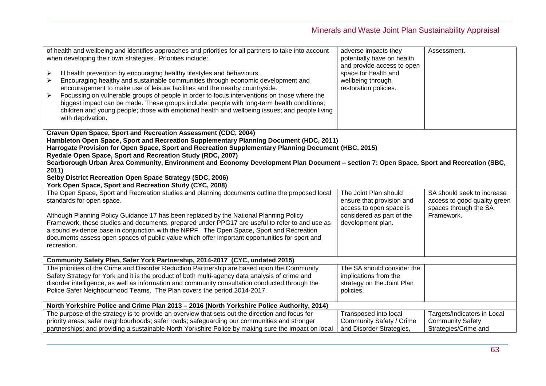| of health and wellbeing and identifies approaches and priorities for all partners to take into account<br>when developing their own strategies. Priorities include:<br>➤<br>Ill health prevention by encouraging healthy lifestyles and behaviours.<br>Encouraging healthy and sustainable communities through economic development and<br>➤<br>encouragement to make use of leisure facilities and the nearby countryside.<br>Focussing on vulnerable groups of people in order to focus interventions on those where the<br>➤<br>biggest impact can be made. These groups include: people with long-term health conditions;<br>children and young people; those with emotional health and wellbeing issues; and people living<br>with deprivation. | adverse impacts they<br>potentially have on health<br>and provide access to open<br>space for health and<br>wellbeing through<br>restoration policies. | Assessment.                                                                                       |
|------------------------------------------------------------------------------------------------------------------------------------------------------------------------------------------------------------------------------------------------------------------------------------------------------------------------------------------------------------------------------------------------------------------------------------------------------------------------------------------------------------------------------------------------------------------------------------------------------------------------------------------------------------------------------------------------------------------------------------------------------|--------------------------------------------------------------------------------------------------------------------------------------------------------|---------------------------------------------------------------------------------------------------|
| Craven Open Space, Sport and Recreation Assessment (CDC, 2004)<br>Hambleton Open Space, Sport and Recreation Supplementary Planning Document (HDC, 2011)<br>Harrogate Provision for Open Space, Sport and Recreation Supplementary Planning Document (HBC, 2015)<br>Ryedale Open Space, Sport and Recreation Study (RDC, 2007)<br>Scarborough Urban Area Community, Environment and Economy Development Plan Document - section 7: Open Space, Sport and Recreation (SBC,<br>2011)<br>Selby District Recreation Open Space Strategy (SDC, 2006)<br>York Open Space, Sport and Recreation Study (CYC, 2008)                                                                                                                                           |                                                                                                                                                        |                                                                                                   |
| The Open Space, Sport and Recreation studies and planning documents outline the proposed local<br>standards for open space.<br>Although Planning Policy Guidance 17 has been replaced by the National Planning Policy<br>Framework, these studies and documents, prepared under PPG17 are useful to refer to and use as<br>a sound evidence base in conjunction with the NPPF. The Open Space, Sport and Recreation<br>documents assess open spaces of public value which offer important opportunities for sport and<br>recreation.                                                                                                                                                                                                                 | The Joint Plan should<br>ensure that provision and<br>access to open space is<br>considered as part of the<br>development plan.                        | SA should seek to increase<br>access to good quality green<br>spaces through the SA<br>Framework. |
| Community Safety Plan, Safer York Partnership, 2014-2017 (CYC, undated 2015)                                                                                                                                                                                                                                                                                                                                                                                                                                                                                                                                                                                                                                                                         |                                                                                                                                                        |                                                                                                   |
| The priorities of the Crime and Disorder Reduction Partnership are based upon the Community<br>Safety Strategy for York and it is the product of both multi-agency data analysis of crime and<br>disorder intelligence, as well as information and community consultation conducted through the<br>Police Safer Neighbourhood Teams. The Plan covers the period 2014-2017.                                                                                                                                                                                                                                                                                                                                                                           | The SA should consider the<br>implications from the<br>strategy on the Joint Plan<br>policies.                                                         |                                                                                                   |
| North Yorkshire Police and Crime Plan 2013 - 2016 (North Yorkshire Police Authority, 2014)                                                                                                                                                                                                                                                                                                                                                                                                                                                                                                                                                                                                                                                           |                                                                                                                                                        |                                                                                                   |
| The purpose of the strategy is to provide an overview that sets out the direction and focus for<br>priority areas; safer neighbourhoods; safer roads; safeguarding our communities and stronger<br>partnerships; and providing a sustainable North Yorkshire Police by making sure the impact on local                                                                                                                                                                                                                                                                                                                                                                                                                                               | Transposed into local<br><b>Community Safety / Crime</b><br>and Disorder Strategies,                                                                   | Targets/Indicators in Local<br><b>Community Safety</b><br>Strategies/Crime and                    |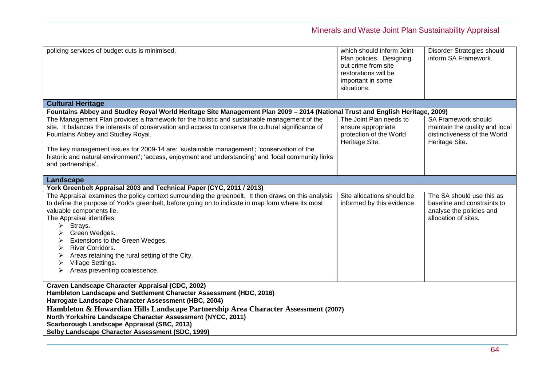| policing services of budget cuts is minimised.                                                                                                                                                                                                                                                                                                                                                                                                                                               | which should inform Joint<br>Plan policies. Designing<br>out crime from site<br>restorations will be<br>important in some<br>situations. | Disorder Strategies should<br>inform SA Framework.                                                             |
|----------------------------------------------------------------------------------------------------------------------------------------------------------------------------------------------------------------------------------------------------------------------------------------------------------------------------------------------------------------------------------------------------------------------------------------------------------------------------------------------|------------------------------------------------------------------------------------------------------------------------------------------|----------------------------------------------------------------------------------------------------------------|
| <b>Cultural Heritage</b>                                                                                                                                                                                                                                                                                                                                                                                                                                                                     |                                                                                                                                          |                                                                                                                |
| Fountains Abbey and Studley Royal World Heritage Site Management Plan 2009 - 2014 (National Trust and English Heritage, 2009)                                                                                                                                                                                                                                                                                                                                                                |                                                                                                                                          |                                                                                                                |
| The Management Plan provides a framework for the holistic and sustainable management of the<br>site. It balances the interests of conservation and access to conserve the cultural significance of<br>Fountains Abbey and Studley Royal.<br>The key management issues for 2009-14 are: 'sustainable management'; 'conservation of the<br>historic and natural environment'; 'access, enjoyment and understanding' and 'local community links<br>and partnerships'.                           | The Joint Plan needs to<br>ensure appropriate<br>protection of the World<br>Heritage Site.                                               | <b>SA Framework should</b><br>maintain the quality and local<br>distinctiveness of the World<br>Heritage Site. |
| Landscape                                                                                                                                                                                                                                                                                                                                                                                                                                                                                    |                                                                                                                                          |                                                                                                                |
| York Greenbelt Appraisal 2003 and Technical Paper (CYC, 2011 / 2013)                                                                                                                                                                                                                                                                                                                                                                                                                         |                                                                                                                                          |                                                                                                                |
| The Appraisal examines the policy context surrounding the greenbelt. It then draws on this analysis<br>to define the purpose of York's greenbelt, before going on to indicate in map form where its most<br>valuable components lie.<br>The Appraisal identifies:<br>Strays.<br>➤<br>Green Wedges.<br>Extensions to the Green Wedges.<br><b>River Corridors.</b><br>➤<br>Areas retaining the rural setting of the City.<br>➤<br>Village Settings.<br>➤<br>Areas preventing coalescence.<br>≻ | Site allocations should be<br>informed by this evidence.                                                                                 | The SA should use this as<br>baseline and constraints to<br>analyse the policies and<br>allocation of sites.   |
| Craven Landscape Character Appraisal (CDC, 2002)<br>Hambleton Landscape and Settlement Character Assessment (HDC, 2016)<br>Harrogate Landscape Character Assessment (HBC, 2004)<br>Hambleton & Howardian Hills Landscape Partnership Area Character Assessment (2007)<br>North Yorkshire Landscape Character Assessment (NYCC, 2011)<br>Scarborough Landscape Appraisal (SBC, 2013)<br>Selby Landscape Character Assessment (SDC, 1999)                                                      |                                                                                                                                          |                                                                                                                |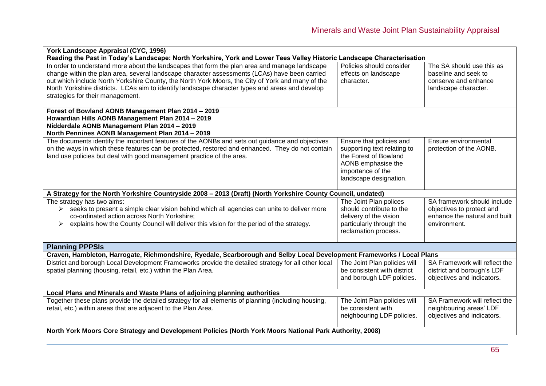| York Landscape Appraisal (CYC, 1996)                                                                                   |                              |                               |  |
|------------------------------------------------------------------------------------------------------------------------|------------------------------|-------------------------------|--|
| Reading the Past in Today's Landscape: North Yorkshire, York and Lower Tees Valley Historic Landscape Characterisation |                              |                               |  |
| In order to understand more about the landscapes that form the plan area and manage landscape                          | Policies should consider     | The SA should use this as     |  |
| change within the plan area, several landscape character assessments (LCAs) have been carried                          | effects on landscape         | baseline and seek to          |  |
| out which include North Yorkshire County, the North York Moors, the City of York and many of the                       | character.                   | conserve and enhance          |  |
| North Yorkshire districts. LCAs aim to identify landscape character types and areas and develop                        |                              | landscape character.          |  |
| strategies for their management.                                                                                       |                              |                               |  |
|                                                                                                                        |                              |                               |  |
| Forest of Bowland AONB Management Plan 2014 - 2019                                                                     |                              |                               |  |
| Howardian Hills AONB Management Plan 2014 - 2019                                                                       |                              |                               |  |
| Nidderdale AONB Management Plan 2014 - 2019                                                                            |                              |                               |  |
| North Pennines AONB Management Plan 2014 - 2019                                                                        |                              |                               |  |
| The documents identify the important features of the AONBs and sets out guidance and objectives                        | Ensure that policies and     | Ensure environmental          |  |
| on the ways in which these features can be protected, restored and enhanced. They do not contain                       | supporting text relating to  | protection of the AONB.       |  |
| land use policies but deal with good management practice of the area.                                                  | the Forest of Bowland        |                               |  |
|                                                                                                                        | AONB emphasise the           |                               |  |
|                                                                                                                        | importance of the            |                               |  |
|                                                                                                                        | landscape designation.       |                               |  |
|                                                                                                                        |                              |                               |  |
| A Strategy for the North Yorkshire Countryside 2008 - 2013 (Draft) (North Yorkshire County Council, undated)           |                              |                               |  |
| The strategy has two aims:                                                                                             | The Joint Plan polices       | SA framework should include   |  |
| $\triangleright$ seeks to present a simple clear vision behind which all agencies can unite to deliver more            | should contribute to the     | objectives to protect and     |  |
| co-ordinated action across North Yorkshire;                                                                            | delivery of the vision       | enhance the natural and built |  |
| explains how the County Council will deliver this vision for the period of the strategy.                               | particularly through the     | environment.                  |  |
|                                                                                                                        | reclamation process.         |                               |  |
|                                                                                                                        |                              |                               |  |
| <b>Planning PPPSIs</b>                                                                                                 |                              |                               |  |
| Craven, Hambleton, Harrogate, Richmondshire, Ryedale, Scarborough and Selby Local Development Frameworks / Local Plans |                              |                               |  |
| District and borough Local Development Frameworks provide the detailed strategy for all other local                    | The Joint Plan policies will | SA Framework will reflect the |  |
| spatial planning (housing, retail, etc.) within the Plan Area.                                                         | be consistent with district  | district and borough's LDF    |  |
|                                                                                                                        | and borough LDF policies.    | objectives and indicators.    |  |
|                                                                                                                        |                              |                               |  |
| Local Plans and Minerals and Waste Plans of adjoining planning authorities                                             |                              |                               |  |
| Together these plans provide the detailed strategy for all elements of planning (including housing,                    | The Joint Plan policies will | SA Framework will reflect the |  |
| retail, etc.) within areas that are adjacent to the Plan Area.                                                         | be consistent with           | neighbouring areas' LDF       |  |
|                                                                                                                        | neighbouring LDF policies.   | objectives and indicators.    |  |
|                                                                                                                        |                              |                               |  |
| North York Moors Core Strategy and Development Policies (North York Moors National Park Authority, 2008)               |                              |                               |  |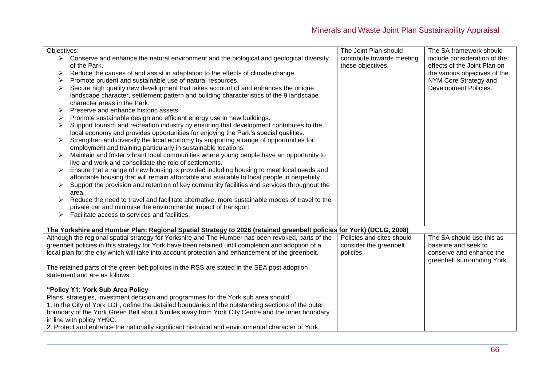| Objectives: |                                                                                                                           | The Joint Plan should                           | The SA framework should                                      |
|-------------|---------------------------------------------------------------------------------------------------------------------------|-------------------------------------------------|--------------------------------------------------------------|
|             | $\triangleright$ Conserve and enhance the natural environment and the biological and geological diversity<br>of the Park. | contribute towards meeting<br>these objectives. | include consideration of the<br>effects of the Joint Plan on |
| ≻           | Reduce the causes of and assist in adaptation to the effects of climate change.                                           |                                                 | the various objectives of the                                |
|             | Promote prudent and sustainable use of natural resources.                                                                 |                                                 | NYM Core Strategy and                                        |
| ➤           | Secure high quality new development that takes account of and enhances the unique                                         |                                                 | Development Policies.                                        |
|             | landscape character, settlement pattern and building characteristics of the 9 landscape                                   |                                                 |                                                              |
|             | character areas in the Park.                                                                                              |                                                 |                                                              |
|             | Preserve and enhance historic assets.                                                                                     |                                                 |                                                              |
|             | Promote sustainable design and efficient energy use in new buildings.                                                     |                                                 |                                                              |
| ➤           | Support tourism and recreation industry by ensuring that development contributes to the                                   |                                                 |                                                              |
|             | local economy and provides opportunities for enjoying the Park's special qualities.                                       |                                                 |                                                              |
| ➤           | Strengthen and diversify the local economy by supporting a range of opportunities for                                     |                                                 |                                                              |
|             | employment and training particularly in sustainable locations.                                                            |                                                 |                                                              |
| ➤           | Maintain and foster vibrant local communities where young people have an opportunity to                                   |                                                 |                                                              |
|             | live and work and consolidate the role of settlements.                                                                    |                                                 |                                                              |
|             | Ensure that a range of new housing is provided including housing to meet local needs and                                  |                                                 |                                                              |
|             | affordable housing that will remain affordable and available to local people in perpetuity.                               |                                                 |                                                              |
|             | Support the provision and retention of key community facilities and services throughout the                               |                                                 |                                                              |
|             | area.                                                                                                                     |                                                 |                                                              |
|             | Reduce the need to travel and facilitate alternative, more sustainable modes of travel to the                             |                                                 |                                                              |
|             | private car and minimise the environmental impact of transport.                                                           |                                                 |                                                              |
|             | Facilitate access to services and facilities.                                                                             |                                                 |                                                              |
|             |                                                                                                                           |                                                 |                                                              |
|             | The Yorkshire and Humber Plan: Regional Spatial Strategy to 2026 (retained greenbelt policies for York) (DCLG, 2008)      |                                                 |                                                              |
|             | Although the regional spatial strategy for Yorkshire and The Humber has been revoked, parts of the                        | Policies and sites should                       | The SA should use this as                                    |
|             | greenbelt policies in this strategy for York have been retained until completion and adoption of a                        | consider the greenbelt                          | baseline and seek to                                         |
|             | local plan for the city which will take into account protection and enhancement of the greenbelt.                         | policies.                                       | conserve and enhance the                                     |
|             |                                                                                                                           |                                                 | greenbelt surrounding York.                                  |
|             | The retained parts of the green belt policies in the RSS are stated in the SEA post adoption                              |                                                 |                                                              |
|             | statement and are as follows: :                                                                                           |                                                 |                                                              |
|             | "Policy Y1: York Sub Area Policy                                                                                          |                                                 |                                                              |
|             | Plans, strategies, investment decision and programmes for the York sub area should:                                       |                                                 |                                                              |
|             | 1. In the City of York LDF, define the detailed boundaries of the outstanding sections of the outer                       |                                                 |                                                              |
|             | boundary of the York Green Belt about 6 miles away from York City Centre and the inner boundary                           |                                                 |                                                              |
|             | in line with policy YH9C.                                                                                                 |                                                 |                                                              |
|             | 2. Protect and enhance the nationally significant historical and environmental character of York,                         |                                                 |                                                              |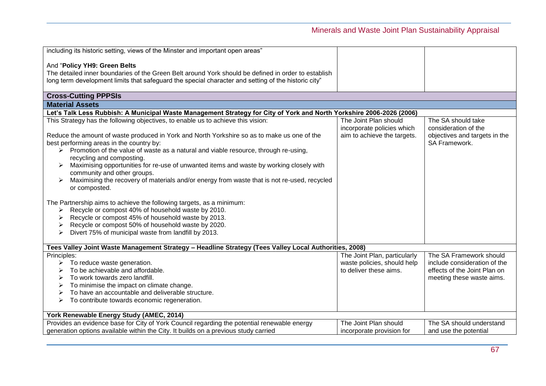| including its historic setting, views of the Minster and important open areas"                                       |                              |                               |
|----------------------------------------------------------------------------------------------------------------------|------------------------------|-------------------------------|
| And "Policy YH9: Green Belts                                                                                         |                              |                               |
| The detailed inner boundaries of the Green Belt around York should be defined in order to establish                  |                              |                               |
| long term development limits that safequard the special character and setting of the historic city"                  |                              |                               |
|                                                                                                                      |                              |                               |
| <b>Cross-Cutting PPPSIs</b>                                                                                          |                              |                               |
| <b>Material Assets</b>                                                                                               |                              |                               |
| Let's Talk Less Rubbish: A Municipal Waste Management Strategy for City of York and North Yorkshire 2006-2026 (2006) |                              |                               |
| This Strategy has the following objectives, to enable us to achieve this vision:                                     | The Joint Plan should        | The SA should take            |
|                                                                                                                      | incorporate policies which   | consideration of the          |
| Reduce the amount of waste produced in York and North Yorkshire so as to make us one of the                          | aim to achieve the targets.  | objectives and targets in the |
| best performing areas in the country by:                                                                             |                              | SA Framework.                 |
| $\triangleright$ Promotion of the value of waste as a natural and viable resource, through re-using,                 |                              |                               |
| recycling and composting.                                                                                            |                              |                               |
| Maximising opportunities for re-use of unwanted items and waste by working closely with<br>➤                         |                              |                               |
| community and other groups.                                                                                          |                              |                               |
| Maximising the recovery of materials and/or energy from waste that is not re-used, recycled                          |                              |                               |
| or composted.                                                                                                        |                              |                               |
| The Partnership aims to achieve the following targets, as a minimum:                                                 |                              |                               |
| Recycle or compost 40% of household waste by 2010.<br>➤                                                              |                              |                               |
| Recycle or compost 45% of household waste by 2013.                                                                   |                              |                               |
| Recycle or compost 50% of household waste by 2020.                                                                   |                              |                               |
| Divert 75% of municipal waste from landfill by 2013.                                                                 |                              |                               |
|                                                                                                                      |                              |                               |
| Tees Valley Joint Waste Management Strategy - Headline Strategy (Tees Valley Local Authorities, 2008)                |                              |                               |
| Principles:                                                                                                          | The Joint Plan, particularly | The SA Framework should       |
| To reduce waste generation.<br>➤                                                                                     | waste policies, should help  | include consideration of the  |
| To be achievable and affordable.                                                                                     | to deliver these aims.       | effects of the Joint Plan on  |
| To work towards zero landfill.<br>➤                                                                                  |                              | meeting these waste aims.     |
| To minimise the impact on climate change.<br>➤                                                                       |                              |                               |
| To have an accountable and deliverable structure.<br>⋗                                                               |                              |                               |
| To contribute towards economic regeneration.<br>➤                                                                    |                              |                               |
|                                                                                                                      |                              |                               |
| York Renewable Energy Study (AMEC, 2014)                                                                             |                              |                               |
| Provides an evidence base for City of York Council regarding the potential renewable energy                          | The Joint Plan should        | The SA should understand      |
| generation options available within the City. It builds on a previous study carried                                  | incorporate provision for    | and use the potential         |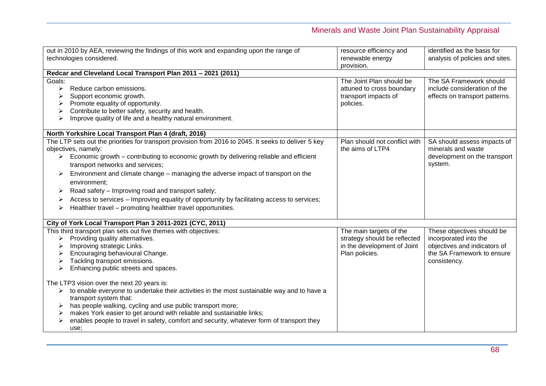|                                 | out in 2010 by AEA, reviewing the findings of this work and expanding upon the range of<br>technologies considered.                                                                                                                                                                                                                                                                                                                                                                                                                                                               | resource efficiency and<br>renewable energy<br>provision.                                                | identified as the basis for<br>analysis of policies and sites.                                                                    |
|---------------------------------|-----------------------------------------------------------------------------------------------------------------------------------------------------------------------------------------------------------------------------------------------------------------------------------------------------------------------------------------------------------------------------------------------------------------------------------------------------------------------------------------------------------------------------------------------------------------------------------|----------------------------------------------------------------------------------------------------------|-----------------------------------------------------------------------------------------------------------------------------------|
|                                 | Redcar and Cleveland Local Transport Plan 2011 - 2021 (2011)                                                                                                                                                                                                                                                                                                                                                                                                                                                                                                                      |                                                                                                          |                                                                                                                                   |
| Goals:<br>⋗<br>⋗                | Reduce carbon emissions.<br>Support economic growth.<br>Promote equality of opportunity.<br>Contribute to better safety, security and health.<br>Improve quality of life and a healthy natural environment.                                                                                                                                                                                                                                                                                                                                                                       | The Joint Plan should be<br>attuned to cross boundary<br>transport impacts of<br>policies.               | The SA Framework should<br>include consideration of the<br>effects on transport patterns.                                         |
|                                 | North Yorkshire Local Transport Plan 4 (draft, 2016)                                                                                                                                                                                                                                                                                                                                                                                                                                                                                                                              |                                                                                                          |                                                                                                                                   |
| $\blacktriangleright$<br>➤<br>➤ | The LTP sets out the priorities for transport provision from 2016 to 2045. It seeks to deliver 5 key<br>objectives, namely:<br>Economic growth - contributing to economic growth by delivering reliable and efficient<br>transport networks and services;<br>Environment and climate change – managing the adverse impact of transport on the<br>environment:<br>Road safety - Improving road and transport safety;<br>Access to services - Improving equality of opportunity by facilitating access to services;<br>Healthier travel - promoting healthier travel opportunities. | Plan should not conflict with<br>the aims of LTP4                                                        | SA should assess impacts of<br>minerals and waste<br>development on the transport<br>system.                                      |
|                                 | City of York Local Transport Plan 3 2011-2021 (CYC, 2011)                                                                                                                                                                                                                                                                                                                                                                                                                                                                                                                         |                                                                                                          |                                                                                                                                   |
| ➤                               | This third transport plan sets out five themes with objectives:<br>Providing quality alternatives.<br>Improving strategic Links.<br>Encouraging behavioural Change.<br>Tackling transport emissions.<br>Enhancing public streets and spaces.                                                                                                                                                                                                                                                                                                                                      | The main targets of the<br>strategy should be reflected<br>in the development of Joint<br>Plan policies. | These objectives should be<br>incorporated into the<br>objectives and indicators of<br>the SA Framework to ensure<br>consistency. |
|                                 | The LTP3 vision over the next 20 years is:<br>$\triangleright$ to enable everyone to undertake their activities in the most sustainable way and to have a                                                                                                                                                                                                                                                                                                                                                                                                                         |                                                                                                          |                                                                                                                                   |
|                                 | transport system that:<br>has people walking, cycling and use public transport more;                                                                                                                                                                                                                                                                                                                                                                                                                                                                                              |                                                                                                          |                                                                                                                                   |
|                                 | makes York easier to get around with reliable and sustainable links;                                                                                                                                                                                                                                                                                                                                                                                                                                                                                                              |                                                                                                          |                                                                                                                                   |
|                                 | enables people to travel in safety, comfort and security, whatever form of transport they<br>use:                                                                                                                                                                                                                                                                                                                                                                                                                                                                                 |                                                                                                          |                                                                                                                                   |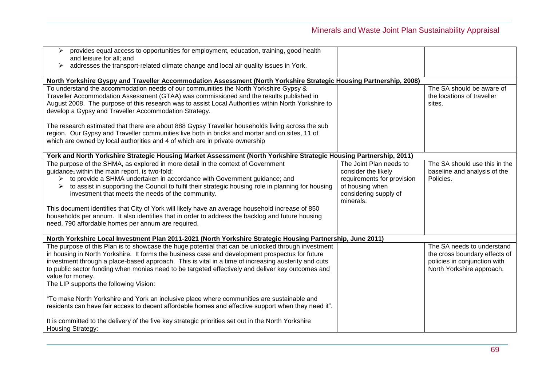| provides equal access to opportunities for employment, education, training, good health<br>➤<br>and leisure for all; and<br>addresses the transport-related climate change and local air quality issues in York.<br>➤                                                                                                                                                                                                                                                                                                                                                                                                                        |                                                                                                                                       |                                                                                                                          |
|----------------------------------------------------------------------------------------------------------------------------------------------------------------------------------------------------------------------------------------------------------------------------------------------------------------------------------------------------------------------------------------------------------------------------------------------------------------------------------------------------------------------------------------------------------------------------------------------------------------------------------------------|---------------------------------------------------------------------------------------------------------------------------------------|--------------------------------------------------------------------------------------------------------------------------|
| North Yorkshire Gyspy and Traveller Accommodation Assessment (North Yorkshire Strategic Housing Partnership, 2008)                                                                                                                                                                                                                                                                                                                                                                                                                                                                                                                           |                                                                                                                                       |                                                                                                                          |
| To understand the accommodation needs of our communities the North Yorkshire Gypsy &<br>Traveller Accommodation Assessment (GTAA) was commissioned and the results published in<br>August 2008. The purpose of this research was to assist Local Authorities within North Yorkshire to<br>develop a Gypsy and Traveller Accommodation Strategy.                                                                                                                                                                                                                                                                                              |                                                                                                                                       | The SA should be aware of<br>the locations of traveller<br>sites.                                                        |
| The research estimated that there are about 888 Gypsy Traveller households living across the sub<br>region. Our Gypsy and Traveller communities live both in bricks and mortar and on sites, 11 of<br>which are owned by local authorities and 4 of which are in private ownership                                                                                                                                                                                                                                                                                                                                                           |                                                                                                                                       |                                                                                                                          |
| York and North Yorkshire Strategic Housing Market Assessment (North Yorkshire Strategic Housing Partnership, 2011)                                                                                                                                                                                                                                                                                                                                                                                                                                                                                                                           |                                                                                                                                       |                                                                                                                          |
| The purpose of the SHMA, as explored in more detail in the context of Government<br>guidance1 within the main report, is two-fold:<br>to provide a SHMA undertaken in accordance with Government guidance; and<br>➤<br>to assist in supporting the Council to fulfil their strategic housing role in planning for housing<br>investment that meets the needs of the community.<br>This document identifies that City of York will likely have an average household increase of 850<br>households per annum. It also identifies that in order to address the backlog and future housing<br>need, 790 affordable homes per annum are required. | The Joint Plan needs to<br>consider the likely<br>requirements for provision<br>of housing when<br>considering supply of<br>minerals. | The SA should use this in the<br>baseline and analysis of the<br>Policies.                                               |
| North Yorkshire Local Investment Plan 2011-2021 (North Yorkshire Strategic Housing Partnership, June 2011)                                                                                                                                                                                                                                                                                                                                                                                                                                                                                                                                   |                                                                                                                                       |                                                                                                                          |
| The purpose of this Plan is to showcase the huge potential that can be unlocked through investment<br>in housing in North Yorkshire. It forms the business case and development prospectus for future<br>investment through a place-based approach. This is vital in a time of increasing austerity and cuts<br>to public sector funding when monies need to be targeted effectively and deliver key outcomes and<br>value for money.<br>The LIP supports the following Vision:                                                                                                                                                              |                                                                                                                                       | The SA needs to understand<br>the cross boundary effects of<br>policies in conjunction with<br>North Yorkshire approach. |
| "To make North Yorkshire and York an inclusive place where communities are sustainable and<br>residents can have fair access to decent affordable homes and effective support when they need it".                                                                                                                                                                                                                                                                                                                                                                                                                                            |                                                                                                                                       |                                                                                                                          |
| It is committed to the delivery of the five key strategic priorities set out in the North Yorkshire<br>Housing Strategy:                                                                                                                                                                                                                                                                                                                                                                                                                                                                                                                     |                                                                                                                                       |                                                                                                                          |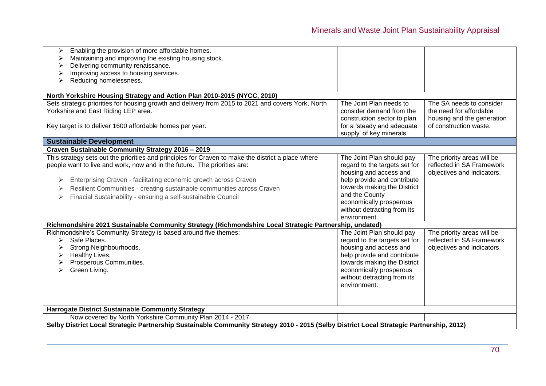| Enabling the provision of more affordable homes.<br>➤                                                                                    |                               |                            |
|------------------------------------------------------------------------------------------------------------------------------------------|-------------------------------|----------------------------|
| Maintaining and improving the existing housing stock.                                                                                    |                               |                            |
| Delivering community renaissance.                                                                                                        |                               |                            |
| Improving access to housing services.                                                                                                    |                               |                            |
| Reducing homelessness.                                                                                                                   |                               |                            |
|                                                                                                                                          |                               |                            |
| North Yorkshire Housing Strategy and Action Plan 2010-2015 (NYCC, 2010)                                                                  |                               |                            |
| Sets strategic priorities for housing growth and delivery from 2015 to 2021 and covers York, North                                       | The Joint Plan needs to       | The SA needs to consider   |
| Yorkshire and East Riding LEP area.                                                                                                      | consider demand from the      | the need for affordable    |
|                                                                                                                                          | construction sector to plan   | housing and the generation |
| Key target is to deliver 1600 affordable homes per year.                                                                                 | for a 'steady and adequate    | of construction waste.     |
|                                                                                                                                          | supply' of key minerals.      |                            |
| <b>Sustainable Development</b>                                                                                                           |                               |                            |
| Craven Sustainable Community Strategy 2016 - 2019                                                                                        |                               |                            |
| This strategy sets out the priorities and principles for Craven to make the district a place where                                       | The Joint Plan should pay     | The priority areas will be |
| people want to live and work, now and in the future. The priorities are:                                                                 | regard to the targets set for | reflected in SA Framework  |
|                                                                                                                                          | housing and access and        | objectives and indicators. |
| Enterprising Craven - facilitating economic growth across Craven<br>➤                                                                    | help provide and contribute   |                            |
|                                                                                                                                          | towards making the District   |                            |
| Resilient Communities - creating sustainable communities across Craven<br>➤                                                              | and the County                |                            |
| Finacial Sustainability - ensuring a self-sustainable Council                                                                            | economically prosperous       |                            |
|                                                                                                                                          |                               |                            |
|                                                                                                                                          | without detracting from its   |                            |
|                                                                                                                                          | environment.                  |                            |
| Richmondshire 2021 Sustainable Community Strategy (Richmondshire Local Strategic Partnership, undated)                                   |                               |                            |
| Richmondshire's Community Strategy is based around five themes:                                                                          | The Joint Plan should pay     | The priority areas will be |
| Safe Places.<br>≻                                                                                                                        | regard to the targets set for | reflected in SA Framework  |
| Strong Neighbourhoods.                                                                                                                   | housing and access and        | objectives and indicators. |
| Healthy Lives.                                                                                                                           | help provide and contribute   |                            |
| Prosperous Communities.                                                                                                                  | towards making the District   |                            |
| Green Living.                                                                                                                            | economically prosperous       |                            |
|                                                                                                                                          | without detracting from its   |                            |
|                                                                                                                                          | environment.                  |                            |
|                                                                                                                                          |                               |                            |
|                                                                                                                                          |                               |                            |
| Harrogate District Sustainable Community Strategy                                                                                        |                               |                            |
| Now covered by North Yorkshire Community Plan 2014 - 2017                                                                                |                               |                            |
| Selby District Local Strategic Partnership Sustainable Community Strategy 2010 - 2015 (Selby District Local Strategic Partnership, 2012) |                               |                            |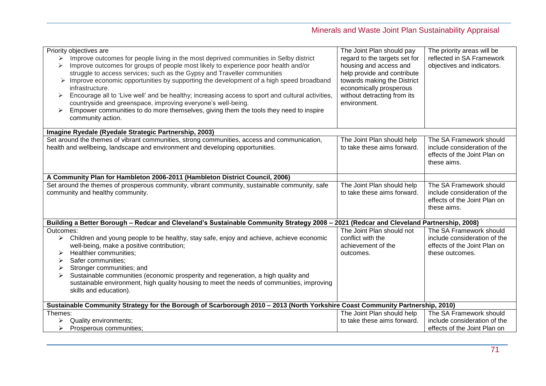| Priority objectives are<br>Improve outcomes for people living in the most deprived communities in Selby district<br>➤<br>Improve outcomes for groups of people most likely to experience poor health and/or<br>struggle to access services; such as the Gypsy and Traveller communities<br>Improve economic opportunities by supporting the development of a high speed broadband<br>infrastructure.<br>Encourage all to 'Live well' and be healthy; increasing access to sport and cultural activities,<br>➤<br>countryside and greenspace, improving everyone's well-being.<br>Empower communities to do more themselves, giving them the tools they need to inspire<br>➤<br>community action. | The Joint Plan should pay<br>regard to the targets set for<br>housing and access and<br>help provide and contribute<br>towards making the District<br>economically prosperous<br>without detracting from its<br>environment. | The priority areas will be<br>reflected in SA Framework<br>objectives and indicators.                      |  |  |
|--------------------------------------------------------------------------------------------------------------------------------------------------------------------------------------------------------------------------------------------------------------------------------------------------------------------------------------------------------------------------------------------------------------------------------------------------------------------------------------------------------------------------------------------------------------------------------------------------------------------------------------------------------------------------------------------------|------------------------------------------------------------------------------------------------------------------------------------------------------------------------------------------------------------------------------|------------------------------------------------------------------------------------------------------------|--|--|
| Imagine Ryedale (Ryedale Strategic Partnership, 2003)                                                                                                                                                                                                                                                                                                                                                                                                                                                                                                                                                                                                                                            |                                                                                                                                                                                                                              |                                                                                                            |  |  |
| Set around the themes of vibrant communities, strong communities, access and communication,<br>health and wellbeing, landscape and environment and developing opportunities.                                                                                                                                                                                                                                                                                                                                                                                                                                                                                                                     | The Joint Plan should help<br>to take these aims forward.                                                                                                                                                                    | The SA Framework should<br>include consideration of the<br>effects of the Joint Plan on<br>these aims.     |  |  |
| A Community Plan for Hambleton 2006-2011 (Hambleton District Council, 2006)                                                                                                                                                                                                                                                                                                                                                                                                                                                                                                                                                                                                                      |                                                                                                                                                                                                                              |                                                                                                            |  |  |
| Set around the themes of prosperous community, vibrant community, sustainable community, safe<br>community and healthy community.                                                                                                                                                                                                                                                                                                                                                                                                                                                                                                                                                                | The Joint Plan should help<br>to take these aims forward.                                                                                                                                                                    | The SA Framework should<br>include consideration of the<br>effects of the Joint Plan on<br>these aims.     |  |  |
| Building a Better Borough - Redcar and Cleveland's Sustainable Community Strategy 2008 - 2021 (Redcar and Cleveland Partnership, 2008)                                                                                                                                                                                                                                                                                                                                                                                                                                                                                                                                                           |                                                                                                                                                                                                                              |                                                                                                            |  |  |
| Outcomes:<br>Children and young people to be healthy, stay safe, enjoy and achieve, achieve economic<br>well-being, make a positive contribution;<br>Healthier communities;<br>Safer communities;<br>➤<br>Stronger communities; and<br>Sustainable communities (economic prosperity and regeneration, a high quality and<br>sustainable environment, high quality housing to meet the needs of communities, improving<br>skills and education).                                                                                                                                                                                                                                                  | The Joint Plan should not<br>conflict with the<br>achievement of the<br>outcomes.                                                                                                                                            | The SA Framework should<br>include consideration of the<br>effects of the Joint Plan on<br>these outcomes. |  |  |
| Sustainable Community Strategy for the Borough of Scarborough 2010 - 2013 (North Yorkshire Coast Community Partnership, 2010)                                                                                                                                                                                                                                                                                                                                                                                                                                                                                                                                                                    |                                                                                                                                                                                                                              |                                                                                                            |  |  |
| Themes:                                                                                                                                                                                                                                                                                                                                                                                                                                                                                                                                                                                                                                                                                          | The Joint Plan should help                                                                                                                                                                                                   | The SA Framework should                                                                                    |  |  |
| Quality environments;<br>Prosperous communities;<br>➤                                                                                                                                                                                                                                                                                                                                                                                                                                                                                                                                                                                                                                            | to take these aims forward.                                                                                                                                                                                                  | include consideration of the<br>effects of the Joint Plan on                                               |  |  |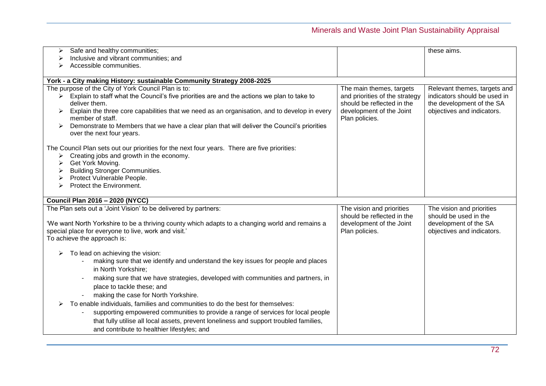| Safe and healthy communities;<br>Inclusive and vibrant communities; and                                     |                                | these aims.                  |
|-------------------------------------------------------------------------------------------------------------|--------------------------------|------------------------------|
| ➤<br>Accessible communities.                                                                                |                                |                              |
| ➤                                                                                                           |                                |                              |
| York - a City making History: sustainable Community Strategy 2008-2025                                      |                                |                              |
| The purpose of the City of York Council Plan is to:                                                         | The main themes, targets       | Relevant themes, targets and |
| $\triangleright$ Explain to staff what the Council's five priorities are and the actions we plan to take to | and priorities of the strategy | indicators should be used in |
| deliver them.                                                                                               | should be reflected in the     | the development of the SA    |
| Explain the three core capabilities that we need as an organisation, and to develop in every<br>➤           | development of the Joint       | objectives and indicators.   |
| member of staff.                                                                                            | Plan policies.                 |                              |
| Demonstrate to Members that we have a clear plan that will deliver the Council's priorities<br>➤            |                                |                              |
| over the next four years.                                                                                   |                                |                              |
|                                                                                                             |                                |                              |
| The Council Plan sets out our priorities for the next four years. There are five priorities:                |                                |                              |
| Creating jobs and growth in the economy.<br>➤                                                               |                                |                              |
| Get York Moving.<br>➤<br><b>Building Stronger Communities.</b>                                              |                                |                              |
| ➤<br>Protect Vulnerable People.<br>➤                                                                        |                                |                              |
| Protect the Environment.                                                                                    |                                |                              |
|                                                                                                             |                                |                              |
| <b>Council Plan 2016 - 2020 (NYCC)</b>                                                                      |                                |                              |
| The Plan sets out a 'Joint Vision' to be delivered by partners:                                             | The vision and priorities      | The vision and priorities    |
|                                                                                                             | should be reflected in the     | should be used in the        |
| 'We want North Yorkshire to be a thriving county which adapts to a changing world and remains a             | development of the Joint       | development of the SA        |
| special place for everyone to live, work and visit.'                                                        | Plan policies.                 | objectives and indicators.   |
| To achieve the approach is:                                                                                 |                                |                              |
| To lead on achieving the vision:                                                                            |                                |                              |
| making sure that we identify and understand the key issues for people and places                            |                                |                              |
| in North Yorkshire;                                                                                         |                                |                              |
| making sure that we have strategies, developed with communities and partners, in                            |                                |                              |
|                                                                                                             |                                |                              |
| place to tackle these; and                                                                                  |                                |                              |
| making the case for North Yorkshire.                                                                        |                                |                              |
| To enable individuals, families and communities to do the best for themselves:                              |                                |                              |
| supporting empowered communities to provide a range of services for local people                            |                                |                              |
| that fully utilise all local assets, prevent loneliness and support troubled families,                      |                                |                              |
|                                                                                                             |                                |                              |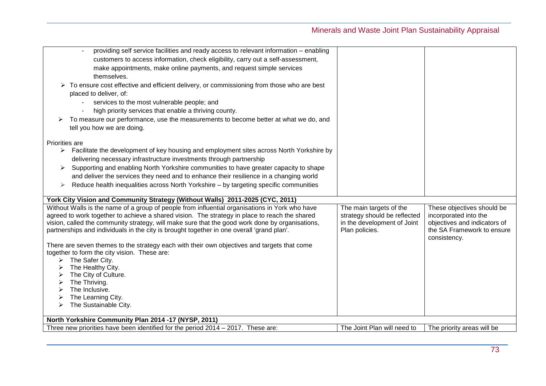| providing self service facilities and ready access to relevant information - enabling                                                                                           |                              |                                                     |
|---------------------------------------------------------------------------------------------------------------------------------------------------------------------------------|------------------------------|-----------------------------------------------------|
| customers to access information, check eligibility, carry out a self-assessment,                                                                                                |                              |                                                     |
| make appointments, make online payments, and request simple services                                                                                                            |                              |                                                     |
| themselves.                                                                                                                                                                     |                              |                                                     |
| $\triangleright$ To ensure cost effective and efficient delivery, or commissioning from those who are best                                                                      |                              |                                                     |
| placed to deliver, of:                                                                                                                                                          |                              |                                                     |
| services to the most vulnerable people; and                                                                                                                                     |                              |                                                     |
| high priority services that enable a thriving county.                                                                                                                           |                              |                                                     |
| To measure our performance, use the measurements to become better at what we do, and                                                                                            |                              |                                                     |
| tell you how we are doing.                                                                                                                                                      |                              |                                                     |
| Priorities are                                                                                                                                                                  |                              |                                                     |
| > Facilitate the development of key housing and employment sites across North Yorkshire by                                                                                      |                              |                                                     |
| delivering necessary infrastructure investments through partnership                                                                                                             |                              |                                                     |
| Supporting and enabling North Yorkshire communities to have greater capacity to shape<br>➤                                                                                      |                              |                                                     |
| and deliver the services they need and to enhance their resilience in a changing world                                                                                          |                              |                                                     |
| Reduce health inequalities across North Yorkshire - by targeting specific communities<br>➤                                                                                      |                              |                                                     |
|                                                                                                                                                                                 |                              |                                                     |
| York City Vision and Community Strategy (Without Walls) 2011-2025 (CYC, 2011)<br>Without Walls is the name of a group of people from influential organisations in York who have | The main targets of the      |                                                     |
| agreed to work together to achieve a shared vision. The strategy in place to reach the shared                                                                                   | strategy should be reflected | These objectives should be<br>incorporated into the |
| vision, called the community strategy, will make sure that the good work done by organisations,                                                                                 | in the development of Joint  | objectives and indicators of                        |
| partnerships and individuals in the city is brought together in one overall 'grand plan'.                                                                                       | Plan policies.               | the SA Framework to ensure                          |
|                                                                                                                                                                                 |                              | consistency.                                        |
| There are seven themes to the strategy each with their own objectives and targets that come                                                                                     |                              |                                                     |
| together to form the city vision. These are:                                                                                                                                    |                              |                                                     |
| The Safer City.<br>➤                                                                                                                                                            |                              |                                                     |
| The Healthy City.<br>The City of Culture.                                                                                                                                       |                              |                                                     |
| The Thriving.                                                                                                                                                                   |                              |                                                     |
| The Inclusive.                                                                                                                                                                  |                              |                                                     |
| The Learning City.                                                                                                                                                              |                              |                                                     |
| The Sustainable City.<br>➤                                                                                                                                                      |                              |                                                     |
| North Yorkshire Community Plan 2014 -17 (NYSP, 2011)                                                                                                                            |                              |                                                     |
| Three new priorities have been identified for the period 2014 – 2017. These are:                                                                                                | The Joint Plan will need to  | The priority areas will be                          |
|                                                                                                                                                                                 |                              |                                                     |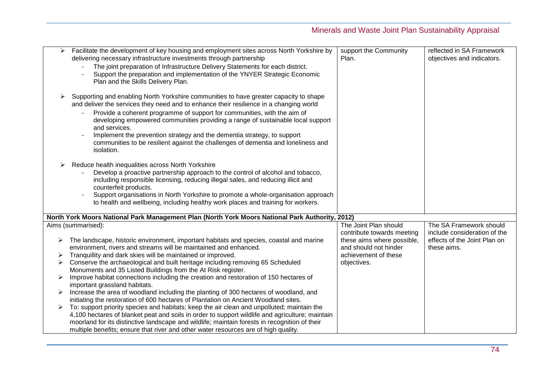| ➤                | Facilitate the development of key housing and employment sites across North Yorkshire by<br>delivering necessary infrastructure investments through partnership<br>The joint preparation of Infrastructure Delivery Statements for each district.<br>Support the preparation and implementation of the YNYER Strategic Economic<br>Plan and the Skills Delivery Plan.                                                                                                                                                                                                                                                                                                                                                                                                                                                                                                                                                                                                                                                                                                           | support the Community<br>Plan.                                                                                           | reflected in SA Framework<br>objectives and indicators.                     |
|------------------|---------------------------------------------------------------------------------------------------------------------------------------------------------------------------------------------------------------------------------------------------------------------------------------------------------------------------------------------------------------------------------------------------------------------------------------------------------------------------------------------------------------------------------------------------------------------------------------------------------------------------------------------------------------------------------------------------------------------------------------------------------------------------------------------------------------------------------------------------------------------------------------------------------------------------------------------------------------------------------------------------------------------------------------------------------------------------------|--------------------------------------------------------------------------------------------------------------------------|-----------------------------------------------------------------------------|
| ➤                | Supporting and enabling North Yorkshire communities to have greater capacity to shape<br>and deliver the services they need and to enhance their resilience in a changing world<br>Provide a coherent programme of support for communities, with the aim of<br>developing empowered communities providing a range of sustainable local support<br>and services.<br>Implement the prevention strategy and the dementia strategy, to support<br>communities to be resilient against the challenges of dementia and loneliness and<br>isolation.                                                                                                                                                                                                                                                                                                                                                                                                                                                                                                                                   |                                                                                                                          |                                                                             |
| ➤                | Reduce health inequalities across North Yorkshire<br>Develop a proactive partnership approach to the control of alcohol and tobacco,<br>including responsible licensing, reducing illegal sales, and reducing illicit and<br>counterfeit products.<br>Support organisations in North Yorkshire to promote a whole-organisation approach<br>to health and wellbeing, including healthy work places and training for workers.                                                                                                                                                                                                                                                                                                                                                                                                                                                                                                                                                                                                                                                     |                                                                                                                          |                                                                             |
|                  | North York Moors National Park Management Plan (North York Moors National Park Authority, 2012)                                                                                                                                                                                                                                                                                                                                                                                                                                                                                                                                                                                                                                                                                                                                                                                                                                                                                                                                                                                 |                                                                                                                          |                                                                             |
|                  | Aims (summarised):                                                                                                                                                                                                                                                                                                                                                                                                                                                                                                                                                                                                                                                                                                                                                                                                                                                                                                                                                                                                                                                              | The Joint Plan should                                                                                                    | The SA Framework should                                                     |
| ➤<br>➤<br>➤<br>➤ | The landscape, historic environment, important habitats and species, coastal and marine<br>environment, rivers and streams will be maintained and enhanced.<br>Tranquillity and dark skies will be maintained or improved.<br>Conserve the archaeological and built heritage including removing 65 Scheduled<br>Monuments and 35 Listed Buildings from the At Risk register.<br>Improve habitat connections including the creation and restoration of 150 hectares of<br>important grassland habitats.<br>Increase the area of woodland including the planting of 300 hectares of woodland, and<br>initiating the restoration of 600 hectares of Plantation on Ancient Woodland sites.<br>To: support priority species and habitats; keep the air clean and unpolluted; maintain the<br>4,100 hectares of blanket peat and soils in order to support wildlife and agriculture; maintain<br>moorland for its distinctive landscape and wildlife; maintain forests in recognition of their<br>multiple benefits; ensure that river and other water resources are of high quality. | contribute towards meeting<br>these aims where possible,<br>and should not hinder<br>achievement of these<br>objectives. | include consideration of the<br>effects of the Joint Plan on<br>these aims. |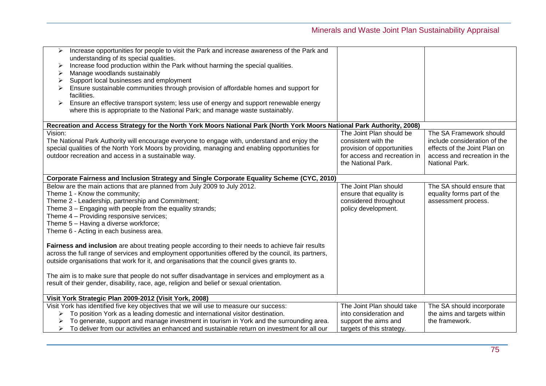| Increase opportunities for people to visit the Park and increase awareness of the Park and<br>$\blacktriangleright$<br>understanding of its special qualities.<br>Increase food production within the Park without harming the special qualities.<br>≻<br>Manage woodlands sustainably<br>Support local businesses and employment<br>➤<br>Ensure sustainable communities through provision of affordable homes and support for<br>facilities.<br>Ensure an effective transport system; less use of energy and support renewable energy<br>➤<br>where this is appropriate to the National Park; and manage waste sustainably. |                                                                                                                                     |                                                                                                                                           |  |  |
|------------------------------------------------------------------------------------------------------------------------------------------------------------------------------------------------------------------------------------------------------------------------------------------------------------------------------------------------------------------------------------------------------------------------------------------------------------------------------------------------------------------------------------------------------------------------------------------------------------------------------|-------------------------------------------------------------------------------------------------------------------------------------|-------------------------------------------------------------------------------------------------------------------------------------------|--|--|
|                                                                                                                                                                                                                                                                                                                                                                                                                                                                                                                                                                                                                              |                                                                                                                                     |                                                                                                                                           |  |  |
| Recreation and Access Strategy for the North York Moors National Park (North York Moors National Park Authority, 2008)<br>Vision:<br>The National Park Authority will encourage everyone to engage with, understand and enjoy the<br>special qualities of the North York Moors by providing, managing and enabling opportunities for<br>outdoor recreation and access in a sustainable way.                                                                                                                                                                                                                                  | The Joint Plan should be<br>consistent with the<br>provision of opportunities<br>for access and recreation in<br>the National Park. | The SA Framework should<br>include consideration of the<br>effects of the Joint Plan on<br>access and recreation in the<br>National Park. |  |  |
| Corporate Fairness and Inclusion Strategy and Single Corporate Equality Scheme (CYC, 2010)                                                                                                                                                                                                                                                                                                                                                                                                                                                                                                                                   |                                                                                                                                     |                                                                                                                                           |  |  |
| Below are the main actions that are planned from July 2009 to July 2012.<br>Theme 1 - Know the community;<br>Theme 2 - Leadership, partnership and Commitment;<br>Theme 3 - Engaging with people from the equality strands;<br>Theme 4 - Providing responsive services;<br>Theme 5 - Having a diverse workforce;<br>Theme 6 - Acting in each business area.                                                                                                                                                                                                                                                                  | The Joint Plan should<br>ensure that equality is<br>considered throughout<br>policy development.                                    | The SA should ensure that<br>equality forms part of the<br>assessment process.                                                            |  |  |
| Fairness and inclusion are about treating people according to their needs to achieve fair results<br>across the full range of services and employment opportunities offered by the council, its partners,<br>outside organisations that work for it, and organisations that the council gives grants to.<br>The aim is to make sure that people do not suffer disadvantage in services and employment as a<br>result of their gender, disability, race, age, religion and belief or sexual orientation.                                                                                                                      |                                                                                                                                     |                                                                                                                                           |  |  |
| Visit York Strategic Plan 2009-2012 (Visit York, 2008)                                                                                                                                                                                                                                                                                                                                                                                                                                                                                                                                                                       |                                                                                                                                     |                                                                                                                                           |  |  |
| Visit York has identified five key objectives that we will use to measure our success:<br>To position York as a leading domestic and international visitor destination.<br>To generate, support and manage investment in tourism in York and the surrounding area.<br>To deliver from our activities an enhanced and sustainable return on investment for all our                                                                                                                                                                                                                                                            | The Joint Plan should take<br>into consideration and<br>support the aims and<br>targets of this strategy.                           | The SA should incorporate<br>the aims and targets within<br>the framework.                                                                |  |  |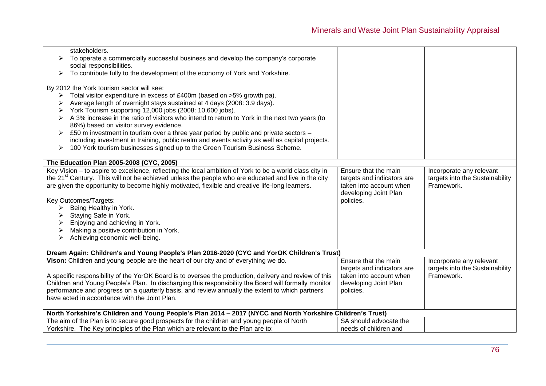| stakeholders.                                                                                                   |                            |                                 |  |
|-----------------------------------------------------------------------------------------------------------------|----------------------------|---------------------------------|--|
| To operate a commercially successful business and develop the company's corporate<br>➤                          |                            |                                 |  |
| social responsibilities.                                                                                        |                            |                                 |  |
| To contribute fully to the development of the economy of York and Yorkshire.<br>➤                               |                            |                                 |  |
|                                                                                                                 |                            |                                 |  |
| By 2012 the York tourism sector will see:                                                                       |                            |                                 |  |
| Total visitor expenditure in excess of £400m (based on >5% growth pa).                                          |                            |                                 |  |
| Average length of overnight stays sustained at 4 days (2008: 3.9 days).                                         |                            |                                 |  |
| York Tourism supporting 12,000 jobs (2008: 10,600 jobs).                                                        |                            |                                 |  |
|                                                                                                                 |                            |                                 |  |
| A 3% increase in the ratio of visitors who intend to return to York in the next two years (to<br>➤              |                            |                                 |  |
| 86%) based on visitor survey evidence.                                                                          |                            |                                 |  |
| £50 m investment in tourism over a three year period by public and private sectors -<br>➤                       |                            |                                 |  |
| including investment in training, public realm and events activity as well as capital projects.                 |                            |                                 |  |
| 100 York tourism businesses signed up to the Green Tourism Business Scheme.<br>$\blacktriangleright$            |                            |                                 |  |
|                                                                                                                 |                            |                                 |  |
| The Education Plan 2005-2008 (CYC, 2005)                                                                        |                            |                                 |  |
| Key Vision - to aspire to excellence, reflecting the local ambition of York to be a world class city in         | Ensure that the main       | Incorporate any relevant        |  |
| the 21 <sup>st</sup> Century. This will not be achieved unless the people who are educated and live in the city | targets and indicators are | targets into the Sustainability |  |
| are given the opportunity to become highly motivated, flexible and creative life-long learners.                 | taken into account when    | Framework.                      |  |
|                                                                                                                 | developing Joint Plan      |                                 |  |
| Key Outcomes/Targets:                                                                                           | policies.                  |                                 |  |
| Being Healthy in York.<br>≻                                                                                     |                            |                                 |  |
| Staying Safe in York.                                                                                           |                            |                                 |  |
| Enjoying and achieving in York.                                                                                 |                            |                                 |  |
| Making a positive contribution in York.                                                                         |                            |                                 |  |
| Achieving economic well-being.                                                                                  |                            |                                 |  |
|                                                                                                                 |                            |                                 |  |
| Dream Again: Children's and Young People's Plan 2016-2020 (CYC and YorOK Children's Trust)                      |                            |                                 |  |
| Vison: Children and young people are the heart of our city and of everything we do.                             | Ensure that the main       |                                 |  |
|                                                                                                                 |                            | Incorporate any relevant        |  |
|                                                                                                                 | targets and indicators are | targets into the Sustainability |  |
| A specific responsibility of the YorOK Board is to oversee the production, delivery and review of this          | taken into account when    | Framework.                      |  |
| Children and Young People's Plan. In discharging this responsibility the Board will formally monitor            | developing Joint Plan      |                                 |  |
| performance and progress on a quarterly basis, and review annually the extent to which partners                 | policies.                  |                                 |  |
| have acted in accordance with the Joint Plan.                                                                   |                            |                                 |  |
|                                                                                                                 |                            |                                 |  |
| North Yorkshire's Children and Young People's Plan 2014 - 2017 (NYCC and North Yorkshire Children's Trust)      |                            |                                 |  |
| The aim of the Plan is to secure good prospects for the children and young people of North                      | SA should advocate the     |                                 |  |
| Yorkshire. The Key principles of the Plan which are relevant to the Plan are to:                                | needs of children and      |                                 |  |
|                                                                                                                 |                            |                                 |  |